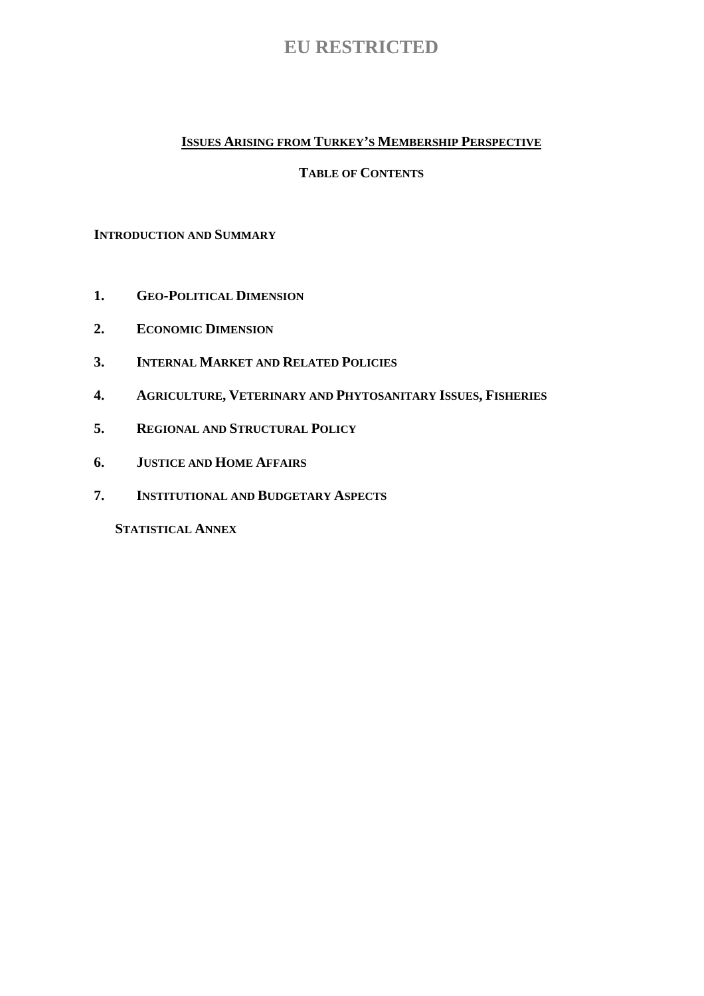### **ISSUES ARISING FROM TURKEY'S MEMBERSHIP PERSPECTIVE**

## **TABLE OF CONTENTS**

#### **INTRODUCTION AND SUMMARY**

- **1. GEO-POLITICAL DIMENSION**
- **2. ECONOMIC DIMENSION**
- **3. INTERNAL MARKET AND RELATED POLICIES**
- **4. AGRICULTURE, VETERINARY AND PHYTOSANITARY ISSUES, FISHERIES**
- **5. REGIONAL AND STRUCTURAL POLICY**
- **6. JUSTICE AND HOME AFFAIRS**
- **7. INSTITUTIONAL AND BUDGETARY ASPECTS**

#### **STATISTICAL ANNEX**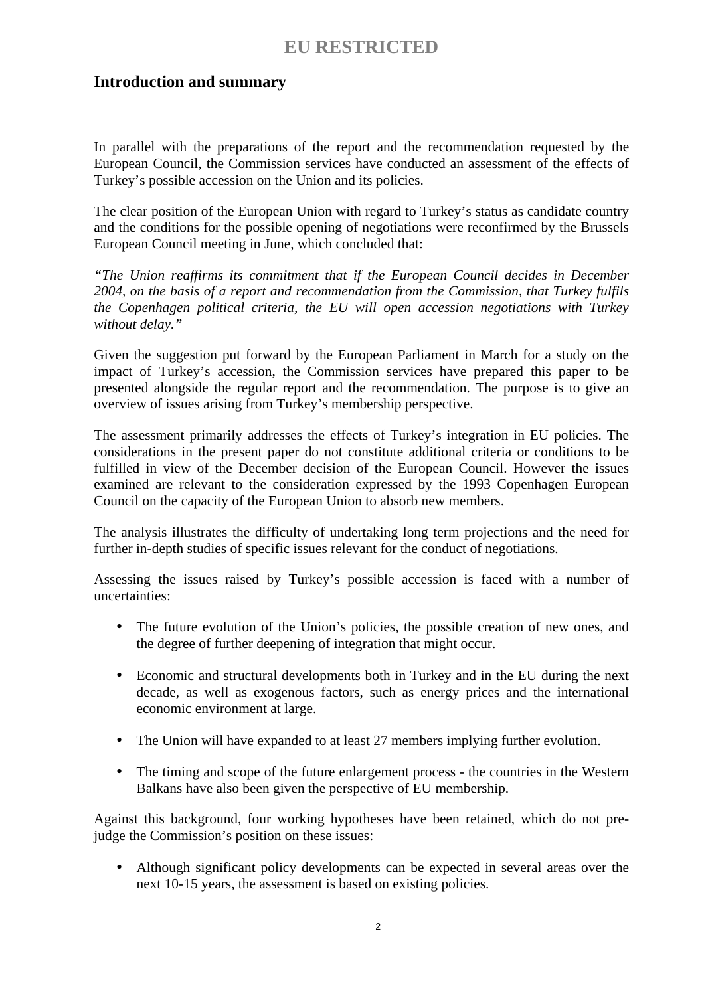## **Introduction and summary**

In parallel with the preparations of the report and the recommendation requested by the European Council, the Commission services have conducted an assessment of the effects of Turkey's possible accession on the Union and its policies.

The clear position of the European Union with regard to Turkey's status as candidate country and the conditions for the possible opening of negotiations were reconfirmed by the Brussels European Council meeting in June, which concluded that:

*"The Union reaffirms its commitment that if the European Council decides in December 2004, on the basis of a report and recommendation from the Commission, that Turkey fulfils the Copenhagen political criteria, the EU will open accession negotiations with Turkey without delay."* 

Given the suggestion put forward by the European Parliament in March for a study on the impact of Turkey's accession, the Commission services have prepared this paper to be presented alongside the regular report and the recommendation. The purpose is to give an overview of issues arising from Turkey's membership perspective.

The assessment primarily addresses the effects of Turkey's integration in EU policies. The considerations in the present paper do not constitute additional criteria or conditions to be fulfilled in view of the December decision of the European Council. However the issues examined are relevant to the consideration expressed by the 1993 Copenhagen European Council on the capacity of the European Union to absorb new members.

The analysis illustrates the difficulty of undertaking long term projections and the need for further in-depth studies of specific issues relevant for the conduct of negotiations.

Assessing the issues raised by Turkey's possible accession is faced with a number of uncertainties:

- The future evolution of the Union's policies, the possible creation of new ones, and the degree of further deepening of integration that might occur.
- Economic and structural developments both in Turkey and in the EU during the next decade, as well as exogenous factors, such as energy prices and the international economic environment at large.
- The Union will have expanded to at least 27 members implying further evolution.
- The timing and scope of the future enlargement process the countries in the Western Balkans have also been given the perspective of EU membership.

Against this background, four working hypotheses have been retained, which do not prejudge the Commission's position on these issues:

• Although significant policy developments can be expected in several areas over the next 10-15 years, the assessment is based on existing policies.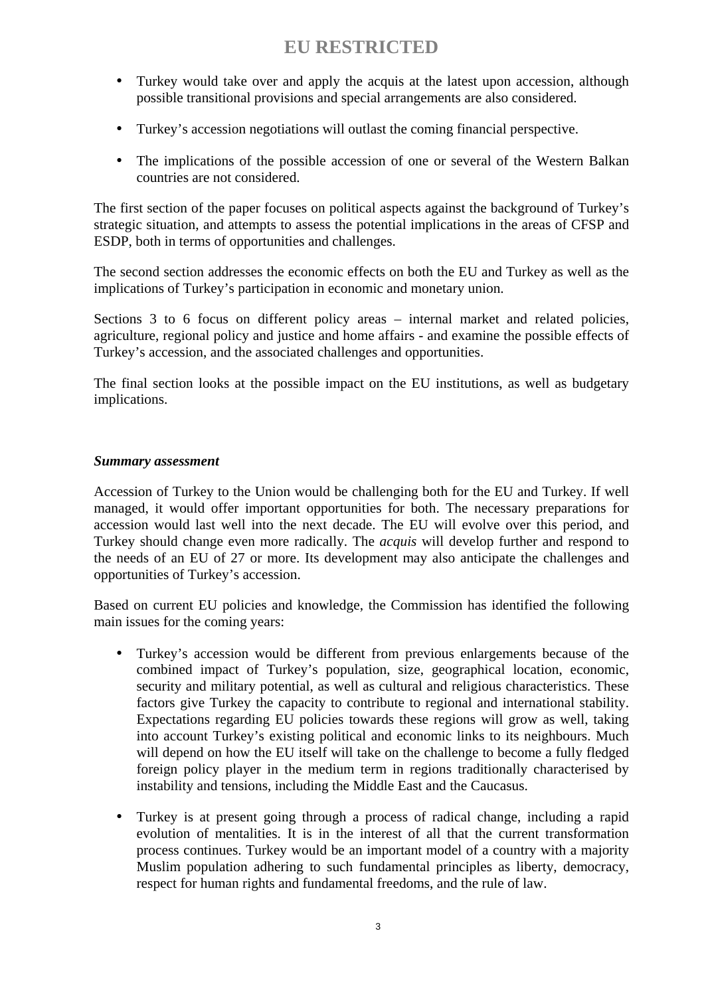- Turkey would take over and apply the acquis at the latest upon accession, although possible transitional provisions and special arrangements are also considered.
- Turkey's accession negotiations will outlast the coming financial perspective.
- The implications of the possible accession of one or several of the Western Balkan countries are not considered.

The first section of the paper focuses on political aspects against the background of Turkey's strategic situation, and attempts to assess the potential implications in the areas of CFSP and ESDP, both in terms of opportunities and challenges.

The second section addresses the economic effects on both the EU and Turkey as well as the implications of Turkey's participation in economic and monetary union.

Sections 3 to 6 focus on different policy areas – internal market and related policies, agriculture, regional policy and justice and home affairs - and examine the possible effects of Turkey's accession, and the associated challenges and opportunities.

The final section looks at the possible impact on the EU institutions, as well as budgetary implications.

### *Summary assessment*

Accession of Turkey to the Union would be challenging both for the EU and Turkey. If well managed, it would offer important opportunities for both. The necessary preparations for accession would last well into the next decade. The EU will evolve over this period, and Turkey should change even more radically. The *acquis* will develop further and respond to the needs of an EU of 27 or more. Its development may also anticipate the challenges and opportunities of Turkey's accession.

Based on current EU policies and knowledge, the Commission has identified the following main issues for the coming years:

- Turkey's accession would be different from previous enlargements because of the combined impact of Turkey's population, size, geographical location, economic, security and military potential, as well as cultural and religious characteristics. These factors give Turkey the capacity to contribute to regional and international stability. Expectations regarding EU policies towards these regions will grow as well, taking into account Turkey's existing political and economic links to its neighbours. Much will depend on how the EU itself will take on the challenge to become a fully fledged foreign policy player in the medium term in regions traditionally characterised by instability and tensions, including the Middle East and the Caucasus.
- Turkey is at present going through a process of radical change, including a rapid evolution of mentalities. It is in the interest of all that the current transformation process continues. Turkey would be an important model of a country with a majority Muslim population adhering to such fundamental principles as liberty, democracy, respect for human rights and fundamental freedoms, and the rule of law.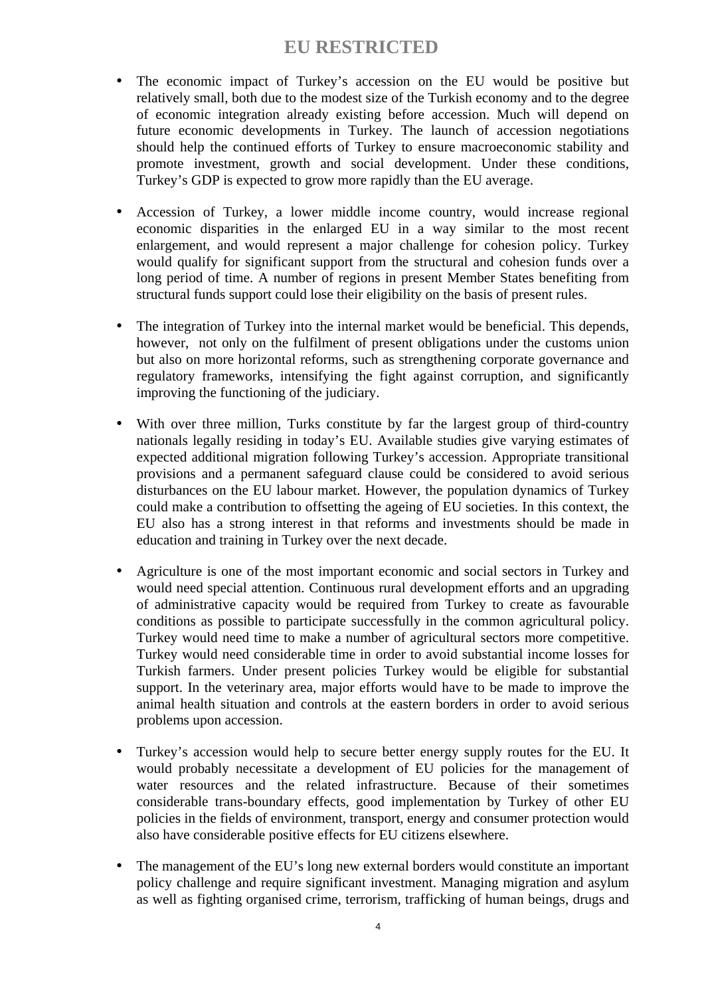- The economic impact of Turkey's accession on the EU would be positive but relatively small, both due to the modest size of the Turkish economy and to the degree of economic integration already existing before accession. Much will depend on future economic developments in Turkey. The launch of accession negotiations should help the continued efforts of Turkey to ensure macroeconomic stability and promote investment, growth and social development. Under these conditions, Turkey's GDP is expected to grow more rapidly than the EU average.
- Accession of Turkey, a lower middle income country, would increase regional economic disparities in the enlarged EU in a way similar to the most recent enlargement, and would represent a major challenge for cohesion policy. Turkey would qualify for significant support from the structural and cohesion funds over a long period of time. A number of regions in present Member States benefiting from structural funds support could lose their eligibility on the basis of present rules.
- The integration of Turkey into the internal market would be beneficial. This depends, however, not only on the fulfilment of present obligations under the customs union but also on more horizontal reforms, such as strengthening corporate governance and regulatory frameworks, intensifying the fight against corruption, and significantly improving the functioning of the judiciary.
- With over three million, Turks constitute by far the largest group of third-country nationals legally residing in today's EU. Available studies give varying estimates of expected additional migration following Turkey's accession. Appropriate transitional provisions and a permanent safeguard clause could be considered to avoid serious disturbances on the EU labour market. However, the population dynamics of Turkey could make a contribution to offsetting the ageing of EU societies. In this context, the EU also has a strong interest in that reforms and investments should be made in education and training in Turkey over the next decade.
- Agriculture is one of the most important economic and social sectors in Turkey and would need special attention. Continuous rural development efforts and an upgrading of administrative capacity would be required from Turkey to create as favourable conditions as possible to participate successfully in the common agricultural policy. Turkey would need time to make a number of agricultural sectors more competitive. Turkey would need considerable time in order to avoid substantial income losses for Turkish farmers. Under present policies Turkey would be eligible for substantial support. In the veterinary area, major efforts would have to be made to improve the animal health situation and controls at the eastern borders in order to avoid serious problems upon accession.
- Turkey's accession would help to secure better energy supply routes for the EU. It would probably necessitate a development of EU policies for the management of water resources and the related infrastructure. Because of their sometimes considerable trans-boundary effects, good implementation by Turkey of other EU policies in the fields of environment, transport, energy and consumer protection would also have considerable positive effects for EU citizens elsewhere.
- The management of the EU's long new external borders would constitute an important policy challenge and require significant investment. Managing migration and asylum as well as fighting organised crime, terrorism, trafficking of human beings, drugs and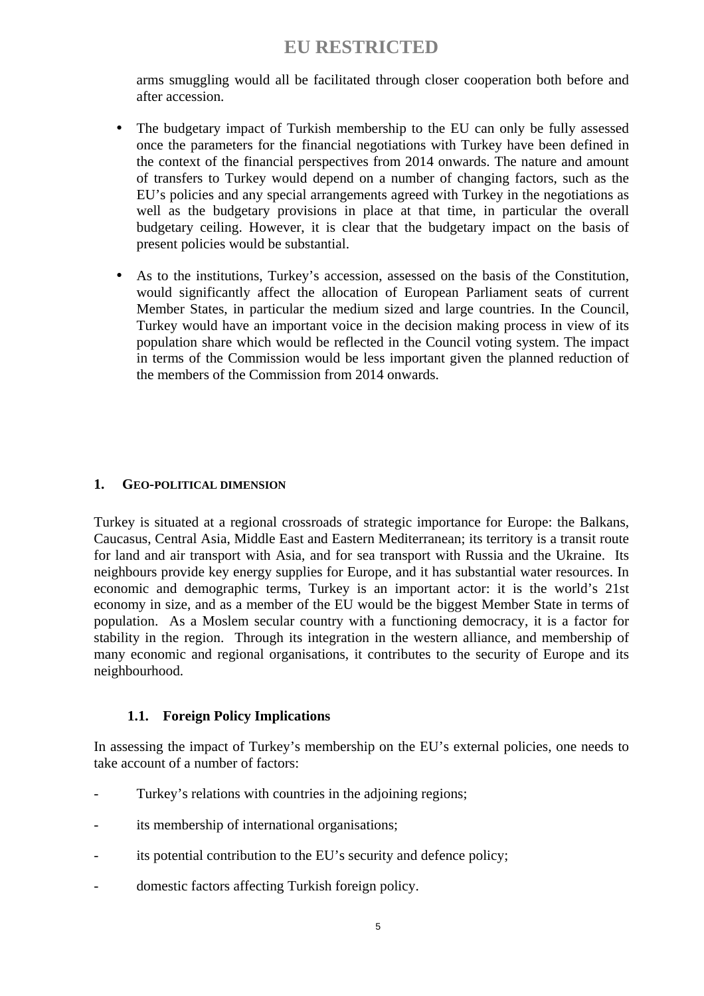arms smuggling would all be facilitated through closer cooperation both before and after accession.

- The budgetary impact of Turkish membership to the EU can only be fully assessed once the parameters for the financial negotiations with Turkey have been defined in the context of the financial perspectives from 2014 onwards. The nature and amount of transfers to Turkey would depend on a number of changing factors, such as the EU's policies and any special arrangements agreed with Turkey in the negotiations as well as the budgetary provisions in place at that time, in particular the overall budgetary ceiling. However, it is clear that the budgetary impact on the basis of present policies would be substantial.
- As to the institutions, Turkey's accession, assessed on the basis of the Constitution, would significantly affect the allocation of European Parliament seats of current Member States, in particular the medium sized and large countries. In the Council, Turkey would have an important voice in the decision making process in view of its population share which would be reflected in the Council voting system. The impact in terms of the Commission would be less important given the planned reduction of the members of the Commission from 2014 onwards.

### **1. GEO-POLITICAL DIMENSION**

Turkey is situated at a regional crossroads of strategic importance for Europe: the Balkans, Caucasus, Central Asia, Middle East and Eastern Mediterranean; its territory is a transit route for land and air transport with Asia, and for sea transport with Russia and the Ukraine. Its neighbours provide key energy supplies for Europe, and it has substantial water resources. In economic and demographic terms, Turkey is an important actor: it is the world's 21st economy in size, and as a member of the EU would be the biggest Member State in terms of population. As a Moslem secular country with a functioning democracy, it is a factor for stability in the region. Through its integration in the western alliance, and membership of many economic and regional organisations, it contributes to the security of Europe and its neighbourhood.

#### **1.1. Foreign Policy Implications**

In assessing the impact of Turkey's membership on the EU's external policies, one needs to take account of a number of factors:

- Turkey's relations with countries in the adjoining regions;
- its membership of international organisations;
- its potential contribution to the EU's security and defence policy;
- domestic factors affecting Turkish foreign policy.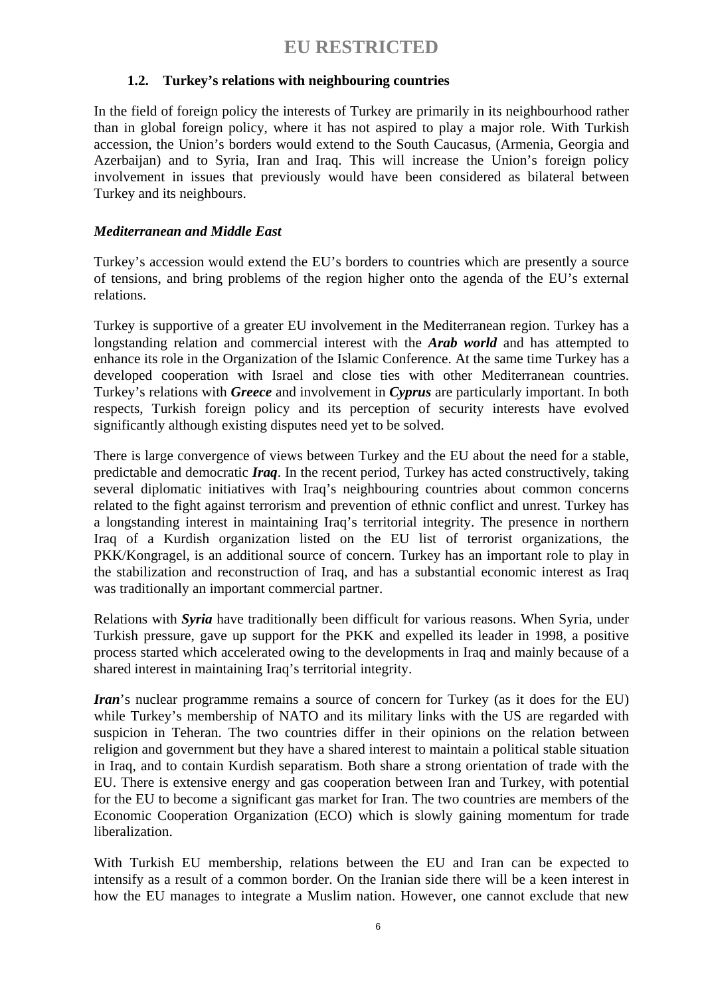## **1.2. Turkey's relations with neighbouring countries**

In the field of foreign policy the interests of Turkey are primarily in its neighbourhood rather than in global foreign policy, where it has not aspired to play a major role. With Turkish accession, the Union's borders would extend to the South Caucasus, (Armenia, Georgia and Azerbaijan) and to Syria, Iran and Iraq. This will increase the Union's foreign policy involvement in issues that previously would have been considered as bilateral between Turkey and its neighbours.

## *Mediterranean and Middle East*

Turkey's accession would extend the EU's borders to countries which are presently a source of tensions, and bring problems of the region higher onto the agenda of the EU's external relations.

Turkey is supportive of a greater EU involvement in the Mediterranean region. Turkey has a longstanding relation and commercial interest with the *Arab world* and has attempted to enhance its role in the Organization of the Islamic Conference. At the same time Turkey has a developed cooperation with Israel and close ties with other Mediterranean countries. Turkey's relations with *Greece* and involvement in *Cyprus* are particularly important. In both respects, Turkish foreign policy and its perception of security interests have evolved significantly although existing disputes need yet to be solved.

There is large convergence of views between Turkey and the EU about the need for a stable, predictable and democratic *Iraq*. In the recent period, Turkey has acted constructively, taking several diplomatic initiatives with Iraq's neighbouring countries about common concerns related to the fight against terrorism and prevention of ethnic conflict and unrest. Turkey has a longstanding interest in maintaining Iraq's territorial integrity. The presence in northern Iraq of a Kurdish organization listed on the EU list of terrorist organizations, the PKK/Kongragel, is an additional source of concern. Turkey has an important role to play in the stabilization and reconstruction of Iraq, and has a substantial economic interest as Iraq was traditionally an important commercial partner.

Relations with *Syria* have traditionally been difficult for various reasons. When Syria, under Turkish pressure, gave up support for the PKK and expelled its leader in 1998, a positive process started which accelerated owing to the developments in Iraq and mainly because of a shared interest in maintaining Iraq's territorial integrity.

*Iran*'s nuclear programme remains a source of concern for Turkey (as it does for the EU) while Turkey's membership of NATO and its military links with the US are regarded with suspicion in Teheran. The two countries differ in their opinions on the relation between religion and government but they have a shared interest to maintain a political stable situation in Iraq, and to contain Kurdish separatism. Both share a strong orientation of trade with the EU. There is extensive energy and gas cooperation between Iran and Turkey, with potential for the EU to become a significant gas market for Iran. The two countries are members of the Economic Cooperation Organization (ECO) which is slowly gaining momentum for trade liberalization.

With Turkish EU membership, relations between the EU and Iran can be expected to intensify as a result of a common border. On the Iranian side there will be a keen interest in how the EU manages to integrate a Muslim nation. However, one cannot exclude that new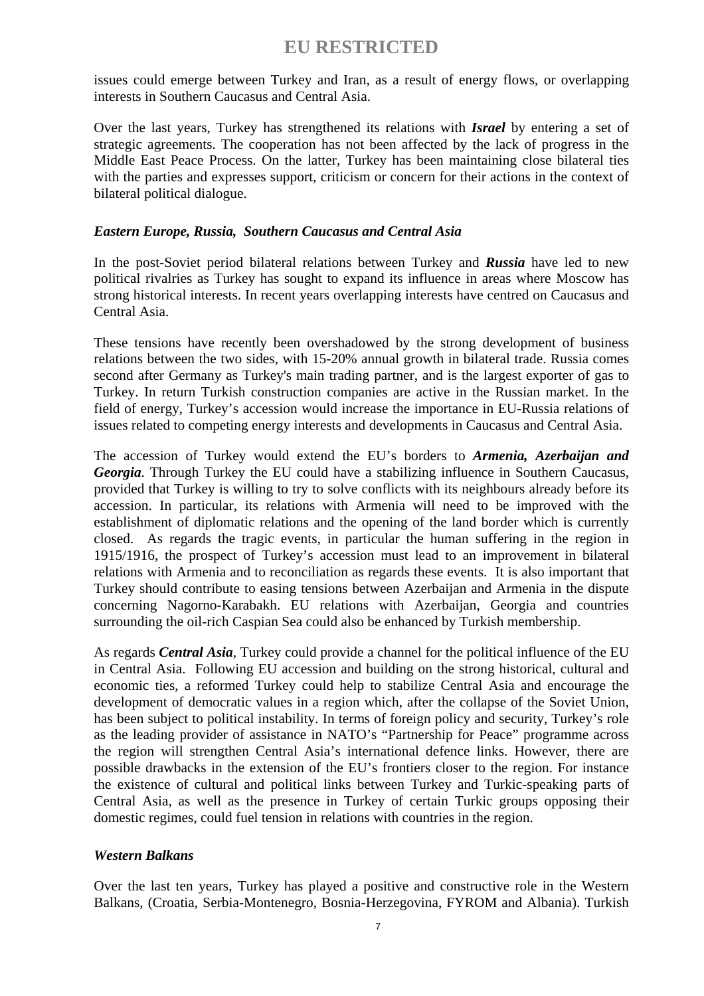issues could emerge between Turkey and Iran, as a result of energy flows, or overlapping interests in Southern Caucasus and Central Asia.

Over the last years, Turkey has strengthened its relations with *Israel* by entering a set of strategic agreements. The cooperation has not been affected by the lack of progress in the Middle East Peace Process. On the latter, Turkey has been maintaining close bilateral ties with the parties and expresses support, criticism or concern for their actions in the context of bilateral political dialogue.

### *Eastern Europe, Russia, Southern Caucasus and Central Asia*

In the post-Soviet period bilateral relations between Turkey and *Russia* have led to new political rivalries as Turkey has sought to expand its influence in areas where Moscow has strong historical interests. In recent years overlapping interests have centred on Caucasus and Central Asia.

These tensions have recently been overshadowed by the strong development of business relations between the two sides, with 15-20% annual growth in bilateral trade. Russia comes second after Germany as Turkey's main trading partner, and is the largest exporter of gas to Turkey. In return Turkish construction companies are active in the Russian market. In the field of energy, Turkey's accession would increase the importance in EU-Russia relations of issues related to competing energy interests and developments in Caucasus and Central Asia.

The accession of Turkey would extend the EU's borders to *Armenia, Azerbaijan and Georgia*. Through Turkey the EU could have a stabilizing influence in Southern Caucasus, provided that Turkey is willing to try to solve conflicts with its neighbours already before its accession. In particular, its relations with Armenia will need to be improved with the establishment of diplomatic relations and the opening of the land border which is currently closed. As regards the tragic events, in particular the human suffering in the region in 1915/1916, the prospect of Turkey's accession must lead to an improvement in bilateral relations with Armenia and to reconciliation as regards these events. It is also important that Turkey should contribute to easing tensions between Azerbaijan and Armenia in the dispute concerning Nagorno-Karabakh. EU relations with Azerbaijan, Georgia and countries surrounding the oil-rich Caspian Sea could also be enhanced by Turkish membership.

As regards *Central Asia*, Turkey could provide a channel for the political influence of the EU in Central Asia. Following EU accession and building on the strong historical, cultural and economic ties, a reformed Turkey could help to stabilize Central Asia and encourage the development of democratic values in a region which, after the collapse of the Soviet Union, has been subject to political instability. In terms of foreign policy and security, Turkey's role as the leading provider of assistance in NATO's "Partnership for Peace" programme across the region will strengthen Central Asia's international defence links. However, there are possible drawbacks in the extension of the EU's frontiers closer to the region. For instance the existence of cultural and political links between Turkey and Turkic-speaking parts of Central Asia, as well as the presence in Turkey of certain Turkic groups opposing their domestic regimes, could fuel tension in relations with countries in the region.

#### *Western Balkans*

Over the last ten years, Turkey has played a positive and constructive role in the Western Balkans, (Croatia, Serbia-Montenegro, Bosnia-Herzegovina, FYROM and Albania). Turkish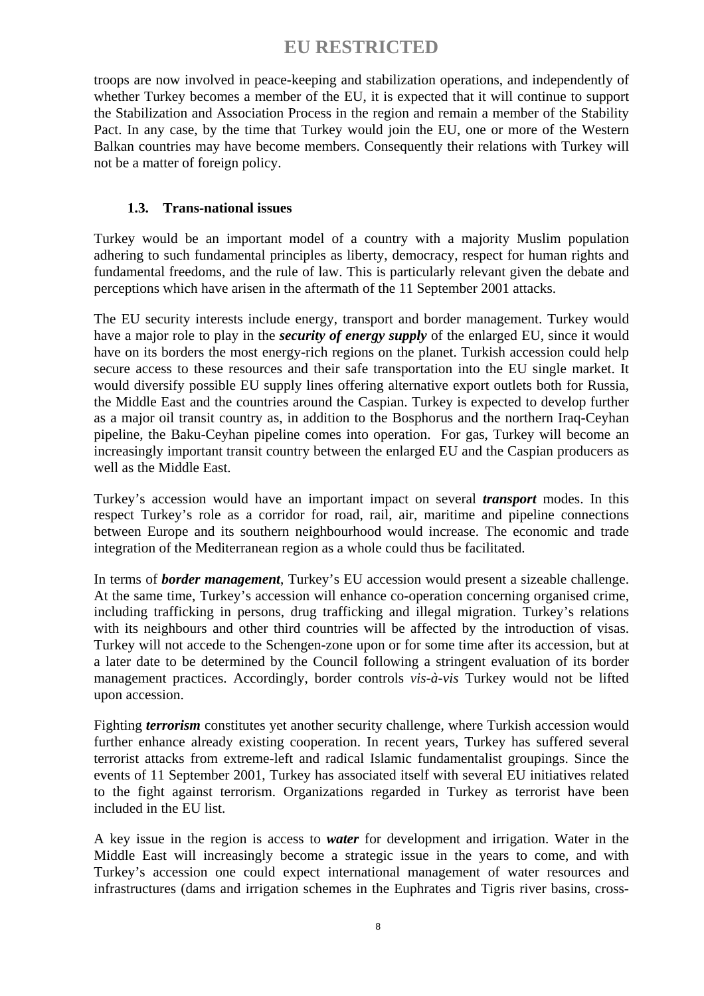troops are now involved in peace-keeping and stabilization operations, and independently of whether Turkey becomes a member of the EU, it is expected that it will continue to support the Stabilization and Association Process in the region and remain a member of the Stability Pact. In any case, by the time that Turkey would join the EU, one or more of the Western Balkan countries may have become members. Consequently their relations with Turkey will not be a matter of foreign policy.

### **1.3. Trans-national issues**

Turkey would be an important model of a country with a majority Muslim population adhering to such fundamental principles as liberty, democracy, respect for human rights and fundamental freedoms, and the rule of law. This is particularly relevant given the debate and perceptions which have arisen in the aftermath of the 11 September 2001 attacks.

The EU security interests include energy, transport and border management. Turkey would have a major role to play in the *security of energy supply* of the enlarged EU, since it would have on its borders the most energy-rich regions on the planet. Turkish accession could help secure access to these resources and their safe transportation into the EU single market. It would diversify possible EU supply lines offering alternative export outlets both for Russia, the Middle East and the countries around the Caspian. Turkey is expected to develop further as a major oil transit country as, in addition to the Bosphorus and the northern Iraq-Ceyhan pipeline, the Baku-Ceyhan pipeline comes into operation. For gas, Turkey will become an increasingly important transit country between the enlarged EU and the Caspian producers as well as the Middle East.

Turkey's accession would have an important impact on several *transport* modes. In this respect Turkey's role as a corridor for road, rail, air, maritime and pipeline connections between Europe and its southern neighbourhood would increase. The economic and trade integration of the Mediterranean region as a whole could thus be facilitated.

In terms of *border management*, Turkey's EU accession would present a sizeable challenge. At the same time, Turkey's accession will enhance co-operation concerning organised crime, including trafficking in persons, drug trafficking and illegal migration. Turkey's relations with its neighbours and other third countries will be affected by the introduction of visas. Turkey will not accede to the Schengen-zone upon or for some time after its accession, but at a later date to be determined by the Council following a stringent evaluation of its border management practices. Accordingly, border controls *vis-à-vis* Turkey would not be lifted upon accession.

Fighting *terrorism* constitutes yet another security challenge, where Turkish accession would further enhance already existing cooperation. In recent years, Turkey has suffered several terrorist attacks from extreme-left and radical Islamic fundamentalist groupings. Since the events of 11 September 2001, Turkey has associated itself with several EU initiatives related to the fight against terrorism. Organizations regarded in Turkey as terrorist have been included in the EU list.

A key issue in the region is access to *water* for development and irrigation. Water in the Middle East will increasingly become a strategic issue in the years to come, and with Turkey's accession one could expect international management of water resources and infrastructures (dams and irrigation schemes in the Euphrates and Tigris river basins, cross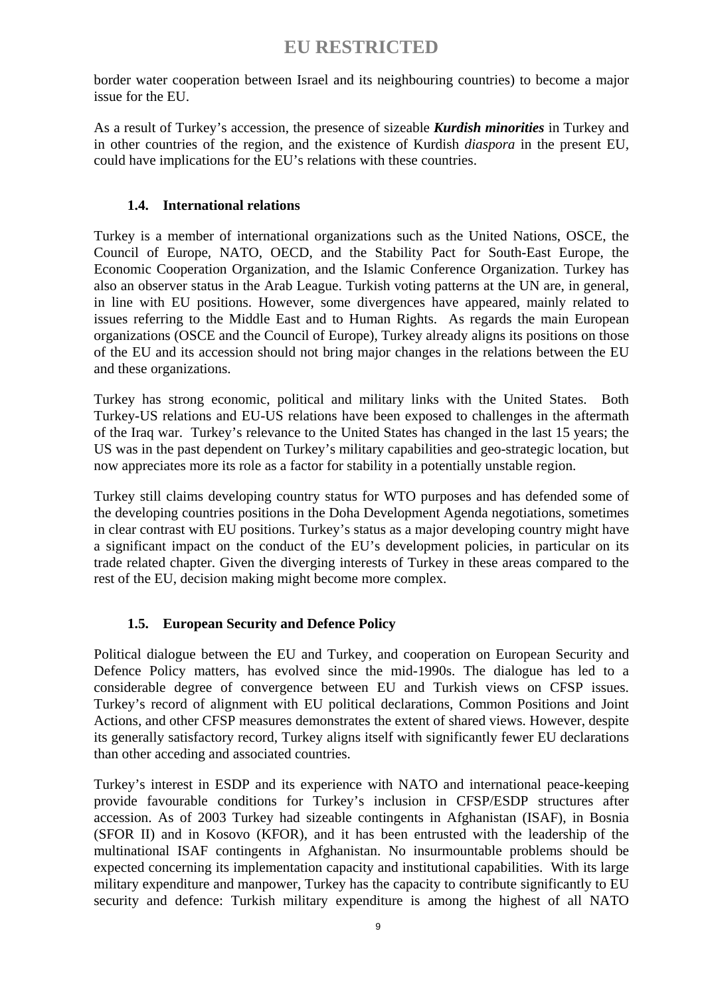border water cooperation between Israel and its neighbouring countries) to become a major issue for the EU.

As a result of Turkey's accession, the presence of sizeable *Kurdish minorities* in Turkey and in other countries of the region, and the existence of Kurdish *diaspora* in the present EU, could have implications for the EU's relations with these countries.

## **1.4. International relations**

Turkey is a member of international organizations such as the United Nations, OSCE, the Council of Europe, NATO, OECD, and the Stability Pact for South-East Europe, the Economic Cooperation Organization, and the Islamic Conference Organization. Turkey has also an observer status in the Arab League. Turkish voting patterns at the UN are, in general, in line with EU positions. However, some divergences have appeared, mainly related to issues referring to the Middle East and to Human Rights. As regards the main European organizations (OSCE and the Council of Europe), Turkey already aligns its positions on those of the EU and its accession should not bring major changes in the relations between the EU and these organizations.

Turkey has strong economic, political and military links with the United States. Both Turkey-US relations and EU-US relations have been exposed to challenges in the aftermath of the Iraq war. Turkey's relevance to the United States has changed in the last 15 years; the US was in the past dependent on Turkey's military capabilities and geo-strategic location, but now appreciates more its role as a factor for stability in a potentially unstable region.

Turkey still claims developing country status for WTO purposes and has defended some of the developing countries positions in the Doha Development Agenda negotiations, sometimes in clear contrast with EU positions. Turkey's status as a major developing country might have a significant impact on the conduct of the EU's development policies, in particular on its trade related chapter. Given the diverging interests of Turkey in these areas compared to the rest of the EU, decision making might become more complex.

## **1.5. European Security and Defence Policy**

Political dialogue between the EU and Turkey, and cooperation on European Security and Defence Policy matters, has evolved since the mid-1990s. The dialogue has led to a considerable degree of convergence between EU and Turkish views on CFSP issues. Turkey's record of alignment with EU political declarations, Common Positions and Joint Actions, and other CFSP measures demonstrates the extent of shared views. However, despite its generally satisfactory record, Turkey aligns itself with significantly fewer EU declarations than other acceding and associated countries.

Turkey's interest in ESDP and its experience with NATO and international peace-keeping provide favourable conditions for Turkey's inclusion in CFSP/ESDP structures after accession. As of 2003 Turkey had sizeable contingents in Afghanistan (ISAF), in Bosnia (SFOR II) and in Kosovo (KFOR), and it has been entrusted with the leadership of the multinational ISAF contingents in Afghanistan. No insurmountable problems should be expected concerning its implementation capacity and institutional capabilities. With its large military expenditure and manpower, Turkey has the capacity to contribute significantly to EU security and defence: Turkish military expenditure is among the highest of all NATO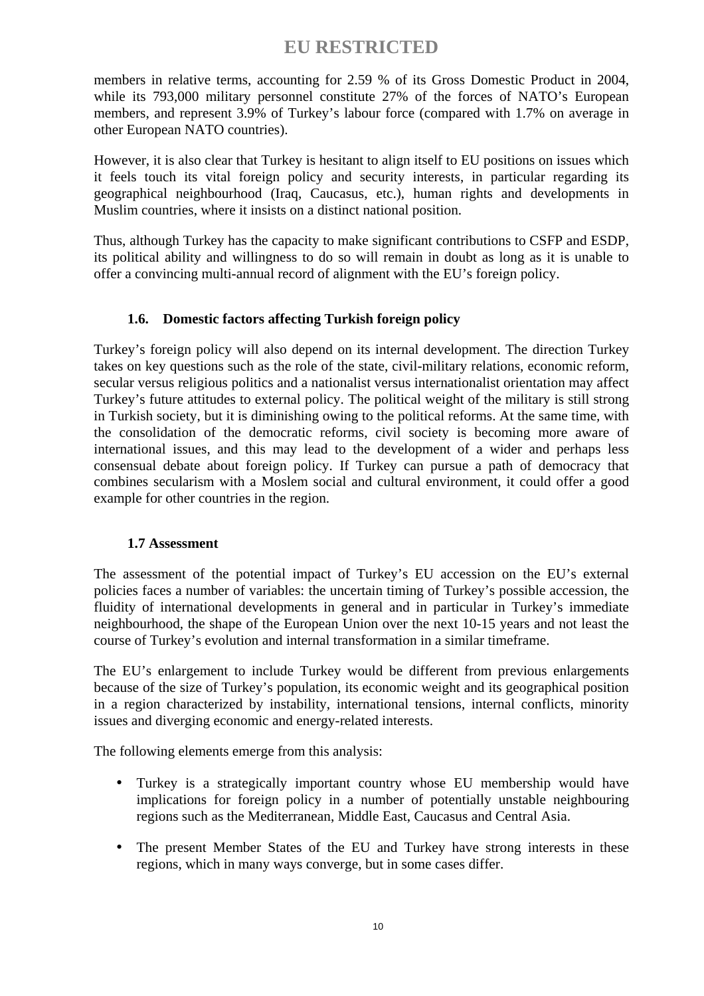members in relative terms, accounting for 2.59 % of its Gross Domestic Product in 2004, while its 793,000 military personnel constitute 27% of the forces of NATO's European members, and represent 3.9% of Turkey's labour force (compared with 1.7% on average in other European NATO countries).

However, it is also clear that Turkey is hesitant to align itself to EU positions on issues which it feels touch its vital foreign policy and security interests, in particular regarding its geographical neighbourhood (Iraq, Caucasus, etc.), human rights and developments in Muslim countries, where it insists on a distinct national position.

Thus, although Turkey has the capacity to make significant contributions to CSFP and ESDP, its political ability and willingness to do so will remain in doubt as long as it is unable to offer a convincing multi-annual record of alignment with the EU's foreign policy.

## **1.6. Domestic factors affecting Turkish foreign policy**

Turkey's foreign policy will also depend on its internal development. The direction Turkey takes on key questions such as the role of the state, civil-military relations, economic reform, secular versus religious politics and a nationalist versus internationalist orientation may affect Turkey's future attitudes to external policy. The political weight of the military is still strong in Turkish society, but it is diminishing owing to the political reforms. At the same time*,* with the consolidation of the democratic reforms, civil society is becoming more aware of international issues, and this may lead to the development of a wider and perhaps less consensual debate about foreign policy. If Turkey can pursue a path of democracy that combines secularism with a Moslem social and cultural environment, it could offer a good example for other countries in the region.

#### **1.7 Assessment**

The assessment of the potential impact of Turkey's EU accession on the EU's external policies faces a number of variables: the uncertain timing of Turkey's possible accession, the fluidity of international developments in general and in particular in Turkey's immediate neighbourhood, the shape of the European Union over the next 10-15 years and not least the course of Turkey's evolution and internal transformation in a similar timeframe.

The EU's enlargement to include Turkey would be different from previous enlargements because of the size of Turkey's population, its economic weight and its geographical position in a region characterized by instability, international tensions, internal conflicts, minority issues and diverging economic and energy-related interests.

The following elements emerge from this analysis:

- Turkey is a strategically important country whose EU membership would have implications for foreign policy in a number of potentially unstable neighbouring regions such as the Mediterranean, Middle East, Caucasus and Central Asia.
- The present Member States of the EU and Turkey have strong interests in these regions, which in many ways converge, but in some cases differ.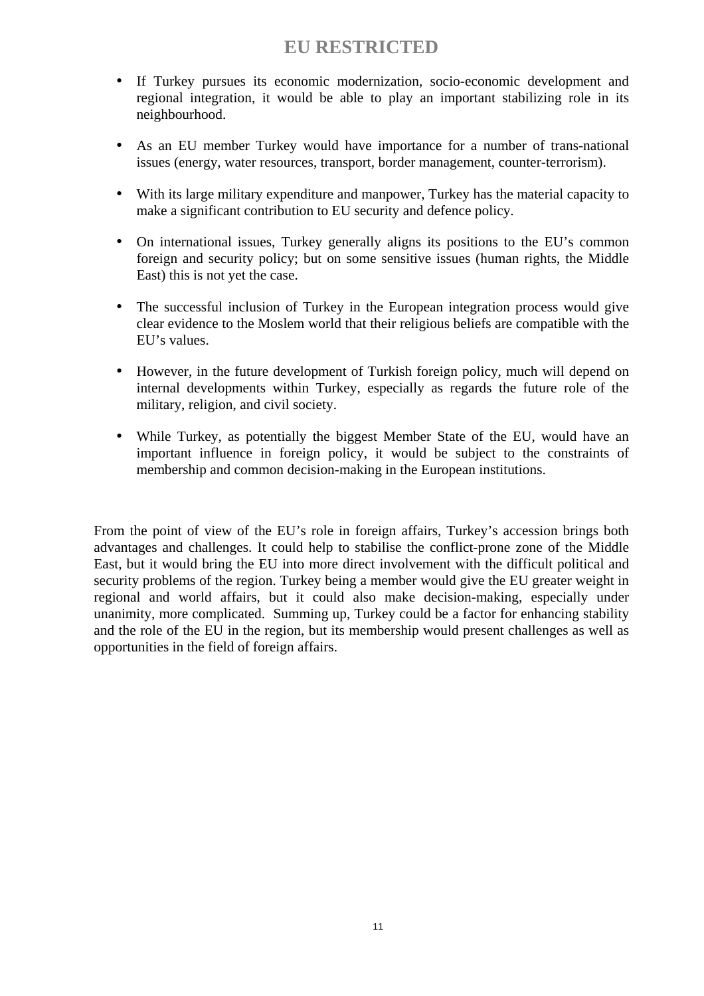- If Turkey pursues its economic modernization, socio-economic development and regional integration, it would be able to play an important stabilizing role in its neighbourhood.
- As an EU member Turkey would have importance for a number of trans-national issues (energy, water resources, transport, border management, counter-terrorism).
- With its large military expenditure and manpower, Turkey has the material capacity to make a significant contribution to EU security and defence policy.
- On international issues, Turkey generally aligns its positions to the EU's common foreign and security policy; but on some sensitive issues (human rights, the Middle East) this is not yet the case.
- The successful inclusion of Turkey in the European integration process would give clear evidence to the Moslem world that their religious beliefs are compatible with the EU's values.
- However, in the future development of Turkish foreign policy, much will depend on internal developments within Turkey, especially as regards the future role of the military, religion, and civil society.
- While Turkey, as potentially the biggest Member State of the EU, would have an important influence in foreign policy, it would be subject to the constraints of membership and common decision-making in the European institutions.

From the point of view of the EU's role in foreign affairs, Turkey's accession brings both advantages and challenges. It could help to stabilise the conflict-prone zone of the Middle East, but it would bring the EU into more direct involvement with the difficult political and security problems of the region. Turkey being a member would give the EU greater weight in regional and world affairs, but it could also make decision-making, especially under unanimity, more complicated. Summing up, Turkey could be a factor for enhancing stability and the role of the EU in the region, but its membership would present challenges as well as opportunities in the field of foreign affairs.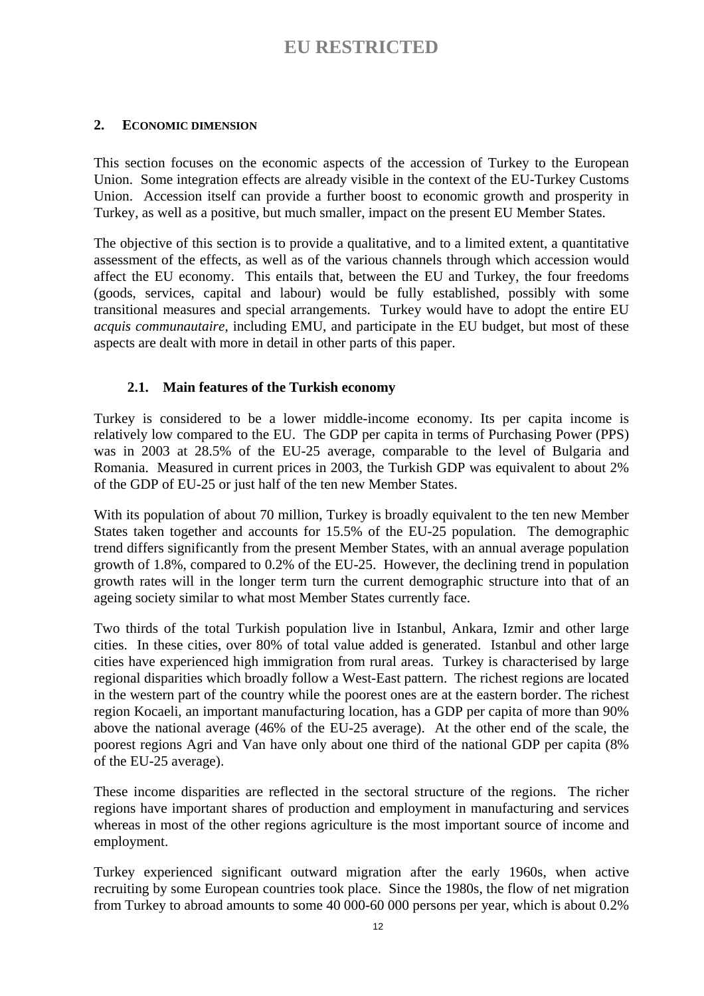### **2. ECONOMIC DIMENSION**

This section focuses on the economic aspects of the accession of Turkey to the European Union. Some integration effects are already visible in the context of the EU-Turkey Customs Union. Accession itself can provide a further boost to economic growth and prosperity in Turkey, as well as a positive, but much smaller, impact on the present EU Member States.

The objective of this section is to provide a qualitative, and to a limited extent, a quantitative assessment of the effects, as well as of the various channels through which accession would affect the EU economy. This entails that, between the EU and Turkey, the four freedoms (goods, services, capital and labour) would be fully established, possibly with some transitional measures and special arrangements. Turkey would have to adopt the entire EU *acquis communautaire*, including EMU, and participate in the EU budget, but most of these aspects are dealt with more in detail in other parts of this paper.

## **2.1. Main features of the Turkish economy**

Turkey is considered to be a lower middle-income economy. Its per capita income is relatively low compared to the EU. The GDP per capita in terms of Purchasing Power (PPS) was in 2003 at 28.5% of the EU-25 average, comparable to the level of Bulgaria and Romania. Measured in current prices in 2003, the Turkish GDP was equivalent to about 2% of the GDP of EU-25 or just half of the ten new Member States.

With its population of about 70 million, Turkey is broadly equivalent to the ten new Member States taken together and accounts for 15.5% of the EU-25 population. The demographic trend differs significantly from the present Member States, with an annual average population growth of 1.8%, compared to 0.2% of the EU-25. However, the declining trend in population growth rates will in the longer term turn the current demographic structure into that of an ageing society similar to what most Member States currently face.

Two thirds of the total Turkish population live in Istanbul, Ankara, Izmir and other large cities. In these cities, over 80% of total value added is generated. Istanbul and other large cities have experienced high immigration from rural areas. Turkey is characterised by large regional disparities which broadly follow a West-East pattern. The richest regions are located in the western part of the country while the poorest ones are at the eastern border. The richest region Kocaeli, an important manufacturing location, has a GDP per capita of more than 90% above the national average (46% of the EU-25 average). At the other end of the scale, the poorest regions Agri and Van have only about one third of the national GDP per capita (8% of the EU-25 average).

These income disparities are reflected in the sectoral structure of the regions. The richer regions have important shares of production and employment in manufacturing and services whereas in most of the other regions agriculture is the most important source of income and employment.

Turkey experienced significant outward migration after the early 1960s, when active recruiting by some European countries took place. Since the 1980s, the flow of net migration from Turkey to abroad amounts to some 40 000-60 000 persons per year, which is about 0.2%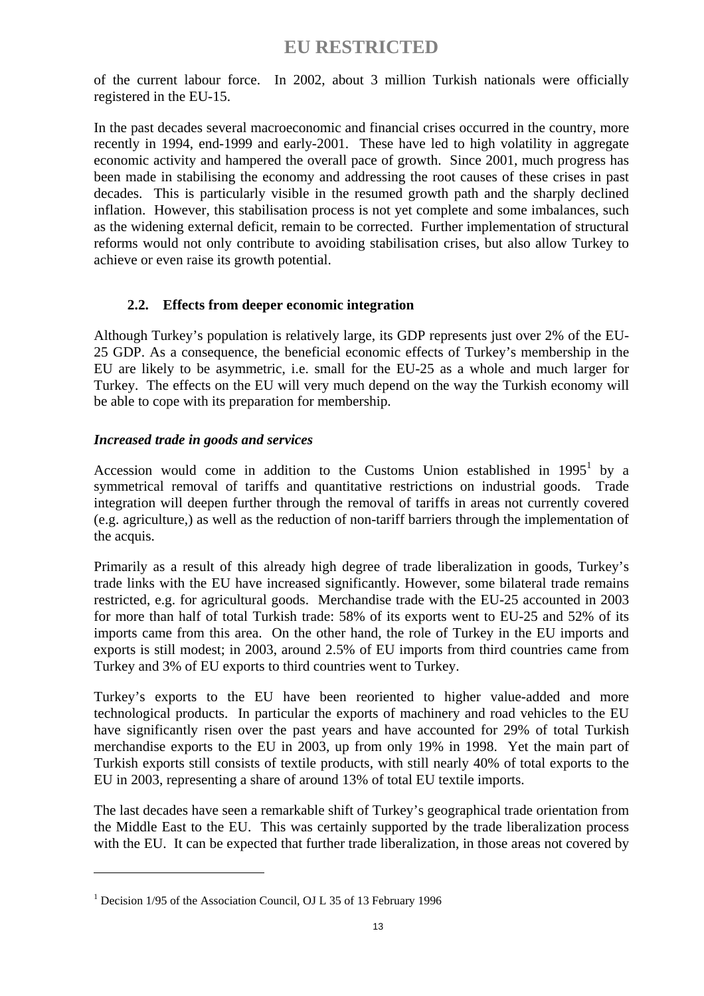of the current labour force. In 2002, about 3 million Turkish nationals were officially registered in the EU-15.

In the past decades several macroeconomic and financial crises occurred in the country, more recently in 1994, end-1999 and early-2001. These have led to high volatility in aggregate economic activity and hampered the overall pace of growth. Since 2001, much progress has been made in stabilising the economy and addressing the root causes of these crises in past decades. This is particularly visible in the resumed growth path and the sharply declined inflation. However, this stabilisation process is not yet complete and some imbalances, such as the widening external deficit, remain to be corrected. Further implementation of structural reforms would not only contribute to avoiding stabilisation crises, but also allow Turkey to achieve or even raise its growth potential.

## **2.2. Effects from deeper economic integration**

Although Turkey's population is relatively large, its GDP represents just over 2% of the EU-25 GDP. As a consequence, the beneficial economic effects of Turkey's membership in the EU are likely to be asymmetric, i.e. small for the EU-25 as a whole and much larger for Turkey. The effects on the EU will very much depend on the way the Turkish economy will be able to cope with its preparation for membership.

## *Increased trade in goods and services*

Accession would come in addition to the Customs Union established in  $1995<sup>1</sup>$  by a symmetrical removal of tariffs and quantitative restrictions on industrial goods. Trade integration will deepen further through the removal of tariffs in areas not currently covered (e.g. agriculture,) as well as the reduction of non-tariff barriers through the implementation of the acquis.

Primarily as a result of this already high degree of trade liberalization in goods, Turkey's trade links with the EU have increased significantly. However, some bilateral trade remains restricted, e.g. for agricultural goods. Merchandise trade with the EU-25 accounted in 2003 for more than half of total Turkish trade: 58% of its exports went to EU-25 and 52% of its imports came from this area. On the other hand, the role of Turkey in the EU imports and exports is still modest; in 2003, around 2.5% of EU imports from third countries came from Turkey and 3% of EU exports to third countries went to Turkey.

Turkey's exports to the EU have been reoriented to higher value-added and more technological products. In particular the exports of machinery and road vehicles to the EU have significantly risen over the past years and have accounted for 29% of total Turkish merchandise exports to the EU in 2003, up from only 19% in 1998. Yet the main part of Turkish exports still consists of textile products, with still nearly 40% of total exports to the EU in 2003, representing a share of around 13% of total EU textile imports.

The last decades have seen a remarkable shift of Turkey's geographical trade orientation from the Middle East to the EU. This was certainly supported by the trade liberalization process with the EU. It can be expected that further trade liberalization, in those areas not covered by

 $\overline{a}$ 

<sup>&</sup>lt;sup>1</sup> Decision 1/95 of the Association Council, OJ L 35 of 13 February 1996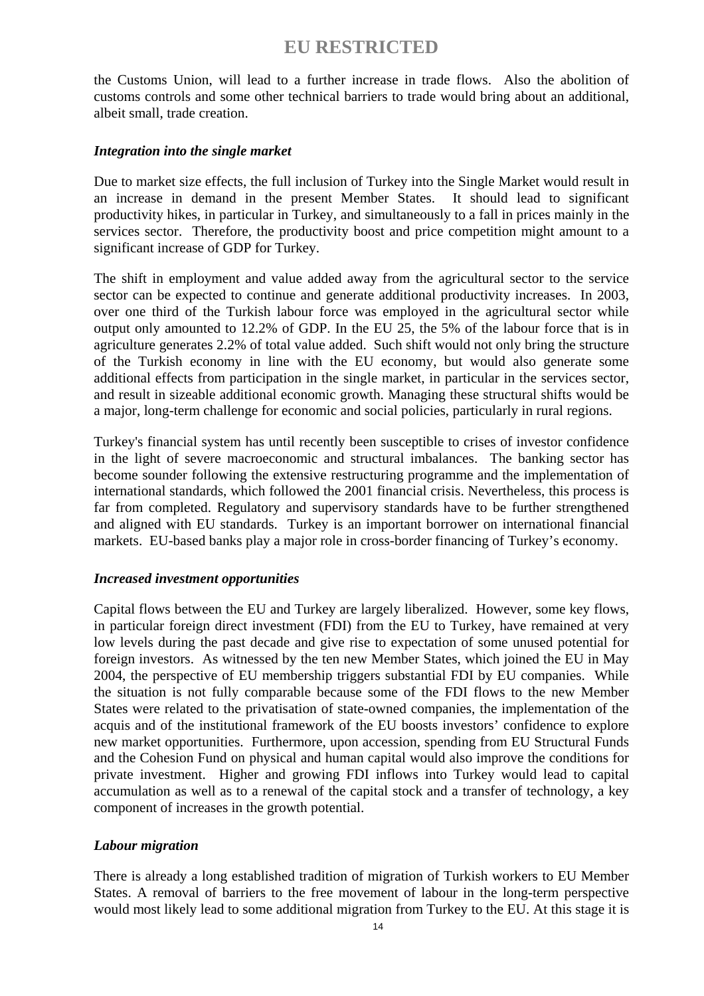the Customs Union, will lead to a further increase in trade flows. Also the abolition of customs controls and some other technical barriers to trade would bring about an additional, albeit small, trade creation.

#### *Integration into the single market*

Due to market size effects, the full inclusion of Turkey into the Single Market would result in an increase in demand in the present Member States. It should lead to significant productivity hikes, in particular in Turkey, and simultaneously to a fall in prices mainly in the services sector. Therefore, the productivity boost and price competition might amount to a significant increase of GDP for Turkey.

The shift in employment and value added away from the agricultural sector to the service sector can be expected to continue and generate additional productivity increases. In 2003, over one third of the Turkish labour force was employed in the agricultural sector while output only amounted to 12.2% of GDP. In the EU 25, the 5% of the labour force that is in agriculture generates 2.2% of total value added. Such shift would not only bring the structure of the Turkish economy in line with the EU economy, but would also generate some additional effects from participation in the single market, in particular in the services sector, and result in sizeable additional economic growth. Managing these structural shifts would be a major, long-term challenge for economic and social policies, particularly in rural regions.

Turkey's financial system has until recently been susceptible to crises of investor confidence in the light of severe macroeconomic and structural imbalances. The banking sector has become sounder following the extensive restructuring programme and the implementation of international standards, which followed the 2001 financial crisis. Nevertheless, this process is far from completed. Regulatory and supervisory standards have to be further strengthened and aligned with EU standards. Turkey is an important borrower on international financial markets. EU-based banks play a major role in cross-border financing of Turkey's economy.

#### *Increased investment opportunities*

Capital flows between the EU and Turkey are largely liberalized. However, some key flows, in particular foreign direct investment (FDI) from the EU to Turkey, have remained at very low levels during the past decade and give rise to expectation of some unused potential for foreign investors. As witnessed by the ten new Member States, which joined the EU in May 2004, the perspective of EU membership triggers substantial FDI by EU companies. While the situation is not fully comparable because some of the FDI flows to the new Member States were related to the privatisation of state-owned companies, the implementation of the acquis and of the institutional framework of the EU boosts investors' confidence to explore new market opportunities. Furthermore, upon accession, spending from EU Structural Funds and the Cohesion Fund on physical and human capital would also improve the conditions for private investment. Higher and growing FDI inflows into Turkey would lead to capital accumulation as well as to a renewal of the capital stock and a transfer of technology, a key component of increases in the growth potential.

#### *Labour migration*

There is already a long established tradition of migration of Turkish workers to EU Member States. A removal of barriers to the free movement of labour in the long-term perspective would most likely lead to some additional migration from Turkey to the EU. At this stage it is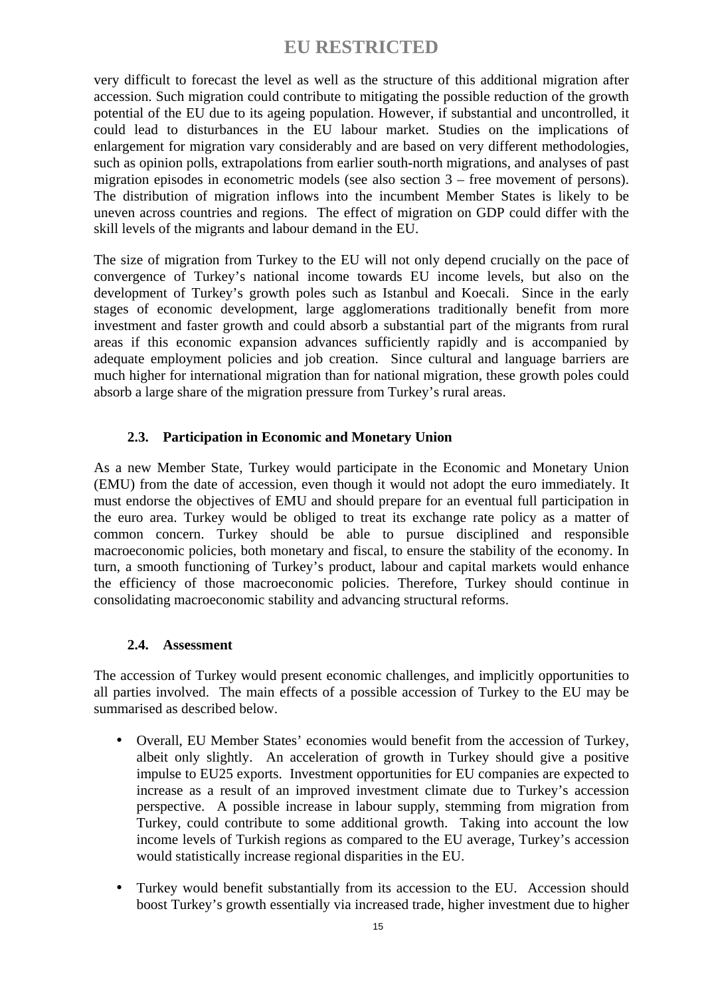very difficult to forecast the level as well as the structure of this additional migration after accession. Such migration could contribute to mitigating the possible reduction of the growth potential of the EU due to its ageing population. However, if substantial and uncontrolled, it could lead to disturbances in the EU labour market. Studies on the implications of enlargement for migration vary considerably and are based on very different methodologies, such as opinion polls, extrapolations from earlier south-north migrations, and analyses of past migration episodes in econometric models (see also section 3 – free movement of persons). The distribution of migration inflows into the incumbent Member States is likely to be uneven across countries and regions. The effect of migration on GDP could differ with the skill levels of the migrants and labour demand in the EU.

The size of migration from Turkey to the EU will not only depend crucially on the pace of convergence of Turkey's national income towards EU income levels, but also on the development of Turkey's growth poles such as Istanbul and Koecali. Since in the early stages of economic development, large agglomerations traditionally benefit from more investment and faster growth and could absorb a substantial part of the migrants from rural areas if this economic expansion advances sufficiently rapidly and is accompanied by adequate employment policies and job creation. Since cultural and language barriers are much higher for international migration than for national migration, these growth poles could absorb a large share of the migration pressure from Turkey's rural areas.

## **2.3. Participation in Economic and Monetary Union**

As a new Member State, Turkey would participate in the Economic and Monetary Union (EMU) from the date of accession, even though it would not adopt the euro immediately. It must endorse the objectives of EMU and should prepare for an eventual full participation in the euro area. Turkey would be obliged to treat its exchange rate policy as a matter of common concern. Turkey should be able to pursue disciplined and responsible macroeconomic policies, both monetary and fiscal, to ensure the stability of the economy. In turn, a smooth functioning of Turkey's product, labour and capital markets would enhance the efficiency of those macroeconomic policies. Therefore, Turkey should continue in consolidating macroeconomic stability and advancing structural reforms.

#### **2.4. Assessment**

The accession of Turkey would present economic challenges, and implicitly opportunities to all parties involved. The main effects of a possible accession of Turkey to the EU may be summarised as described below.

- Overall, EU Member States' economies would benefit from the accession of Turkey, albeit only slightly. An acceleration of growth in Turkey should give a positive impulse to EU25 exports. Investment opportunities for EU companies are expected to increase as a result of an improved investment climate due to Turkey's accession perspective. A possible increase in labour supply, stemming from migration from Turkey, could contribute to some additional growth. Taking into account the low income levels of Turkish regions as compared to the EU average, Turkey's accession would statistically increase regional disparities in the EU.
- Turkey would benefit substantially from its accession to the EU. Accession should boost Turkey's growth essentially via increased trade, higher investment due to higher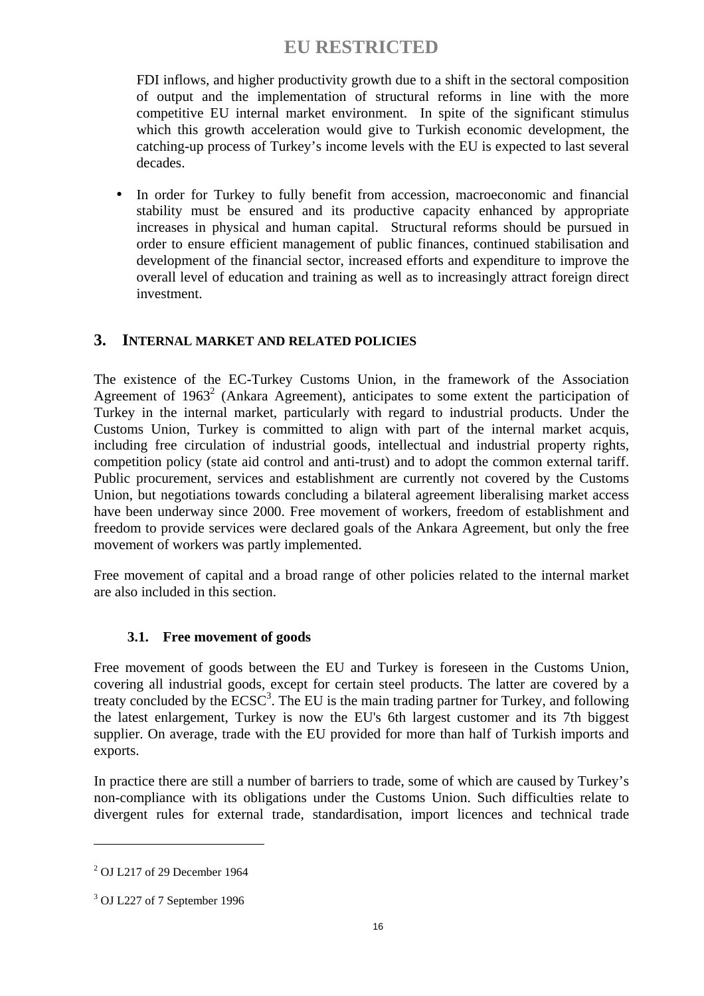FDI inflows, and higher productivity growth due to a shift in the sectoral composition of output and the implementation of structural reforms in line with the more competitive EU internal market environment. In spite of the significant stimulus which this growth acceleration would give to Turkish economic development, the catching-up process of Turkey's income levels with the EU is expected to last several decades.

• In order for Turkey to fully benefit from accession, macroeconomic and financial stability must be ensured and its productive capacity enhanced by appropriate increases in physical and human capital. Structural reforms should be pursued in order to ensure efficient management of public finances, continued stabilisation and development of the financial sector, increased efforts and expenditure to improve the overall level of education and training as well as to increasingly attract foreign direct investment.

## **3. INTERNAL MARKET AND RELATED POLICIES**

The existence of the EC-Turkey Customs Union, in the framework of the Association Agreement of  $1963<sup>2</sup>$  (Ankara Agreement), anticipates to some extent the participation of Turkey in the internal market, particularly with regard to industrial products. Under the Customs Union, Turkey is committed to align with part of the internal market acquis, including free circulation of industrial goods, intellectual and industrial property rights, competition policy (state aid control and anti-trust) and to adopt the common external tariff. Public procurement, services and establishment are currently not covered by the Customs Union, but negotiations towards concluding a bilateral agreement liberalising market access have been underway since 2000. Free movement of workers, freedom of establishment and freedom to provide services were declared goals of the Ankara Agreement, but only the free movement of workers was partly implemented.

Free movement of capital and a broad range of other policies related to the internal market are also included in this section.

## **3.1. Free movement of goods**

Free movement of goods between the EU and Turkey is foreseen in the Customs Union, covering all industrial goods, except for certain steel products. The latter are covered by a treaty concluded by the  $ECSC<sup>3</sup>$ . The EU is the main trading partner for Turkey, and following the latest enlargement, Turkey is now the EU's 6th largest customer and its 7th biggest supplier. On average, trade with the EU provided for more than half of Turkish imports and exports.

In practice there are still a number of barriers to trade, some of which are caused by Turkey's non-compliance with its obligations under the Customs Union. Such difficulties relate to divergent rules for external trade, standardisation, import licences and technical trade

 $\overline{a}$ 

<sup>2</sup> OJ L217 of 29 December 1964

<sup>&</sup>lt;sup>3</sup> OJ L227 of 7 September 1996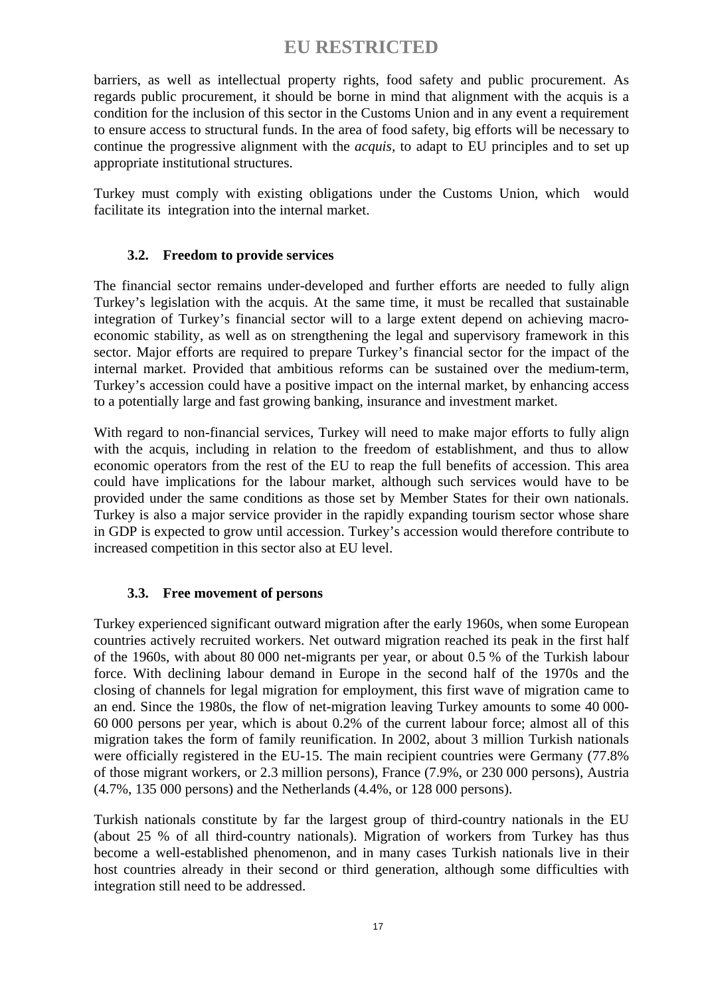barriers, as well as intellectual property rights, food safety and public procurement. As regards public procurement, it should be borne in mind that alignment with the acquis is a condition for the inclusion of this sector in the Customs Union and in any event a requirement to ensure access to structural funds. In the area of food safety, big efforts will be necessary to continue the progressive alignment with the *acquis,* to adapt to EU principles and to set up appropriate institutional structures.

Turkey must comply with existing obligations under the Customs Union, which would facilitate its integration into the internal market.

### **3.2. Freedom to provide services**

The financial sector remains under-developed and further efforts are needed to fully align Turkey's legislation with the acquis. At the same time, it must be recalled that sustainable integration of Turkey's financial sector will to a large extent depend on achieving macroeconomic stability, as well as on strengthening the legal and supervisory framework in this sector. Major efforts are required to prepare Turkey's financial sector for the impact of the internal market. Provided that ambitious reforms can be sustained over the medium-term, Turkey's accession could have a positive impact on the internal market, by enhancing access to a potentially large and fast growing banking, insurance and investment market.

With regard to non-financial services, Turkey will need to make major efforts to fully align with the acquis, including in relation to the freedom of establishment, and thus to allow economic operators from the rest of the EU to reap the full benefits of accession. This area could have implications for the labour market, although such services would have to be provided under the same conditions as those set by Member States for their own nationals. Turkey is also a major service provider in the rapidly expanding tourism sector whose share in GDP is expected to grow until accession. Turkey's accession would therefore contribute to increased competition in this sector also at EU level.

## **3.3. Free movement of persons**

Turkey experienced significant outward migration after the early 1960s, when some European countries actively recruited workers. Net outward migration reached its peak in the first half of the 1960s, with about 80 000 net-migrants per year, or about 0.5 % of the Turkish labour force. With declining labour demand in Europe in the second half of the 1970s and the closing of channels for legal migration for employment, this first wave of migration came to an end. Since the 1980s, the flow of net-migration leaving Turkey amounts to some 40 000- 60 000 persons per year, which is about 0.2% of the current labour force; almost all of this migration takes the form of family reunification. In 2002, about 3 million Turkish nationals were officially registered in the EU-15. The main recipient countries were Germany (77.8% of those migrant workers, or 2.3 million persons), France (7.9%, or 230 000 persons), Austria (4.7%, 135 000 persons) and the Netherlands (4.4%, or 128 000 persons).

Turkish nationals constitute by far the largest group of third-country nationals in the EU (about 25 % of all third-country nationals). Migration of workers from Turkey has thus become a well-established phenomenon, and in many cases Turkish nationals live in their host countries already in their second or third generation, although some difficulties with integration still need to be addressed.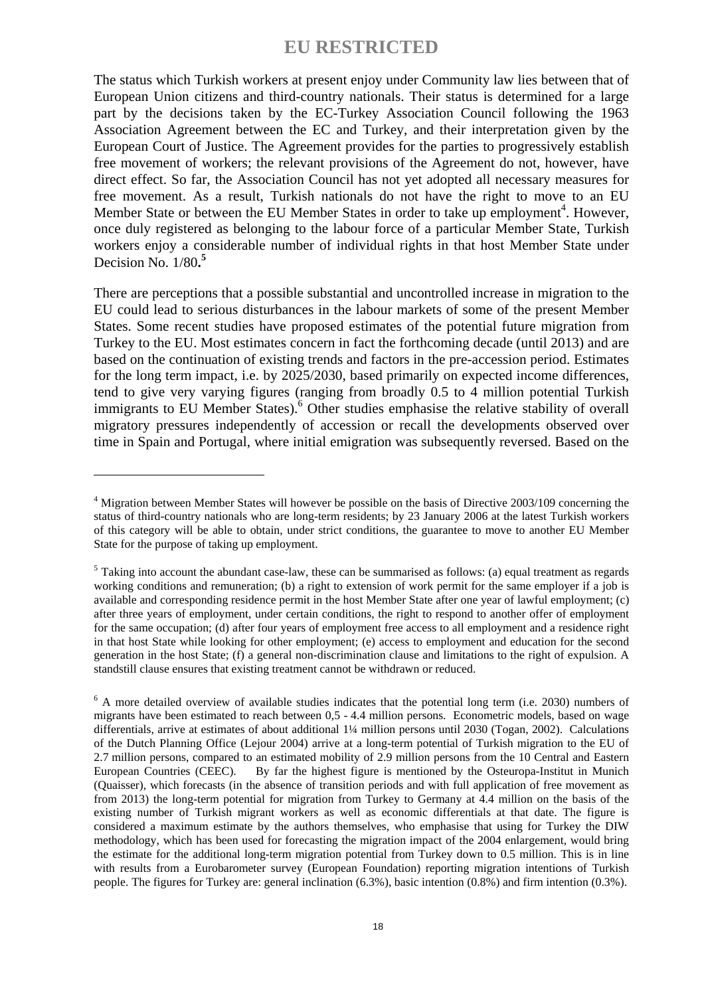The status which Turkish workers at present enjoy under Community law lies between that of European Union citizens and third-country nationals. Their status is determined for a large part by the decisions taken by the EC-Turkey Association Council following the 1963 Association Agreement between the EC and Turkey, and their interpretation given by the European Court of Justice. The Agreement provides for the parties to progressively establish free movement of workers; the relevant provisions of the Agreement do not, however, have direct effect. So far, the Association Council has not yet adopted all necessary measures for free movement. As a result, Turkish nationals do not have the right to move to an EU Member State or between the EU Member States in order to take up employment<sup>4</sup>. However, once duly registered as belonging to the labour force of a particular Member State, Turkish workers enjoy a considerable number of individual rights in that host Member State under Decision No. 1/80**. 5**

There are perceptions that a possible substantial and uncontrolled increase in migration to the EU could lead to serious disturbances in the labour markets of some of the present Member States. Some recent studies have proposed estimates of the potential future migration from Turkey to the EU. Most estimates concern in fact the forthcoming decade (until 2013) and are based on the continuation of existing trends and factors in the pre-accession period. Estimates for the long term impact, i.e. by 2025/2030, based primarily on expected income differences, tend to give very varying figures (ranging from broadly 0.5 to 4 million potential Turkish immigrants to EU Member States).<sup>6</sup> Other studies emphasise the relative stability of overall migratory pressures independently of accession or recall the developments observed over time in Spain and Portugal, where initial emigration was subsequently reversed. Based on the

 $\overline{a}$ 

<sup>&</sup>lt;sup>4</sup> Migration between Member States will however be possible on the basis of Directive 2003/109 concerning the status of third-country nationals who are long-term residents; by 23 January 2006 at the latest Turkish workers of this category will be able to obtain, under strict conditions, the guarantee to move to another EU Member State for the purpose of taking up employment.

 $<sup>5</sup>$  Taking into account the abundant case-law, these can be summarised as follows: (a) equal treatment as regards</sup> working conditions and remuneration; (b) a right to extension of work permit for the same employer if a job is available and corresponding residence permit in the host Member State after one year of lawful employment; (c) after three years of employment, under certain conditions, the right to respond to another offer of employment for the same occupation; (d) after four years of employment free access to all employment and a residence right in that host State while looking for other employment; (e) access to employment and education for the second generation in the host State; (f) a general non-discrimination clause and limitations to the right of expulsion. A standstill clause ensures that existing treatment cannot be withdrawn or reduced.

<sup>&</sup>lt;sup>6</sup> A more detailed overview of available studies indicates that the potential long term (i.e. 2030) numbers of migrants have been estimated to reach between 0,5 - 4.4 million persons. Econometric models, based on wage differentials, arrive at estimates of about additional 1¼ million persons until 2030 (Togan, 2002). Calculations of the Dutch Planning Office (Lejour 2004) arrive at a long-term potential of Turkish migration to the EU of 2.7 million persons, compared to an estimated mobility of 2.9 million persons from the 10 Central and Eastern European Countries (CEEC). By far the highest figure is mentioned by the Osteuropa-Institut in Munich (Quaisser), which forecasts (in the absence of transition periods and with full application of free movement as from 2013) the long-term potential for migration from Turkey to Germany at 4.4 million on the basis of the existing number of Turkish migrant workers as well as economic differentials at that date. The figure is considered a maximum estimate by the authors themselves, who emphasise that using for Turkey the DIW methodology, which has been used for forecasting the migration impact of the 2004 enlargement, would bring the estimate for the additional long-term migration potential from Turkey down to 0.5 million. This is in line with results from a Eurobarometer survey (European Foundation) reporting migration intentions of Turkish people. The figures for Turkey are: general inclination (6.3%), basic intention (0.8%) and firm intention (0.3%).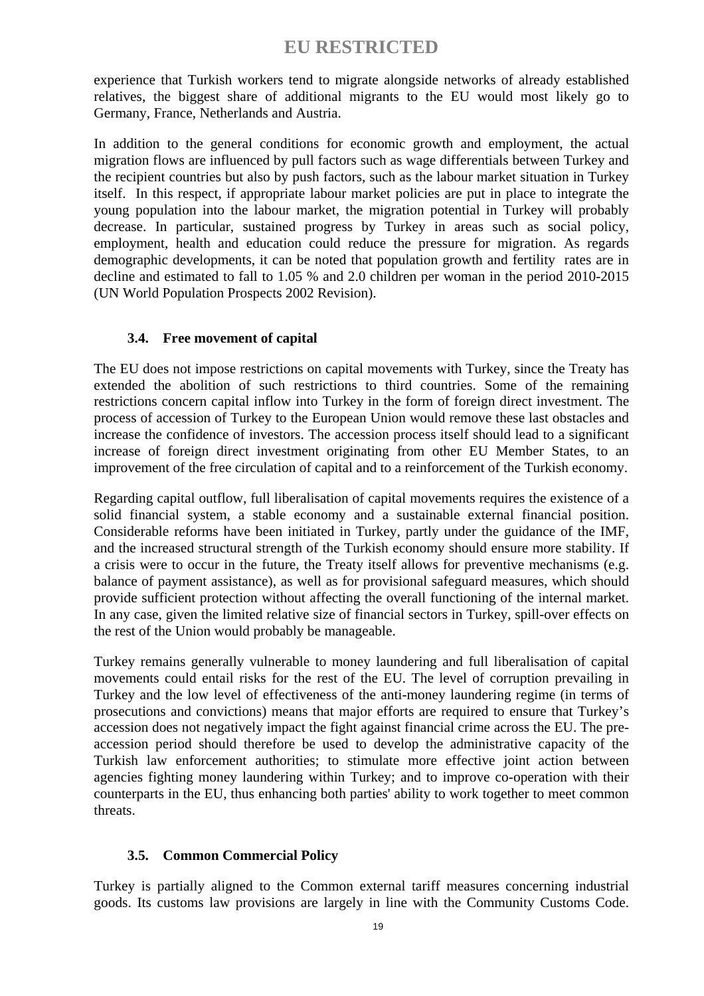experience that Turkish workers tend to migrate alongside networks of already established relatives, the biggest share of additional migrants to the EU would most likely go to Germany, France, Netherlands and Austria.

In addition to the general conditions for economic growth and employment, the actual migration flows are influenced by pull factors such as wage differentials between Turkey and the recipient countries but also by push factors, such as the labour market situation in Turkey itself. In this respect, if appropriate labour market policies are put in place to integrate the young population into the labour market, the migration potential in Turkey will probably decrease. In particular, sustained progress by Turkey in areas such as social policy, employment, health and education could reduce the pressure for migration. As regards demographic developments, it can be noted that population growth and fertility rates are in decline and estimated to fall to 1.05 % and 2.0 children per woman in the period 2010-2015 (UN World Population Prospects 2002 Revision).

### **3.4. Free movement of capital**

The EU does not impose restrictions on capital movements with Turkey, since the Treaty has extended the abolition of such restrictions to third countries. Some of the remaining restrictions concern capital inflow into Turkey in the form of foreign direct investment. The process of accession of Turkey to the European Union would remove these last obstacles and increase the confidence of investors. The accession process itself should lead to a significant increase of foreign direct investment originating from other EU Member States, to an improvement of the free circulation of capital and to a reinforcement of the Turkish economy.

Regarding capital outflow, full liberalisation of capital movements requires the existence of a solid financial system, a stable economy and a sustainable external financial position. Considerable reforms have been initiated in Turkey, partly under the guidance of the IMF, and the increased structural strength of the Turkish economy should ensure more stability. If a crisis were to occur in the future, the Treaty itself allows for preventive mechanisms (e.g. balance of payment assistance), as well as for provisional safeguard measures, which should provide sufficient protection without affecting the overall functioning of the internal market. In any case, given the limited relative size of financial sectors in Turkey, spill-over effects on the rest of the Union would probably be manageable.

Turkey remains generally vulnerable to money laundering and full liberalisation of capital movements could entail risks for the rest of the EU. The level of corruption prevailing in Turkey and the low level of effectiveness of the anti-money laundering regime (in terms of prosecutions and convictions) means that major efforts are required to ensure that Turkey's accession does not negatively impact the fight against financial crime across the EU. The preaccession period should therefore be used to develop the administrative capacity of the Turkish law enforcement authorities; to stimulate more effective joint action between agencies fighting money laundering within Turkey; and to improve co-operation with their counterparts in the EU, thus enhancing both parties' ability to work together to meet common threats.

#### **3.5. Common Commercial Policy**

Turkey is partially aligned to the Common external tariff measures concerning industrial goods. Its customs law provisions are largely in line with the Community Customs Code.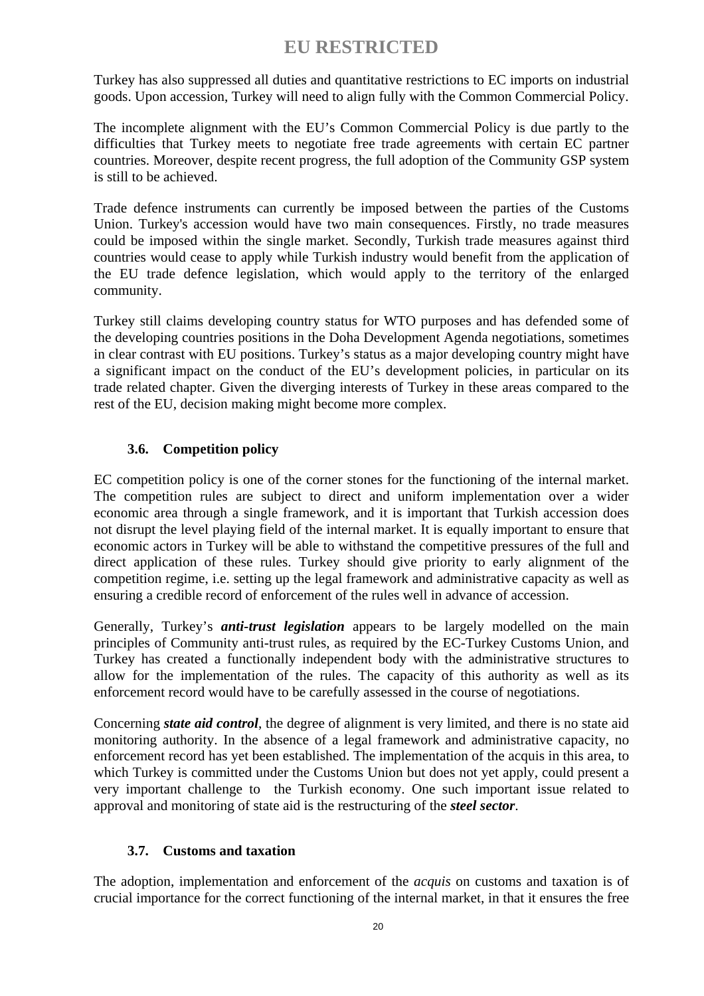Turkey has also suppressed all duties and quantitative restrictions to EC imports on industrial goods. Upon accession, Turkey will need to align fully with the Common Commercial Policy.

The incomplete alignment with the EU's Common Commercial Policy is due partly to the difficulties that Turkey meets to negotiate free trade agreements with certain EC partner countries. Moreover, despite recent progress, the full adoption of the Community GSP system is still to be achieved.

Trade defence instruments can currently be imposed between the parties of the Customs Union. Turkey's accession would have two main consequences. Firstly, no trade measures could be imposed within the single market. Secondly, Turkish trade measures against third countries would cease to apply while Turkish industry would benefit from the application of the EU trade defence legislation, which would apply to the territory of the enlarged community.

Turkey still claims developing country status for WTO purposes and has defended some of the developing countries positions in the Doha Development Agenda negotiations, sometimes in clear contrast with EU positions. Turkey's status as a major developing country might have a significant impact on the conduct of the EU's development policies, in particular on its trade related chapter. Given the diverging interests of Turkey in these areas compared to the rest of the EU, decision making might become more complex.

## **3.6. Competition policy**

EC competition policy is one of the corner stones for the functioning of the internal market. The competition rules are subject to direct and uniform implementation over a wider economic area through a single framework, and it is important that Turkish accession does not disrupt the level playing field of the internal market. It is equally important to ensure that economic actors in Turkey will be able to withstand the competitive pressures of the full and direct application of these rules. Turkey should give priority to early alignment of the competition regime, i.e. setting up the legal framework and administrative capacity as well as ensuring a credible record of enforcement of the rules well in advance of accession.

Generally, Turkey's *anti-trust legislation* appears to be largely modelled on the main principles of Community anti-trust rules, as required by the EC-Turkey Customs Union, and Turkey has created a functionally independent body with the administrative structures to allow for the implementation of the rules. The capacity of this authority as well as its enforcement record would have to be carefully assessed in the course of negotiations.

Concerning *state aid control*, the degree of alignment is very limited, and there is no state aid monitoring authority. In the absence of a legal framework and administrative capacity, no enforcement record has yet been established. The implementation of the acquis in this area, to which Turkey is committed under the Customs Union but does not yet apply, could present a very important challenge to the Turkish economy. One such important issue related to approval and monitoring of state aid is the restructuring of the *steel sector*.

## **3.7. Customs and taxation**

The adoption, implementation and enforcement of the *acquis* on customs and taxation is of crucial importance for the correct functioning of the internal market, in that it ensures the free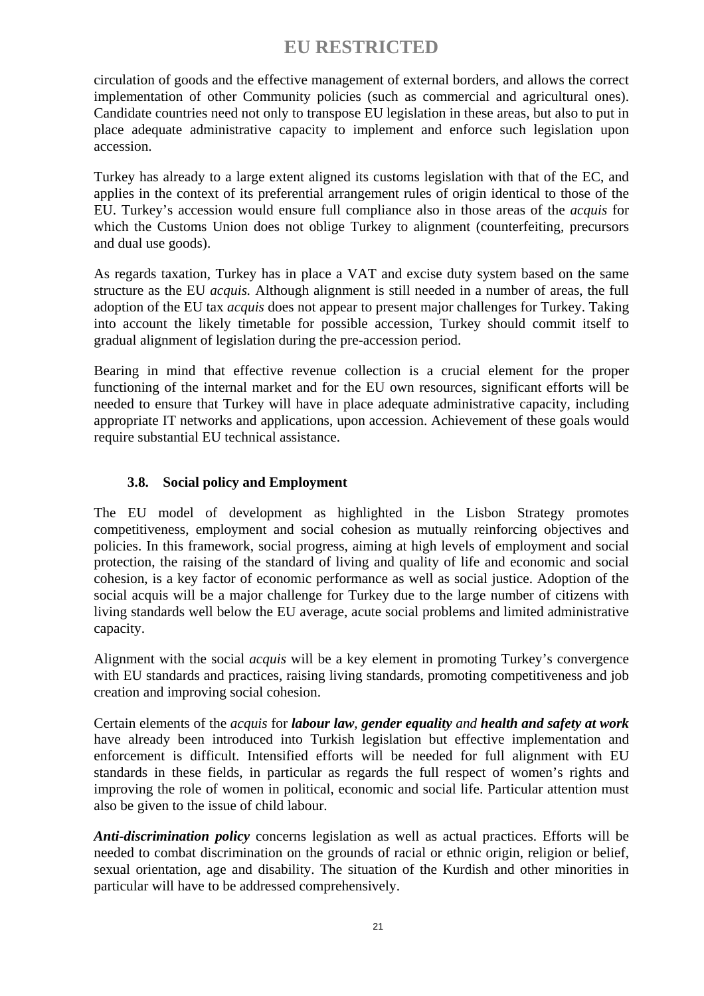circulation of goods and the effective management of external borders, and allows the correct implementation of other Community policies (such as commercial and agricultural ones). Candidate countries need not only to transpose EU legislation in these areas, but also to put in place adequate administrative capacity to implement and enforce such legislation upon accession.

Turkey has already to a large extent aligned its customs legislation with that of the EC, and applies in the context of its preferential arrangement rules of origin identical to those of the EU. Turkey's accession would ensure full compliance also in those areas of the *acquis* for which the Customs Union does not oblige Turkey to alignment (counterfeiting, precursors and dual use goods).

As regards taxation, Turkey has in place a VAT and excise duty system based on the same structure as the EU *acquis.* Although alignment is still needed in a number of areas, the full adoption of the EU tax *acquis* does not appear to present major challenges for Turkey. Taking into account the likely timetable for possible accession, Turkey should commit itself to gradual alignment of legislation during the pre-accession period.

Bearing in mind that effective revenue collection is a crucial element for the proper functioning of the internal market and for the EU own resources, significant efforts will be needed to ensure that Turkey will have in place adequate administrative capacity, including appropriate IT networks and applications, upon accession. Achievement of these goals would require substantial EU technical assistance.

## **3.8. Social policy and Employment**

The EU model of development as highlighted in the Lisbon Strategy promotes competitiveness, employment and social cohesion as mutually reinforcing objectives and policies. In this framework, social progress, aiming at high levels of employment and social protection, the raising of the standard of living and quality of life and economic and social cohesion, is a key factor of economic performance as well as social justice. Adoption of the social acquis will be a major challenge for Turkey due to the large number of citizens with living standards well below the EU average, acute social problems and limited administrative capacity.

Alignment with the social *acquis* will be a key element in promoting Turkey's convergence with EU standards and practices, raising living standards, promoting competitiveness and job creation and improving social cohesion.

Certain elements of the *acquis* for *labour law, gender equality and health and safety at work* have already been introduced into Turkish legislation but effective implementation and enforcement is difficult. Intensified efforts will be needed for full alignment with EU standards in these fields, in particular as regards the full respect of women's rights and improving the role of women in political, economic and social life. Particular attention must also be given to the issue of child labour.

*Anti-discrimination policy* concerns legislation as well as actual practices. Efforts will be needed to combat discrimination on the grounds of racial or ethnic origin, religion or belief, sexual orientation, age and disability. The situation of the Kurdish and other minorities in particular will have to be addressed comprehensively.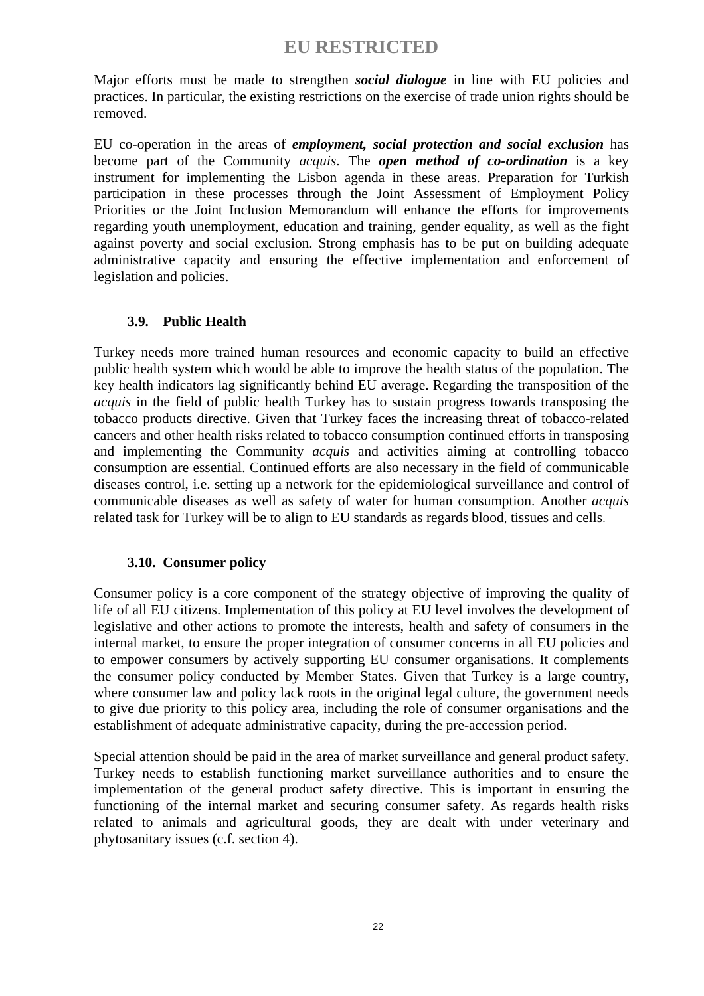Major efforts must be made to strengthen *social dialogue* in line with EU policies and practices. In particular, the existing restrictions on the exercise of trade union rights should be removed.

EU co-operation in the areas of *employment, social protection and social exclusion* has become part of the Community *acquis*. The *open method of co-ordination* is a key instrument for implementing the Lisbon agenda in these areas. Preparation for Turkish participation in these processes through the Joint Assessment of Employment Policy Priorities or the Joint Inclusion Memorandum will enhance the efforts for improvements regarding youth unemployment, education and training, gender equality, as well as the fight against poverty and social exclusion. Strong emphasis has to be put on building adequate administrative capacity and ensuring the effective implementation and enforcement of legislation and policies.

### **3.9. Public Health**

Turkey needs more trained human resources and economic capacity to build an effective public health system which would be able to improve the health status of the population. The key health indicators lag significantly behind EU average. Regarding the transposition of the *acquis* in the field of public health Turkey has to sustain progress towards transposing the tobacco products directive. Given that Turkey faces the increasing threat of tobacco-related cancers and other health risks related to tobacco consumption continued efforts in transposing and implementing the Community *acquis* and activities aiming at controlling tobacco consumption are essential. Continued efforts are also necessary in the field of communicable diseases control, i.e. setting up a network for the epidemiological surveillance and control of communicable diseases as well as safety of water for human consumption. Another *acquis* related task for Turkey will be to align to EU standards as regards blood, tissues and cells.

## **3.10. Consumer policy**

Consumer policy is a core component of the strategy objective of improving the quality of life of all EU citizens. Implementation of this policy at EU level involves the development of legislative and other actions to promote the interests, health and safety of consumers in the internal market, to ensure the proper integration of consumer concerns in all EU policies and to empower consumers by actively supporting EU consumer organisations. It complements the consumer policy conducted by Member States. Given that Turkey is a large country, where consumer law and policy lack roots in the original legal culture, the government needs to give due priority to this policy area, including the role of consumer organisations and the establishment of adequate administrative capacity, during the pre-accession period.

Special attention should be paid in the area of market surveillance and general product safety. Turkey needs to establish functioning market surveillance authorities and to ensure the implementation of the general product safety directive. This is important in ensuring the functioning of the internal market and securing consumer safety. As regards health risks related to animals and agricultural goods, they are dealt with under veterinary and phytosanitary issues (c.f. section 4).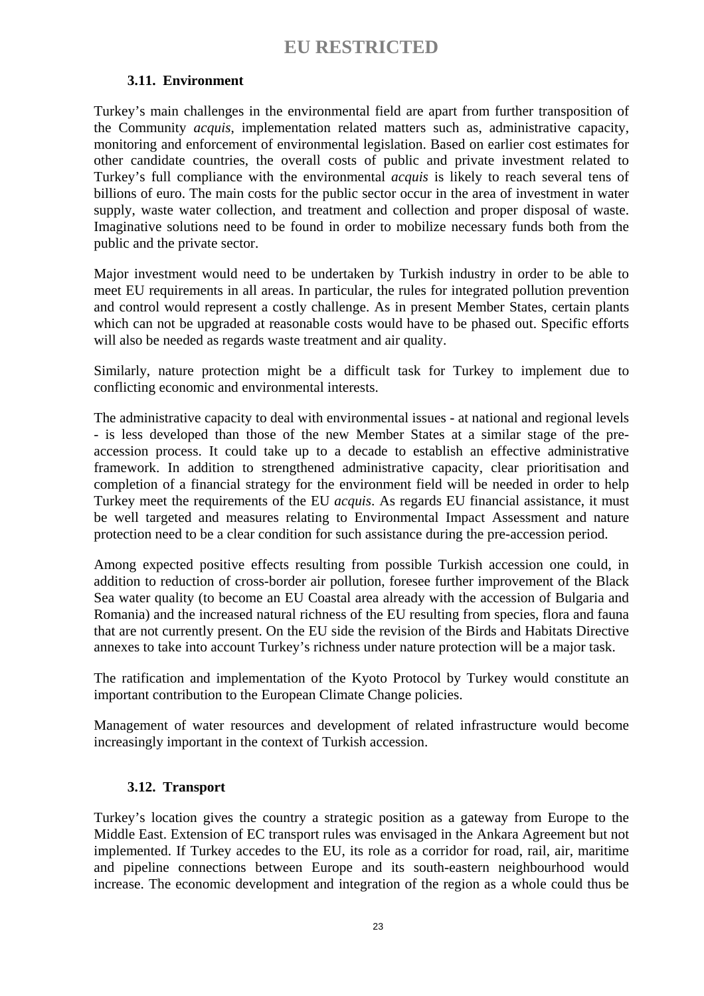### **3.11. Environment**

Turkey's main challenges in the environmental field are apart from further transposition of the Community *acquis*, implementation related matters such as, administrative capacity, monitoring and enforcement of environmental legislation. Based on earlier cost estimates for other candidate countries, the overall costs of public and private investment related to Turkey's full compliance with the environmental *acquis* is likely to reach several tens of billions of euro. The main costs for the public sector occur in the area of investment in water supply, waste water collection, and treatment and collection and proper disposal of waste. Imaginative solutions need to be found in order to mobilize necessary funds both from the public and the private sector.

Major investment would need to be undertaken by Turkish industry in order to be able to meet EU requirements in all areas. In particular, the rules for integrated pollution prevention and control would represent a costly challenge. As in present Member States, certain plants which can not be upgraded at reasonable costs would have to be phased out. Specific efforts will also be needed as regards waste treatment and air quality.

Similarly, nature protection might be a difficult task for Turkey to implement due to conflicting economic and environmental interests.

The administrative capacity to deal with environmental issues - at national and regional levels - is less developed than those of the new Member States at a similar stage of the preaccession process. It could take up to a decade to establish an effective administrative framework. In addition to strengthened administrative capacity, clear prioritisation and completion of a financial strategy for the environment field will be needed in order to help Turkey meet the requirements of the EU *acquis*. As regards EU financial assistance, it must be well targeted and measures relating to Environmental Impact Assessment and nature protection need to be a clear condition for such assistance during the pre-accession period.

Among expected positive effects resulting from possible Turkish accession one could, in addition to reduction of cross-border air pollution, foresee further improvement of the Black Sea water quality (to become an EU Coastal area already with the accession of Bulgaria and Romania) and the increased natural richness of the EU resulting from species, flora and fauna that are not currently present. On the EU side the revision of the Birds and Habitats Directive annexes to take into account Turkey's richness under nature protection will be a major task.

The ratification and implementation of the Kyoto Protocol by Turkey would constitute an important contribution to the European Climate Change policies.

Management of water resources and development of related infrastructure would become increasingly important in the context of Turkish accession.

## **3.12. Transport**

Turkey's location gives the country a strategic position as a gateway from Europe to the Middle East. Extension of EC transport rules was envisaged in the Ankara Agreement but not implemented. If Turkey accedes to the EU, its role as a corridor for road, rail, air, maritime and pipeline connections between Europe and its south-eastern neighbourhood would increase. The economic development and integration of the region as a whole could thus be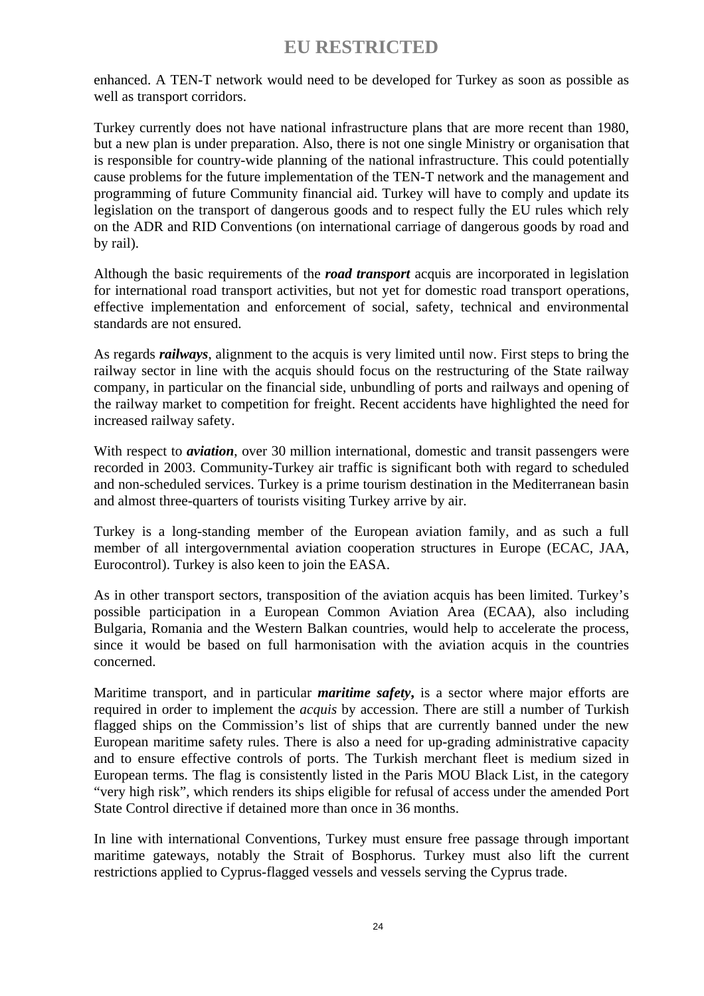enhanced. A TEN-T network would need to be developed for Turkey as soon as possible as well as transport corridors.

Turkey currently does not have national infrastructure plans that are more recent than 1980, but a new plan is under preparation. Also, there is not one single Ministry or organisation that is responsible for country-wide planning of the national infrastructure. This could potentially cause problems for the future implementation of the TEN-T network and the management and programming of future Community financial aid. Turkey will have to comply and update its legislation on the transport of dangerous goods and to respect fully the EU rules which rely on the ADR and RID Conventions (on international carriage of dangerous goods by road and by rail).

Although the basic requirements of the *road transport* acquis are incorporated in legislation for international road transport activities, but not yet for domestic road transport operations, effective implementation and enforcement of social, safety, technical and environmental standards are not ensured.

As regards *railways*, alignment to the acquis is very limited until now. First steps to bring the railway sector in line with the acquis should focus on the restructuring of the State railway company, in particular on the financial side, unbundling of ports and railways and opening of the railway market to competition for freight. Recent accidents have highlighted the need for increased railway safety.

With respect to *aviation*, over 30 million international, domestic and transit passengers were recorded in 2003. Community-Turkey air traffic is significant both with regard to scheduled and non-scheduled services. Turkey is a prime tourism destination in the Mediterranean basin and almost three-quarters of tourists visiting Turkey arrive by air.

Turkey is a long-standing member of the European aviation family, and as such a full member of all intergovernmental aviation cooperation structures in Europe (ECAC, JAA, Eurocontrol). Turkey is also keen to join the EASA.

As in other transport sectors, transposition of the aviation acquis has been limited. Turkey's possible participation in a European Common Aviation Area (ECAA), also including Bulgaria, Romania and the Western Balkan countries, would help to accelerate the process, since it would be based on full harmonisation with the aviation acquis in the countries concerned.

Maritime transport, and in particular *maritime safety***,** is a sector where major efforts are required in order to implement the *acquis* by accession. There are still a number of Turkish flagged ships on the Commission's list of ships that are currently banned under the new European maritime safety rules. There is also a need for up-grading administrative capacity and to ensure effective controls of ports. The Turkish merchant fleet is medium sized in European terms. The flag is consistently listed in the Paris MOU Black List, in the category "very high risk", which renders its ships eligible for refusal of access under the amended Port State Control directive if detained more than once in 36 months.

In line with international Conventions, Turkey must ensure free passage through important maritime gateways, notably the Strait of Bosphorus. Turkey must also lift the current restrictions applied to Cyprus-flagged vessels and vessels serving the Cyprus trade.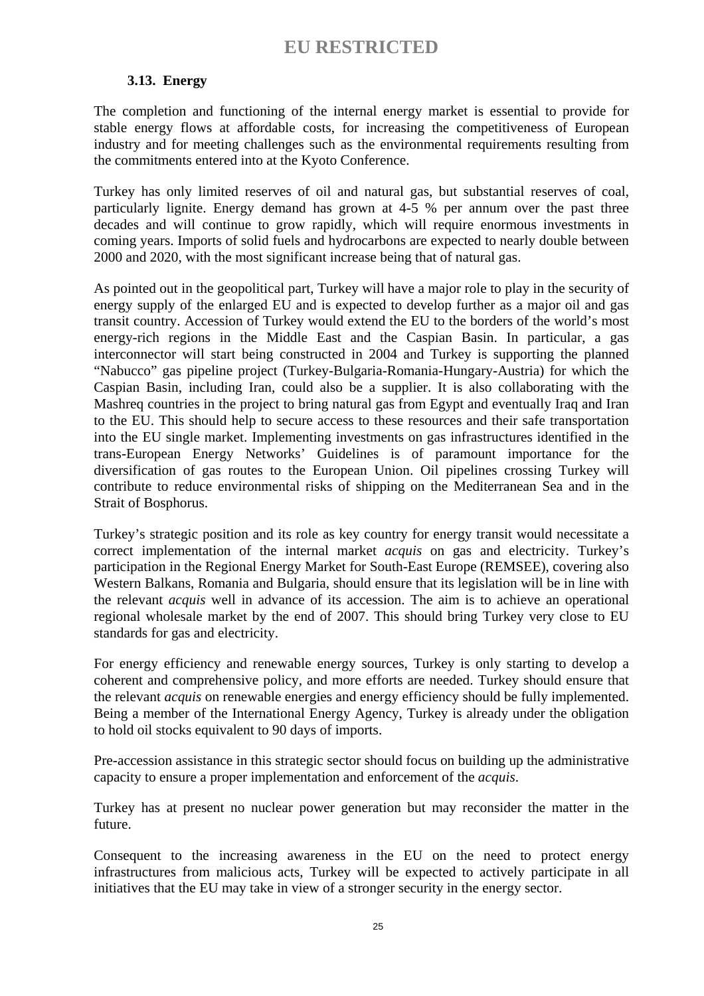## **3.13. Energy**

The completion and functioning of the internal energy market is essential to provide for stable energy flows at affordable costs, for increasing the competitiveness of European industry and for meeting challenges such as the environmental requirements resulting from the commitments entered into at the Kyoto Conference.

Turkey has only limited reserves of oil and natural gas, but substantial reserves of coal, particularly lignite. Energy demand has grown at 4-5 % per annum over the past three decades and will continue to grow rapidly, which will require enormous investments in coming years. Imports of solid fuels and hydrocarbons are expected to nearly double between 2000 and 2020, with the most significant increase being that of natural gas.

As pointed out in the geopolitical part, Turkey will have a major role to play in the security of energy supply of the enlarged EU and is expected to develop further as a major oil and gas transit country. Accession of Turkey would extend the EU to the borders of the world's most energy-rich regions in the Middle East and the Caspian Basin. In particular, a gas interconnector will start being constructed in 2004 and Turkey is supporting the planned "Nabucco" gas pipeline project (Turkey-Bulgaria-Romania-Hungary-Austria) for which the Caspian Basin, including Iran, could also be a supplier. It is also collaborating with the Mashreq countries in the project to bring natural gas from Egypt and eventually Iraq and Iran to the EU. This should help to secure access to these resources and their safe transportation into the EU single market. Implementing investments on gas infrastructures identified in the trans-European Energy Networks' Guidelines is of paramount importance for the diversification of gas routes to the European Union. Oil pipelines crossing Turkey will contribute to reduce environmental risks of shipping on the Mediterranean Sea and in the Strait of Bosphorus.

Turkey's strategic position and its role as key country for energy transit would necessitate a correct implementation of the internal market *acquis* on gas and electricity. Turkey's participation in the Regional Energy Market for South-East Europe (REMSEE), covering also Western Balkans, Romania and Bulgaria, should ensure that its legislation will be in line with the relevant *acquis* well in advance of its accession. The aim is to achieve an operational regional wholesale market by the end of 2007. This should bring Turkey very close to EU standards for gas and electricity.

For energy efficiency and renewable energy sources, Turkey is only starting to develop a coherent and comprehensive policy, and more efforts are needed. Turkey should ensure that the relevant *acquis* on renewable energies and energy efficiency should be fully implemented. Being a member of the International Energy Agency, Turkey is already under the obligation to hold oil stocks equivalent to 90 days of imports.

Pre-accession assistance in this strategic sector should focus on building up the administrative capacity to ensure a proper implementation and enforcement of the *acquis*.

Turkey has at present no nuclear power generation but may reconsider the matter in the future.

Consequent to the increasing awareness in the EU on the need to protect energy infrastructures from malicious acts, Turkey will be expected to actively participate in all initiatives that the EU may take in view of a stronger security in the energy sector.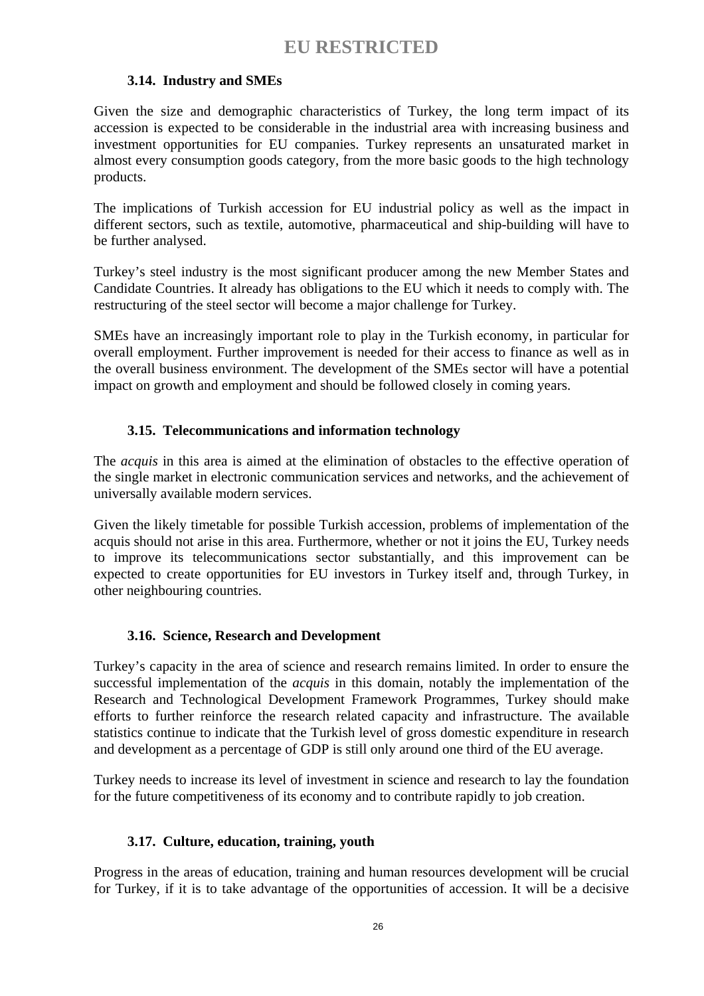## **3.14. Industry and SMEs**

Given the size and demographic characteristics of Turkey, the long term impact of its accession is expected to be considerable in the industrial area with increasing business and investment opportunities for EU companies. Turkey represents an unsaturated market in almost every consumption goods category, from the more basic goods to the high technology products.

The implications of Turkish accession for EU industrial policy as well as the impact in different sectors, such as textile, automotive, pharmaceutical and ship-building will have to be further analysed.

Turkey's steel industry is the most significant producer among the new Member States and Candidate Countries. It already has obligations to the EU which it needs to comply with. The restructuring of the steel sector will become a major challenge for Turkey.

SMEs have an increasingly important role to play in the Turkish economy, in particular for overall employment. Further improvement is needed for their access to finance as well as in the overall business environment. The development of the SMEs sector will have a potential impact on growth and employment and should be followed closely in coming years.

## **3.15. Telecommunications and information technology**

The *acquis* in this area is aimed at the elimination of obstacles to the effective operation of the single market in electronic communication services and networks, and the achievement of universally available modern services.

Given the likely timetable for possible Turkish accession, problems of implementation of the acquis should not arise in this area. Furthermore, whether or not it joins the EU, Turkey needs to improve its telecommunications sector substantially, and this improvement can be expected to create opportunities for EU investors in Turkey itself and, through Turkey, in other neighbouring countries.

## **3.16. Science, Research and Development**

Turkey's capacity in the area of science and research remains limited. In order to ensure the successful implementation of the *acquis* in this domain, notably the implementation of the Research and Technological Development Framework Programmes, Turkey should make efforts to further reinforce the research related capacity and infrastructure. The available statistics continue to indicate that the Turkish level of gross domestic expenditure in research and development as a percentage of GDP is still only around one third of the EU average.

Turkey needs to increase its level of investment in science and research to lay the foundation for the future competitiveness of its economy and to contribute rapidly to job creation.

## **3.17. Culture, education, training, youth**

Progress in the areas of education, training and human resources development will be crucial for Turkey, if it is to take advantage of the opportunities of accession. It will be a decisive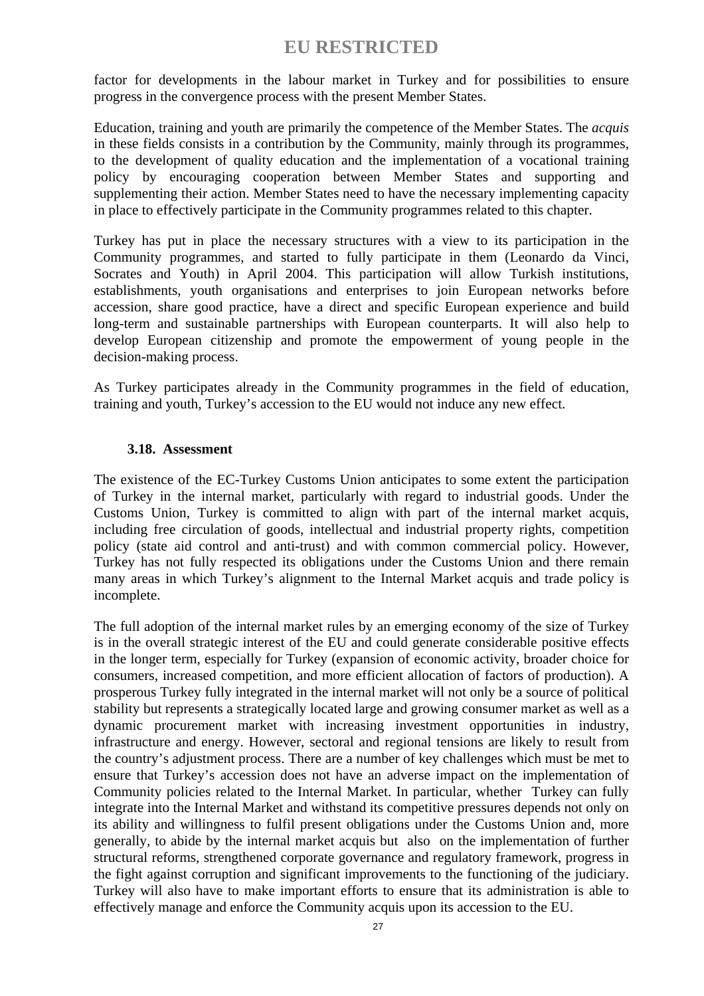factor for developments in the labour market in Turkey and for possibilities to ensure progress in the convergence process with the present Member States.

Education, training and youth are primarily the competence of the Member States. The *acquis* in these fields consists in a contribution by the Community, mainly through its programmes, to the development of quality education and the implementation of a vocational training policy by encouraging cooperation between Member States and supporting and supplementing their action. Member States need to have the necessary implementing capacity in place to effectively participate in the Community programmes related to this chapter.

Turkey has put in place the necessary structures with a view to its participation in the Community programmes, and started to fully participate in them (Leonardo da Vinci, Socrates and Youth) in April 2004. This participation will allow Turkish institutions, establishments, youth organisations and enterprises to join European networks before accession, share good practice, have a direct and specific European experience and build long-term and sustainable partnerships with European counterparts. It will also help to develop European citizenship and promote the empowerment of young people in the decision-making process.

As Turkey participates already in the Community programmes in the field of education, training and youth, Turkey's accession to the EU would not induce any new effect.

#### **3.18. Assessment**

The existence of the EC-Turkey Customs Union anticipates to some extent the participation of Turkey in the internal market, particularly with regard to industrial goods. Under the Customs Union, Turkey is committed to align with part of the internal market acquis, including free circulation of goods, intellectual and industrial property rights, competition policy (state aid control and anti-trust) and with common commercial policy. However, Turkey has not fully respected its obligations under the Customs Union and there remain many areas in which Turkey's alignment to the Internal Market acquis and trade policy is incomplete.

The full adoption of the internal market rules by an emerging economy of the size of Turkey is in the overall strategic interest of the EU and could generate considerable positive effects in the longer term, especially for Turkey (expansion of economic activity, broader choice for consumers, increased competition, and more efficient allocation of factors of production). A prosperous Turkey fully integrated in the internal market will not only be a source of political stability but represents a strategically located large and growing consumer market as well as a dynamic procurement market with increasing investment opportunities in industry, infrastructure and energy. However, sectoral and regional tensions are likely to result from the country's adjustment process. There are a number of key challenges which must be met to ensure that Turkey's accession does not have an adverse impact on the implementation of Community policies related to the Internal Market. In particular, whether Turkey can fully integrate into the Internal Market and withstand its competitive pressures depends not only on its ability and willingness to fulfil present obligations under the Customs Union and, more generally, to abide by the internal market acquis but also on the implementation of further structural reforms, strengthened corporate governance and regulatory framework, progress in the fight against corruption and significant improvements to the functioning of the judiciary. Turkey will also have to make important efforts to ensure that its administration is able to effectively manage and enforce the Community acquis upon its accession to the EU.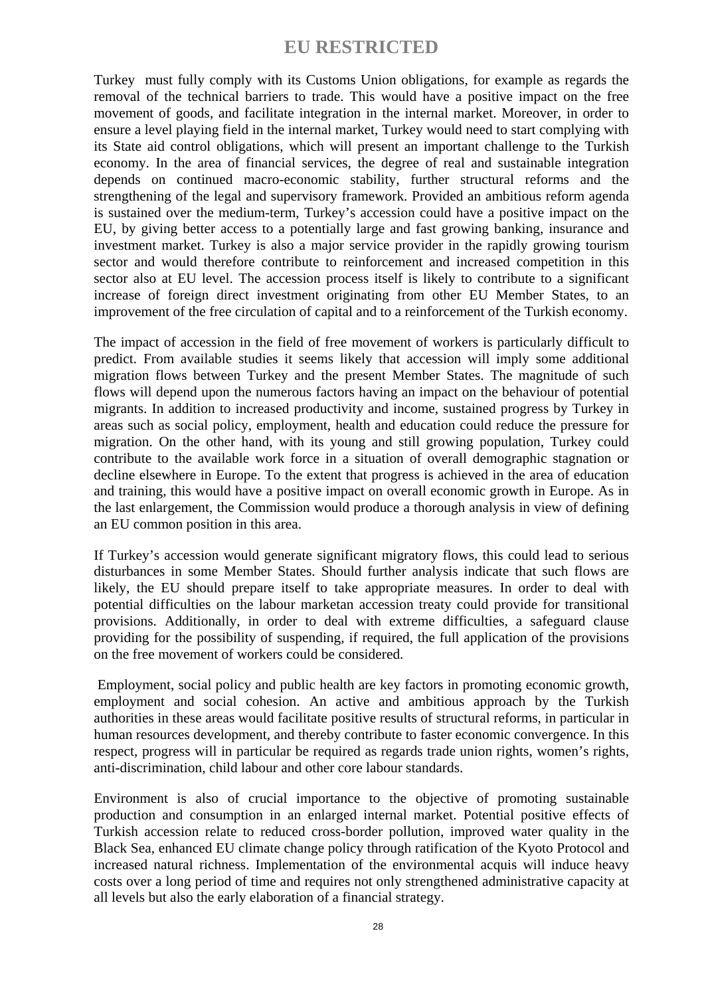Turkey must fully comply with its Customs Union obligations, for example as regards the removal of the technical barriers to trade. This would have a positive impact on the free movement of goods, and facilitate integration in the internal market. Moreover, in order to ensure a level playing field in the internal market, Turkey would need to start complying with its State aid control obligations, which will present an important challenge to the Turkish economy. In the area of financial services, the degree of real and sustainable integration depends on continued macro-economic stability, further structural reforms and the strengthening of the legal and supervisory framework. Provided an ambitious reform agenda is sustained over the medium-term, Turkey's accession could have a positive impact on the EU, by giving better access to a potentially large and fast growing banking, insurance and investment market. Turkey is also a major service provider in the rapidly growing tourism sector and would therefore contribute to reinforcement and increased competition in this sector also at EU level. The accession process itself is likely to contribute to a significant increase of foreign direct investment originating from other EU Member States, to an improvement of the free circulation of capital and to a reinforcement of the Turkish economy.

The impact of accession in the field of free movement of workers is particularly difficult to predict. From available studies it seems likely that accession will imply some additional migration flows between Turkey and the present Member States. The magnitude of such flows will depend upon the numerous factors having an impact on the behaviour of potential migrants. In addition to increased productivity and income, sustained progress by Turkey in areas such as social policy, employment, health and education could reduce the pressure for migration. On the other hand, with its young and still growing population, Turkey could contribute to the available work force in a situation of overall demographic stagnation or decline elsewhere in Europe. To the extent that progress is achieved in the area of education and training, this would have a positive impact on overall economic growth in Europe. As in the last enlargement, the Commission would produce a thorough analysis in view of defining an EU common position in this area.

If Turkey's accession would generate significant migratory flows, this could lead to serious disturbances in some Member States. Should further analysis indicate that such flows are likely, the EU should prepare itself to take appropriate measures. In order to deal with potential difficulties on the labour marketan accession treaty could provide for transitional provisions. Additionally, in order to deal with extreme difficulties, a safeguard clause providing for the possibility of suspending, if required, the full application of the provisions on the free movement of workers could be considered.

 Employment, social policy and public health are key factors in promoting economic growth, employment and social cohesion. An active and ambitious approach by the Turkish authorities in these areas would facilitate positive results of structural reforms, in particular in human resources development, and thereby contribute to faster economic convergence. In this respect, progress will in particular be required as regards trade union rights, women's rights, anti-discrimination, child labour and other core labour standards.

Environment is also of crucial importance to the objective of promoting sustainable production and consumption in an enlarged internal market. Potential positive effects of Turkish accession relate to reduced cross-border pollution, improved water quality in the Black Sea, enhanced EU climate change policy through ratification of the Kyoto Protocol and increased natural richness. Implementation of the environmental acquis will induce heavy costs over a long period of time and requires not only strengthened administrative capacity at all levels but also the early elaboration of a financial strategy.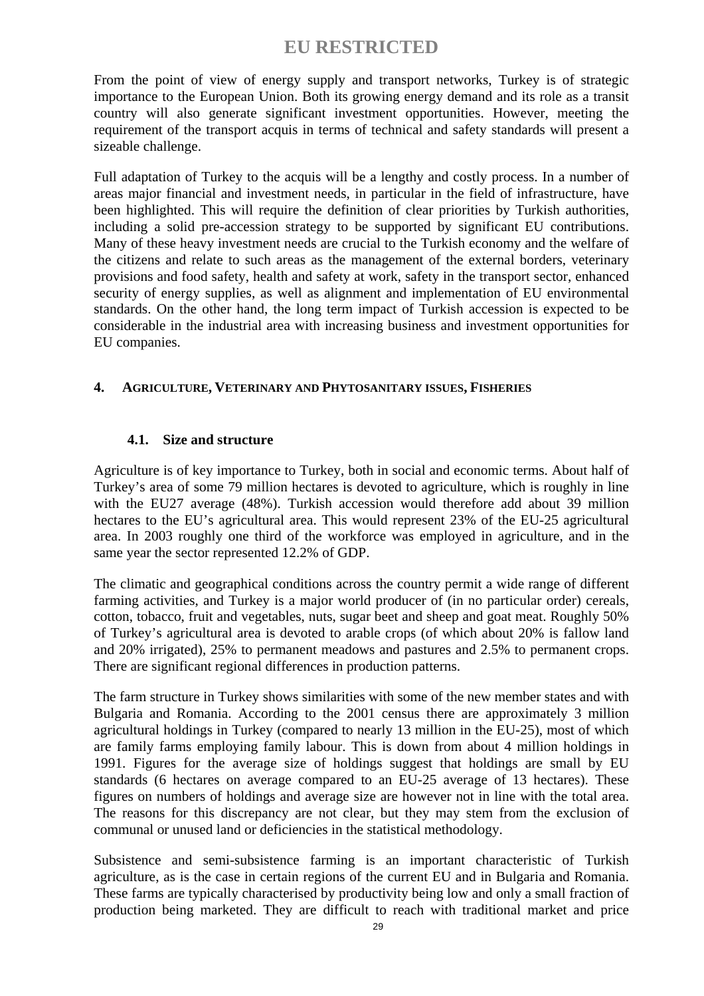From the point of view of energy supply and transport networks, Turkey is of strategic importance to the European Union. Both its growing energy demand and its role as a transit country will also generate significant investment opportunities. However, meeting the requirement of the transport acquis in terms of technical and safety standards will present a sizeable challenge.

Full adaptation of Turkey to the acquis will be a lengthy and costly process. In a number of areas major financial and investment needs, in particular in the field of infrastructure, have been highlighted. This will require the definition of clear priorities by Turkish authorities, including a solid pre-accession strategy to be supported by significant EU contributions. Many of these heavy investment needs are crucial to the Turkish economy and the welfare of the citizens and relate to such areas as the management of the external borders, veterinary provisions and food safety, health and safety at work, safety in the transport sector, enhanced security of energy supplies, as well as alignment and implementation of EU environmental standards. On the other hand, the long term impact of Turkish accession is expected to be considerable in the industrial area with increasing business and investment opportunities for EU companies.

## **4. AGRICULTURE, VETERINARY AND PHYTOSANITARY ISSUES, FISHERIES**

### **4.1. Size and structure**

Agriculture is of key importance to Turkey, both in social and economic terms. About half of Turkey's area of some 79 million hectares is devoted to agriculture, which is roughly in line with the EU27 average (48%). Turkish accession would therefore add about 39 million hectares to the EU's agricultural area. This would represent 23% of the EU-25 agricultural area. In 2003 roughly one third of the workforce was employed in agriculture, and in the same year the sector represented 12.2% of GDP.

The climatic and geographical conditions across the country permit a wide range of different farming activities, and Turkey is a major world producer of (in no particular order) cereals, cotton, tobacco, fruit and vegetables, nuts, sugar beet and sheep and goat meat. Roughly 50% of Turkey's agricultural area is devoted to arable crops (of which about 20% is fallow land and 20% irrigated), 25% to permanent meadows and pastures and 2.5% to permanent crops. There are significant regional differences in production patterns.

The farm structure in Turkey shows similarities with some of the new member states and with Bulgaria and Romania. According to the 2001 census there are approximately 3 million agricultural holdings in Turkey (compared to nearly 13 million in the EU-25), most of which are family farms employing family labour. This is down from about 4 million holdings in 1991. Figures for the average size of holdings suggest that holdings are small by EU standards (6 hectares on average compared to an EU-25 average of 13 hectares). These figures on numbers of holdings and average size are however not in line with the total area. The reasons for this discrepancy are not clear, but they may stem from the exclusion of communal or unused land or deficiencies in the statistical methodology.

Subsistence and semi-subsistence farming is an important characteristic of Turkish agriculture, as is the case in certain regions of the current EU and in Bulgaria and Romania. These farms are typically characterised by productivity being low and only a small fraction of production being marketed. They are difficult to reach with traditional market and price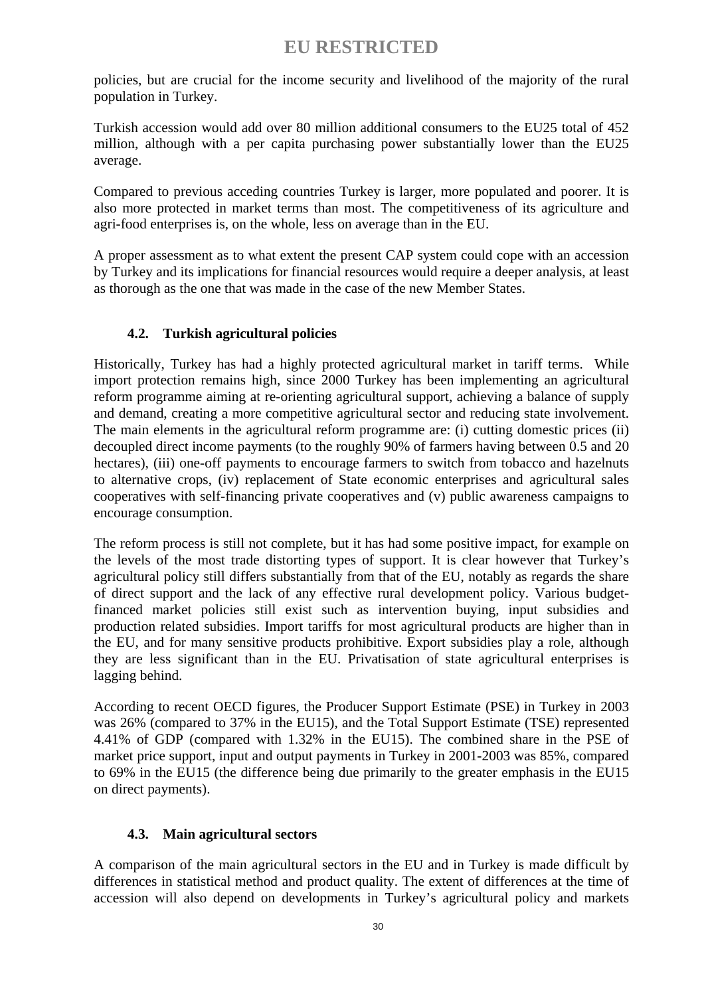policies, but are crucial for the income security and livelihood of the majority of the rural population in Turkey.

Turkish accession would add over 80 million additional consumers to the EU25 total of 452 million, although with a per capita purchasing power substantially lower than the EU25 average.

Compared to previous acceding countries Turkey is larger, more populated and poorer. It is also more protected in market terms than most. The competitiveness of its agriculture and agri-food enterprises is, on the whole, less on average than in the EU.

A proper assessment as to what extent the present CAP system could cope with an accession by Turkey and its implications for financial resources would require a deeper analysis, at least as thorough as the one that was made in the case of the new Member States.

## **4.2. Turkish agricultural policies**

Historically, Turkey has had a highly protected agricultural market in tariff terms. While import protection remains high, since 2000 Turkey has been implementing an agricultural reform programme aiming at re-orienting agricultural support, achieving a balance of supply and demand, creating a more competitive agricultural sector and reducing state involvement. The main elements in the agricultural reform programme are: (i) cutting domestic prices (ii) decoupled direct income payments (to the roughly 90% of farmers having between 0.5 and 20 hectares), (iii) one-off payments to encourage farmers to switch from tobacco and hazelnuts to alternative crops, (iv) replacement of State economic enterprises and agricultural sales cooperatives with self-financing private cooperatives and (v) public awareness campaigns to encourage consumption.

The reform process is still not complete, but it has had some positive impact, for example on the levels of the most trade distorting types of support. It is clear however that Turkey's agricultural policy still differs substantially from that of the EU, notably as regards the share of direct support and the lack of any effective rural development policy. Various budgetfinanced market policies still exist such as intervention buying, input subsidies and production related subsidies. Import tariffs for most agricultural products are higher than in the EU, and for many sensitive products prohibitive. Export subsidies play a role, although they are less significant than in the EU. Privatisation of state agricultural enterprises is lagging behind.

According to recent OECD figures, the Producer Support Estimate (PSE) in Turkey in 2003 was 26% (compared to 37% in the EU15), and the Total Support Estimate (TSE) represented 4.41% of GDP (compared with 1.32% in the EU15). The combined share in the PSE of market price support, input and output payments in Turkey in 2001-2003 was 85%, compared to 69% in the EU15 (the difference being due primarily to the greater emphasis in the EU15 on direct payments).

## **4.3. Main agricultural sectors**

A comparison of the main agricultural sectors in the EU and in Turkey is made difficult by differences in statistical method and product quality. The extent of differences at the time of accession will also depend on developments in Turkey's agricultural policy and markets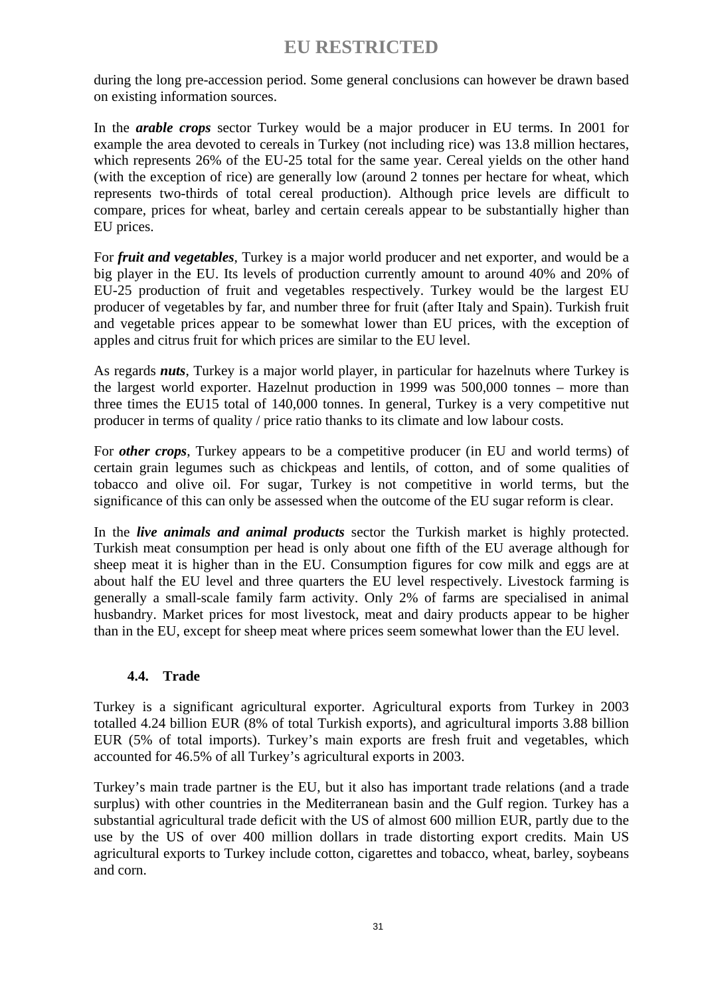during the long pre-accession period. Some general conclusions can however be drawn based on existing information sources.

In the *arable crops* sector Turkey would be a major producer in EU terms. In 2001 for example the area devoted to cereals in Turkey (not including rice) was 13.8 million hectares, which represents 26% of the EU-25 total for the same year. Cereal yields on the other hand (with the exception of rice) are generally low (around 2 tonnes per hectare for wheat, which represents two-thirds of total cereal production). Although price levels are difficult to compare, prices for wheat, barley and certain cereals appear to be substantially higher than EU prices.

For *fruit and vegetables*, Turkey is a major world producer and net exporter, and would be a big player in the EU. Its levels of production currently amount to around 40% and 20% of EU-25 production of fruit and vegetables respectively. Turkey would be the largest EU producer of vegetables by far, and number three for fruit (after Italy and Spain). Turkish fruit and vegetable prices appear to be somewhat lower than EU prices, with the exception of apples and citrus fruit for which prices are similar to the EU level.

As regards *nuts*, Turkey is a major world player, in particular for hazelnuts where Turkey is the largest world exporter. Hazelnut production in 1999 was 500,000 tonnes – more than three times the EU15 total of 140,000 tonnes. In general, Turkey is a very competitive nut producer in terms of quality / price ratio thanks to its climate and low labour costs.

For *other crops*, Turkey appears to be a competitive producer (in EU and world terms) of certain grain legumes such as chickpeas and lentils, of cotton, and of some qualities of tobacco and olive oil. For sugar, Turkey is not competitive in world terms, but the significance of this can only be assessed when the outcome of the EU sugar reform is clear.

In the *live animals and animal products* sector the Turkish market is highly protected. Turkish meat consumption per head is only about one fifth of the EU average although for sheep meat it is higher than in the EU. Consumption figures for cow milk and eggs are at about half the EU level and three quarters the EU level respectively. Livestock farming is generally a small-scale family farm activity. Only 2% of farms are specialised in animal husbandry. Market prices for most livestock, meat and dairy products appear to be higher than in the EU, except for sheep meat where prices seem somewhat lower than the EU level.

## **4.4. Trade**

Turkey is a significant agricultural exporter. Agricultural exports from Turkey in 2003 totalled 4.24 billion EUR (8% of total Turkish exports), and agricultural imports 3.88 billion EUR (5% of total imports). Turkey's main exports are fresh fruit and vegetables, which accounted for 46.5% of all Turkey's agricultural exports in 2003.

Turkey's main trade partner is the EU, but it also has important trade relations (and a trade surplus) with other countries in the Mediterranean basin and the Gulf region. Turkey has a substantial agricultural trade deficit with the US of almost 600 million EUR, partly due to the use by the US of over 400 million dollars in trade distorting export credits. Main US agricultural exports to Turkey include cotton, cigarettes and tobacco, wheat, barley, soybeans and corn.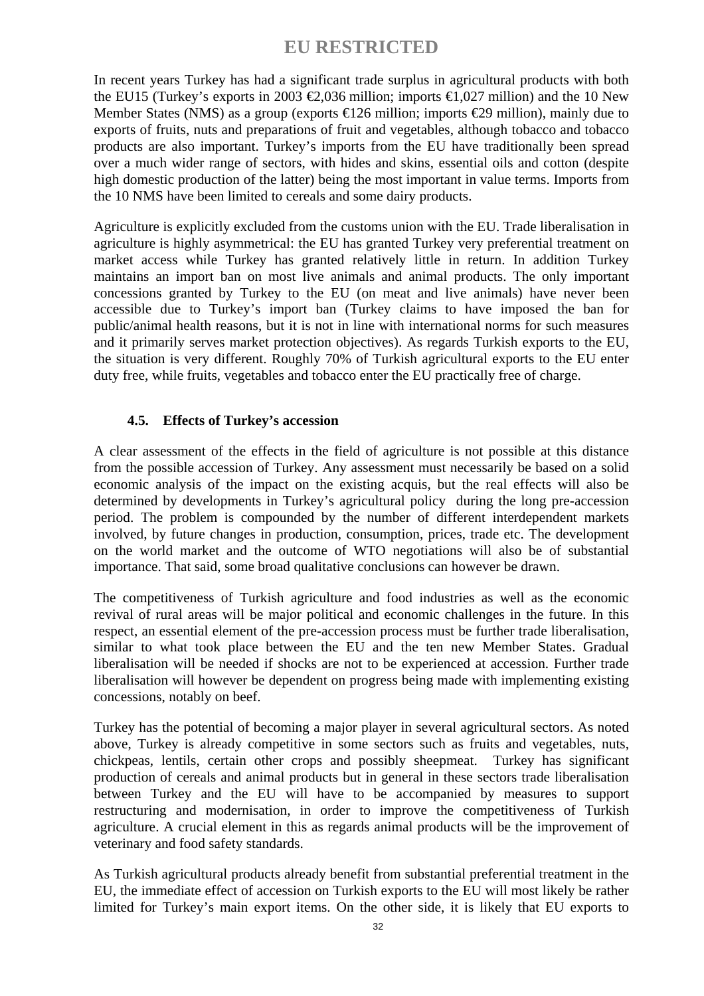In recent years Turkey has had a significant trade surplus in agricultural products with both the EU15 (Turkey's exports in 2003  $\epsilon$ , 036 million; imports  $\epsilon$ , 027 million) and the 10 New Member States (NMS) as a group (exports  $\in$  26 million; imports  $\in$  9 million), mainly due to exports of fruits, nuts and preparations of fruit and vegetables, although tobacco and tobacco products are also important. Turkey's imports from the EU have traditionally been spread over a much wider range of sectors, with hides and skins, essential oils and cotton (despite high domestic production of the latter) being the most important in value terms. Imports from the 10 NMS have been limited to cereals and some dairy products.

Agriculture is explicitly excluded from the customs union with the EU. Trade liberalisation in agriculture is highly asymmetrical: the EU has granted Turkey very preferential treatment on market access while Turkey has granted relatively little in return. In addition Turkey maintains an import ban on most live animals and animal products. The only important concessions granted by Turkey to the EU (on meat and live animals) have never been accessible due to Turkey's import ban (Turkey claims to have imposed the ban for public/animal health reasons, but it is not in line with international norms for such measures and it primarily serves market protection objectives). As regards Turkish exports to the EU, the situation is very different. Roughly 70% of Turkish agricultural exports to the EU enter duty free, while fruits, vegetables and tobacco enter the EU practically free of charge.

### **4.5. Effects of Turkey's accession**

A clear assessment of the effects in the field of agriculture is not possible at this distance from the possible accession of Turkey. Any assessment must necessarily be based on a solid economic analysis of the impact on the existing acquis, but the real effects will also be determined by developments in Turkey's agricultural policy during the long pre-accession period. The problem is compounded by the number of different interdependent markets involved, by future changes in production, consumption, prices, trade etc. The development on the world market and the outcome of WTO negotiations will also be of substantial importance. That said, some broad qualitative conclusions can however be drawn.

The competitiveness of Turkish agriculture and food industries as well as the economic revival of rural areas will be major political and economic challenges in the future. In this respect, an essential element of the pre-accession process must be further trade liberalisation, similar to what took place between the EU and the ten new Member States. Gradual liberalisation will be needed if shocks are not to be experienced at accession. Further trade liberalisation will however be dependent on progress being made with implementing existing concessions, notably on beef.

Turkey has the potential of becoming a major player in several agricultural sectors. As noted above, Turkey is already competitive in some sectors such as fruits and vegetables, nuts, chickpeas, lentils, certain other crops and possibly sheepmeat. Turkey has significant production of cereals and animal products but in general in these sectors trade liberalisation between Turkey and the EU will have to be accompanied by measures to support restructuring and modernisation, in order to improve the competitiveness of Turkish agriculture. A crucial element in this as regards animal products will be the improvement of veterinary and food safety standards.

As Turkish agricultural products already benefit from substantial preferential treatment in the EU, the immediate effect of accession on Turkish exports to the EU will most likely be rather limited for Turkey's main export items. On the other side, it is likely that EU exports to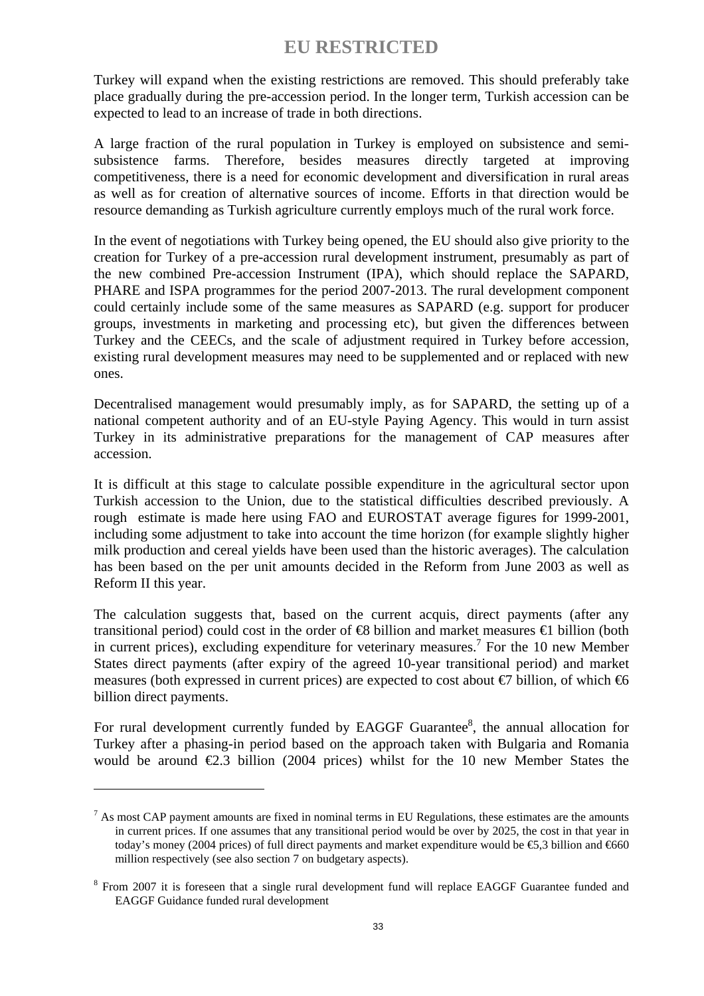Turkey will expand when the existing restrictions are removed. This should preferably take place gradually during the pre-accession period. In the longer term, Turkish accession can be expected to lead to an increase of trade in both directions.

A large fraction of the rural population in Turkey is employed on subsistence and semisubsistence farms. Therefore, besides measures directly targeted at improving competitiveness, there is a need for economic development and diversification in rural areas as well as for creation of alternative sources of income. Efforts in that direction would be resource demanding as Turkish agriculture currently employs much of the rural work force.

In the event of negotiations with Turkey being opened, the EU should also give priority to the creation for Turkey of a pre-accession rural development instrument, presumably as part of the new combined Pre-accession Instrument (IPA), which should replace the SAPARD, PHARE and ISPA programmes for the period 2007-2013. The rural development component could certainly include some of the same measures as SAPARD (e.g. support for producer groups, investments in marketing and processing etc), but given the differences between Turkey and the CEECs, and the scale of adjustment required in Turkey before accession, existing rural development measures may need to be supplemented and or replaced with new ones.

Decentralised management would presumably imply, as for SAPARD, the setting up of a national competent authority and of an EU-style Paying Agency. This would in turn assist Turkey in its administrative preparations for the management of CAP measures after accession.

It is difficult at this stage to calculate possible expenditure in the agricultural sector upon Turkish accession to the Union, due to the statistical difficulties described previously. A rough estimate is made here using FAO and EUROSTAT average figures for 1999-2001, including some adjustment to take into account the time horizon (for example slightly higher milk production and cereal yields have been used than the historic averages). The calculation has been based on the per unit amounts decided in the Reform from June 2003 as well as Reform II this year.

The calculation suggests that, based on the current acquis, direct payments (after any transitional period) could cost in the order of  $\bigoplus$  billion and market measures  $\bigoplus$  billion (both in current prices), excluding expenditure for veterinary measures.<sup>7</sup> For the 10 new Member States direct payments (after expiry of the agreed 10-year transitional period) and market measures (both expressed in current prices) are expected to cost about  $\epsilon$  billion, of which  $\epsilon$ billion direct payments.

For rural development currently funded by EAGGF Guarantee<sup>8</sup>, the annual allocation for Turkey after a phasing-in period based on the approach taken with Bulgaria and Romania would be around  $\epsilon$ 2.3 billion (2004 prices) whilst for the 10 new Member States the

 $\overline{a}$ 

 $<sup>7</sup>$  As most CAP payment amounts are fixed in nominal terms in EU Regulations, these estimates are the amounts</sup> in current prices. If one assumes that any transitional period would be over by 2025, the cost in that year in today's money (2004 prices) of full direct payments and market expenditure would be  $\epsilon$ ,3 billion and  $\epsilon$ 660 million respectively (see also section 7 on budgetary aspects).

<sup>&</sup>lt;sup>8</sup> From 2007 it is foreseen that a single rural development fund will replace EAGGF Guarantee funded and EAGGF Guidance funded rural development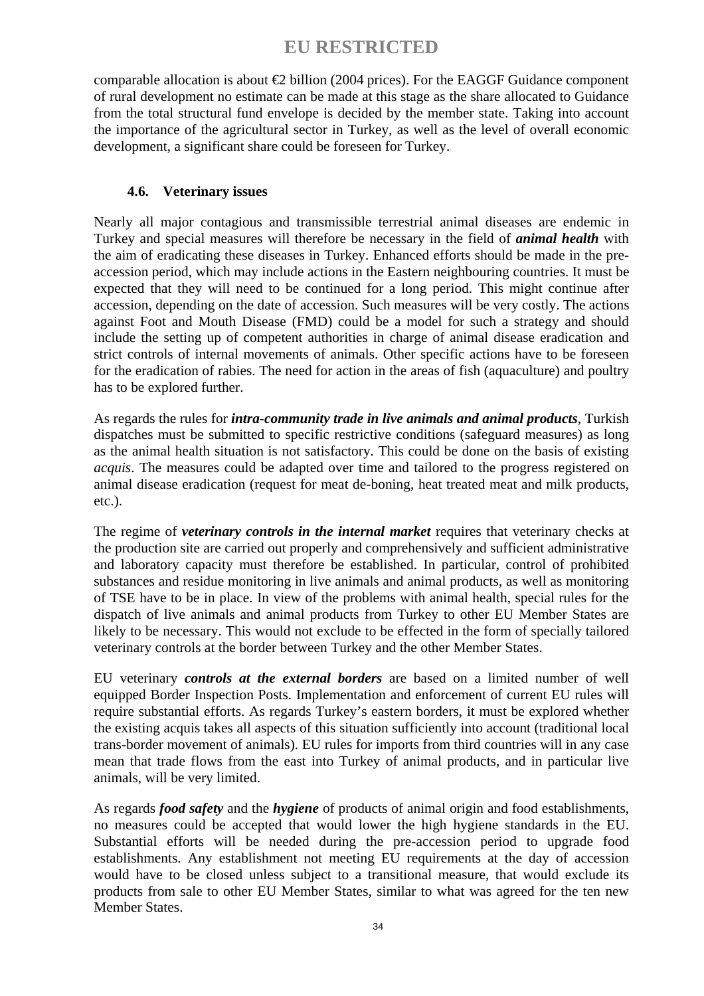comparable allocation is about  $\bigoplus$  billion (2004 prices). For the EAGGF Guidance component of rural development no estimate can be made at this stage as the share allocated to Guidance from the total structural fund envelope is decided by the member state. Taking into account the importance of the agricultural sector in Turkey, as well as the level of overall economic development, a significant share could be foreseen for Turkey.

### **4.6. Veterinary issues**

Nearly all major contagious and transmissible terrestrial animal diseases are endemic in Turkey and special measures will therefore be necessary in the field of *animal health* with the aim of eradicating these diseases in Turkey. Enhanced efforts should be made in the preaccession period, which may include actions in the Eastern neighbouring countries. It must be expected that they will need to be continued for a long period. This might continue after accession, depending on the date of accession. Such measures will be very costly. The actions against Foot and Mouth Disease (FMD) could be a model for such a strategy and should include the setting up of competent authorities in charge of animal disease eradication and strict controls of internal movements of animals. Other specific actions have to be foreseen for the eradication of rabies. The need for action in the areas of fish (aquaculture) and poultry has to be explored further.

As regards the rules for *intra-community trade in live animals and animal products*, Turkish dispatches must be submitted to specific restrictive conditions (safeguard measures) as long as the animal health situation is not satisfactory. This could be done on the basis of existing *acquis*. The measures could be adapted over time and tailored to the progress registered on animal disease eradication (request for meat de-boning, heat treated meat and milk products, etc.).

The regime of *veterinary controls in the internal market* requires that veterinary checks at the production site are carried out properly and comprehensively and sufficient administrative and laboratory capacity must therefore be established. In particular, control of prohibited substances and residue monitoring in live animals and animal products, as well as monitoring of TSE have to be in place. In view of the problems with animal health, special rules for the dispatch of live animals and animal products from Turkey to other EU Member States are likely to be necessary. This would not exclude to be effected in the form of specially tailored veterinary controls at the border between Turkey and the other Member States.

EU veterinary *controls at the external borders* are based on a limited number of well equipped Border Inspection Posts. Implementation and enforcement of current EU rules will require substantial efforts. As regards Turkey's eastern borders, it must be explored whether the existing acquis takes all aspects of this situation sufficiently into account (traditional local trans-border movement of animals). EU rules for imports from third countries will in any case mean that trade flows from the east into Turkey of animal products, and in particular live animals, will be very limited.

As regards *food safety* and the *hygiene* of products of animal origin and food establishments, no measures could be accepted that would lower the high hygiene standards in the EU. Substantial efforts will be needed during the pre-accession period to upgrade food establishments. Any establishment not meeting EU requirements at the day of accession would have to be closed unless subject to a transitional measure, that would exclude its products from sale to other EU Member States, similar to what was agreed for the ten new Member States.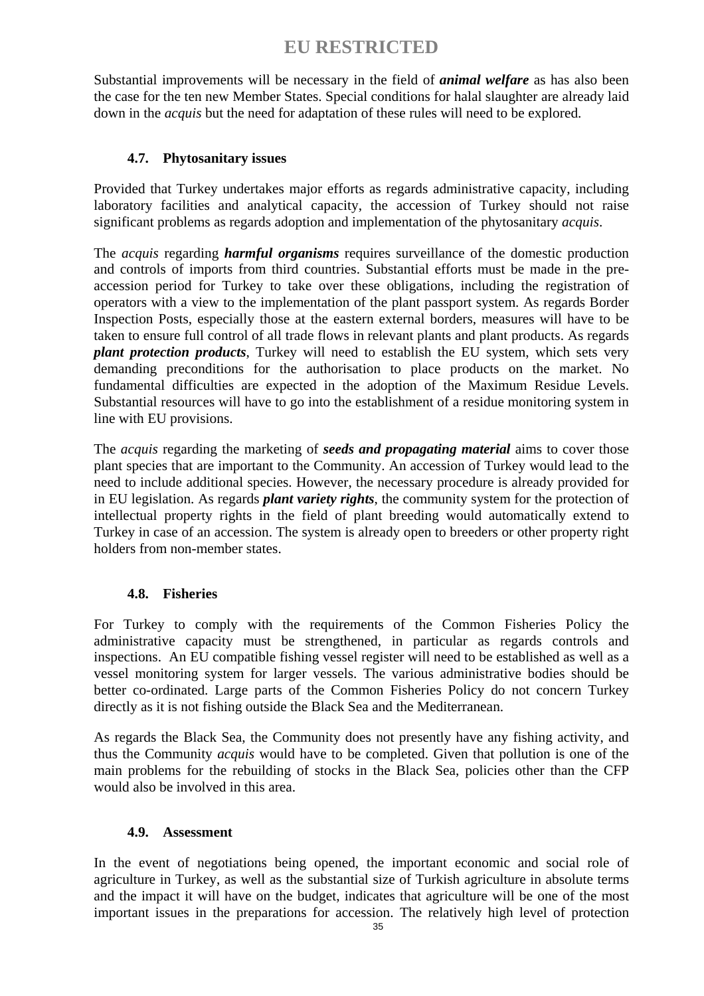Substantial improvements will be necessary in the field of *animal welfare* as has also been the case for the ten new Member States. Special conditions for halal slaughter are already laid down in the *acquis* but the need for adaptation of these rules will need to be explored.

## **4.7. Phytosanitary issues**

Provided that Turkey undertakes major efforts as regards administrative capacity, including laboratory facilities and analytical capacity, the accession of Turkey should not raise significant problems as regards adoption and implementation of the phytosanitary *acquis*.

The *acquis* regarding *harmful organisms* requires surveillance of the domestic production and controls of imports from third countries. Substantial efforts must be made in the preaccession period for Turkey to take over these obligations, including the registration of operators with a view to the implementation of the plant passport system. As regards Border Inspection Posts, especially those at the eastern external borders, measures will have to be taken to ensure full control of all trade flows in relevant plants and plant products. As regards *plant protection products*, Turkey will need to establish the EU system, which sets very demanding preconditions for the authorisation to place products on the market. No fundamental difficulties are expected in the adoption of the Maximum Residue Levels. Substantial resources will have to go into the establishment of a residue monitoring system in line with EU provisions.

The *acquis* regarding the marketing of *seeds and propagating material* aims to cover those plant species that are important to the Community. An accession of Turkey would lead to the need to include additional species. However, the necessary procedure is already provided for in EU legislation. As regards *plant variety rights*, the community system for the protection of intellectual property rights in the field of plant breeding would automatically extend to Turkey in case of an accession. The system is already open to breeders or other property right holders from non-member states.

## **4.8. Fisheries**

For Turkey to comply with the requirements of the Common Fisheries Policy the administrative capacity must be strengthened, in particular as regards controls and inspections. An EU compatible fishing vessel register will need to be established as well as a vessel monitoring system for larger vessels. The various administrative bodies should be better co-ordinated. Large parts of the Common Fisheries Policy do not concern Turkey directly as it is not fishing outside the Black Sea and the Mediterranean.

As regards the Black Sea, the Community does not presently have any fishing activity, and thus the Community *acquis* would have to be completed. Given that pollution is one of the main problems for the rebuilding of stocks in the Black Sea, policies other than the CFP would also be involved in this area.

#### **4.9. Assessment**

In the event of negotiations being opened, the important economic and social role of agriculture in Turkey, as well as the substantial size of Turkish agriculture in absolute terms and the impact it will have on the budget, indicates that agriculture will be one of the most important issues in the preparations for accession. The relatively high level of protection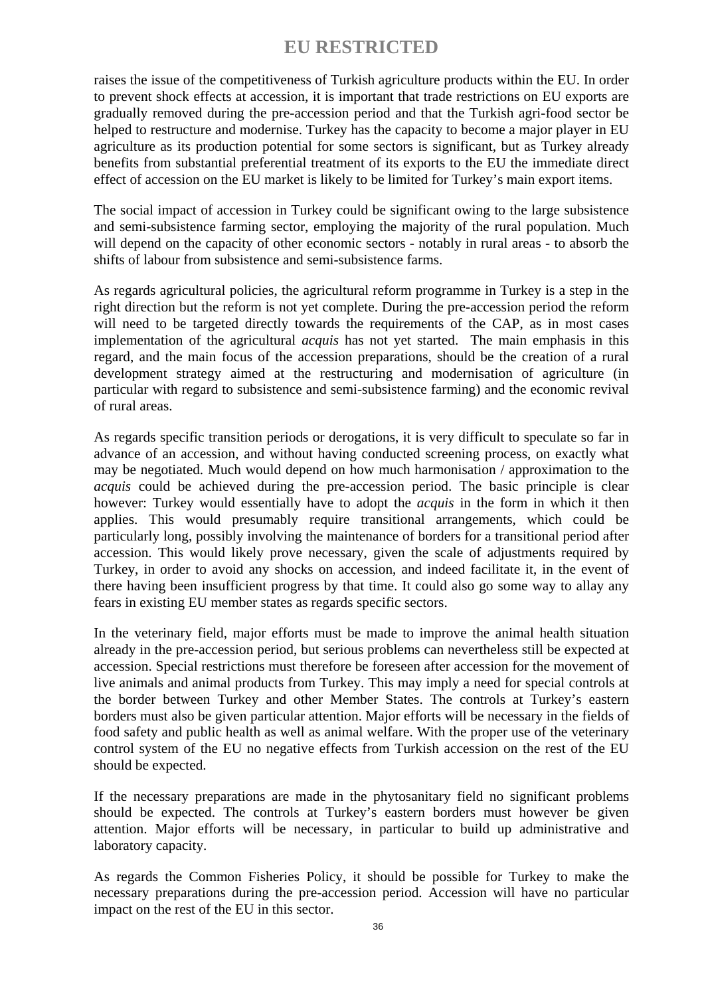raises the issue of the competitiveness of Turkish agriculture products within the EU. In order to prevent shock effects at accession, it is important that trade restrictions on EU exports are gradually removed during the pre-accession period and that the Turkish agri-food sector be helped to restructure and modernise. Turkey has the capacity to become a major player in EU agriculture as its production potential for some sectors is significant, but as Turkey already benefits from substantial preferential treatment of its exports to the EU the immediate direct effect of accession on the EU market is likely to be limited for Turkey's main export items.

The social impact of accession in Turkey could be significant owing to the large subsistence and semi-subsistence farming sector, employing the majority of the rural population. Much will depend on the capacity of other economic sectors - notably in rural areas - to absorb the shifts of labour from subsistence and semi-subsistence farms.

As regards agricultural policies, the agricultural reform programme in Turkey is a step in the right direction but the reform is not yet complete. During the pre-accession period the reform will need to be targeted directly towards the requirements of the CAP, as in most cases implementation of the agricultural *acquis* has not yet started. The main emphasis in this regard, and the main focus of the accession preparations, should be the creation of a rural development strategy aimed at the restructuring and modernisation of agriculture (in particular with regard to subsistence and semi-subsistence farming) and the economic revival of rural areas.

As regards specific transition periods or derogations, it is very difficult to speculate so far in advance of an accession, and without having conducted screening process, on exactly what may be negotiated. Much would depend on how much harmonisation / approximation to the *acquis* could be achieved during the pre-accession period. The basic principle is clear however: Turkey would essentially have to adopt the *acquis* in the form in which it then applies. This would presumably require transitional arrangements, which could be particularly long, possibly involving the maintenance of borders for a transitional period after accession. This would likely prove necessary, given the scale of adjustments required by Turkey, in order to avoid any shocks on accession, and indeed facilitate it, in the event of there having been insufficient progress by that time. It could also go some way to allay any fears in existing EU member states as regards specific sectors.

In the veterinary field, major efforts must be made to improve the animal health situation already in the pre-accession period, but serious problems can nevertheless still be expected at accession. Special restrictions must therefore be foreseen after accession for the movement of live animals and animal products from Turkey. This may imply a need for special controls at the border between Turkey and other Member States. The controls at Turkey's eastern borders must also be given particular attention. Major efforts will be necessary in the fields of food safety and public health as well as animal welfare. With the proper use of the veterinary control system of the EU no negative effects from Turkish accession on the rest of the EU should be expected.

If the necessary preparations are made in the phytosanitary field no significant problems should be expected. The controls at Turkey's eastern borders must however be given attention. Major efforts will be necessary, in particular to build up administrative and laboratory capacity.

As regards the Common Fisheries Policy, it should be possible for Turkey to make the necessary preparations during the pre-accession period. Accession will have no particular impact on the rest of the EU in this sector.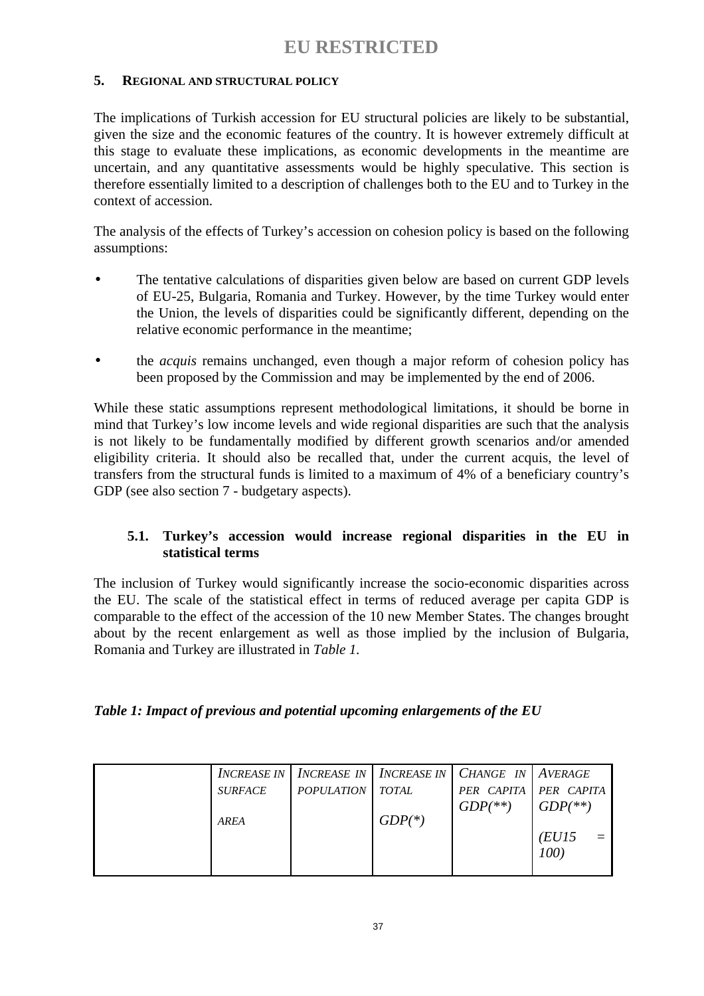## **5. REGIONAL AND STRUCTURAL POLICY**

The implications of Turkish accession for EU structural policies are likely to be substantial, given the size and the economic features of the country. It is however extremely difficult at this stage to evaluate these implications, as economic developments in the meantime are uncertain, and any quantitative assessments would be highly speculative. This section is therefore essentially limited to a description of challenges both to the EU and to Turkey in the context of accession.

The analysis of the effects of Turkey's accession on cohesion policy is based on the following assumptions:

- The tentative calculations of disparities given below are based on current GDP levels of EU-25, Bulgaria, Romania and Turkey. However, by the time Turkey would enter the Union, the levels of disparities could be significantly different, depending on the relative economic performance in the meantime;
- the *acquis* remains unchanged, even though a major reform of cohesion policy has been proposed by the Commission and may be implemented by the end of 2006.

While these static assumptions represent methodological limitations, it should be borne in mind that Turkey's low income levels and wide regional disparities are such that the analysis is not likely to be fundamentally modified by different growth scenarios and/or amended eligibility criteria. It should also be recalled that, under the current acquis, the level of transfers from the structural funds is limited to a maximum of 4% of a beneficiary country's GDP (see also section 7 - budgetary aspects).

## **5.1. Turkey's accession would increase regional disparities in the EU in statistical terms**

The inclusion of Turkey would significantly increase the socio-economic disparities across the EU. The scale of the statistical effect in terms of reduced average per capita GDP is comparable to the effect of the accession of the 10 new Member States. The changes brought about by the recent enlargement as well as those implied by the inclusion of Bulgaria, Romania and Turkey are illustrated in *Table 1.*

## *Table 1: Impact of previous and potential upcoming enlargements of the EU*

|                | INCREASE IN   INCREASE IN   INCREASE IN   CHANGE IN   AVERAGE |              |                       |           |
|----------------|---------------------------------------------------------------|--------------|-----------------------|-----------|
| <b>SURFACE</b> | POPULATION                                                    | <b>TOTAL</b> | PER CAPITA PER CAPITA |           |
|                |                                                               |              | $GDP(**)$             | $GDP(**)$ |
| <b>AREA</b>    |                                                               | $GDP(*)$     |                       |           |
|                |                                                               |              |                       | (EUI5)    |
|                |                                                               |              |                       | 100)      |
|                |                                                               |              |                       |           |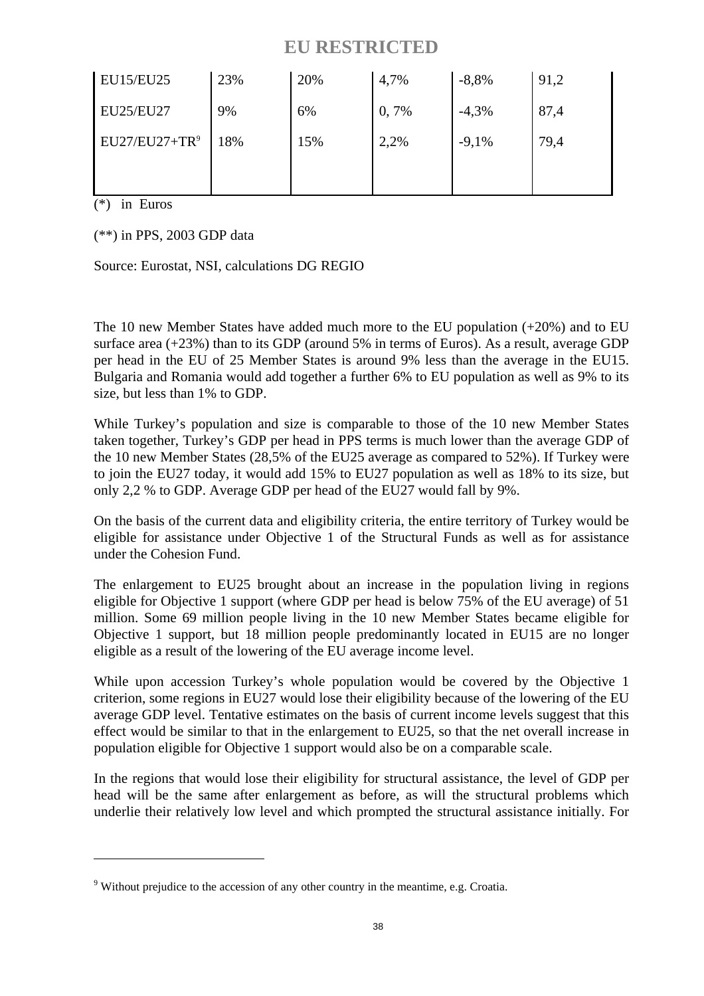| <b>EU15/EU25</b> | 23% | 20% | 4,7% | $-8,8%$ | 91,2 |
|------------------|-----|-----|------|---------|------|
| <b>EU25/EU27</b> | 9%  | 6%  | 0,7% | $-4,3%$ | 87,4 |
| $EU27/EU27+TR9$  | 18% | 15% | 2,2% | $-9,1%$ | 79,4 |
|                  |     |     |      |         |      |

(\*) in Euros

 $\overline{a}$ 

(\*\*) in PPS, 2003 GDP data

Source: Eurostat, NSI, calculations DG REGIO

The 10 new Member States have added much more to the EU population (+20%) and to EU surface area (+23%) than to its GDP (around 5% in terms of Euros). As a result, average GDP per head in the EU of 25 Member States is around 9% less than the average in the EU15. Bulgaria and Romania would add together a further 6% to EU population as well as 9% to its size, but less than 1% to GDP.

While Turkey's population and size is comparable to those of the 10 new Member States taken together, Turkey's GDP per head in PPS terms is much lower than the average GDP of the 10 new Member States (28,5% of the EU25 average as compared to 52%). If Turkey were to join the EU27 today, it would add 15% to EU27 population as well as 18% to its size, but only 2,2 % to GDP. Average GDP per head of the EU27 would fall by 9%.

On the basis of the current data and eligibility criteria, the entire territory of Turkey would be eligible for assistance under Objective 1 of the Structural Funds as well as for assistance under the Cohesion Fund.

The enlargement to EU25 brought about an increase in the population living in regions eligible for Objective 1 support (where GDP per head is below 75% of the EU average) of 51 million. Some 69 million people living in the 10 new Member States became eligible for Objective 1 support, but 18 million people predominantly located in EU15 are no longer eligible as a result of the lowering of the EU average income level.

While upon accession Turkey's whole population would be covered by the Objective 1 criterion, some regions in EU27 would lose their eligibility because of the lowering of the EU average GDP level. Tentative estimates on the basis of current income levels suggest that this effect would be similar to that in the enlargement to EU25, so that the net overall increase in population eligible for Objective 1 support would also be on a comparable scale.

In the regions that would lose their eligibility for structural assistance, the level of GDP per head will be the same after enlargement as before, as will the structural problems which underlie their relatively low level and which prompted the structural assistance initially. For

 $9$ <sup>9</sup> Without prejudice to the accession of any other country in the meantime, e.g. Croatia.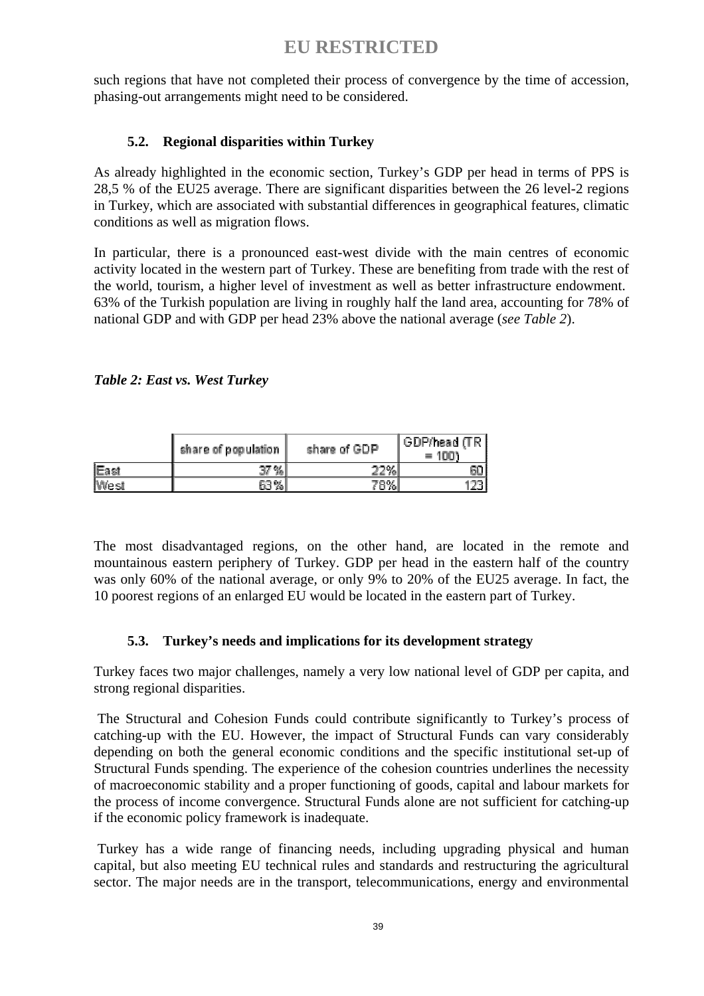such regions that have not completed their process of convergence by the time of accession, phasing-out arrangements might need to be considered.

## **5.2. Regional disparities within Turkey**

As already highlighted in the economic section, Turkey's GDP per head in terms of PPS is 28,5 % of the EU25 average. There are significant disparities between the 26 level-2 regions in Turkey, which are associated with substantial differences in geographical features, climatic conditions as well as migration flows.

In particular, there is a pronounced east-west divide with the main centres of economic activity located in the western part of Turkey. These are benefiting from trade with the rest of the world, tourism, a higher level of investment as well as better infrastructure endowment. 63% of the Turkish population are living in roughly half the land area, accounting for 78% of national GDP and with GDP per head 23% above the national average (*see Table 2*).

*Table 2: East vs. West Turkey*

|              | share of population | share of GDP | ' GDP/head (TR ) |
|--------------|---------------------|--------------|------------------|
| East         | 37 %.               | 22%          | 60               |
| <b>N</b> est | - 63 %.,            | 78%).        | 231              |

The most disadvantaged regions, on the other hand, are located in the remote and mountainous eastern periphery of Turkey. GDP per head in the eastern half of the country was only 60% of the national average, or only 9% to 20% of the EU25 average. In fact, the 10 poorest regions of an enlarged EU would be located in the eastern part of Turkey.

## **5.3. Turkey's needs and implications for its development strategy**

Turkey faces two major challenges, namely a very low national level of GDP per capita, and strong regional disparities.

 The Structural and Cohesion Funds could contribute significantly to Turkey's process of catching-up with the EU. However, the impact of Structural Funds can vary considerably depending on both the general economic conditions and the specific institutional set-up of Structural Funds spending. The experience of the cohesion countries underlines the necessity of macroeconomic stability and a proper functioning of goods, capital and labour markets for the process of income convergence. Structural Funds alone are not sufficient for catching-up if the economic policy framework is inadequate.

Turkey has a wide range of financing needs, including upgrading physical and human capital, but also meeting EU technical rules and standards and restructuring the agricultural sector. The major needs are in the transport, telecommunications, energy and environmental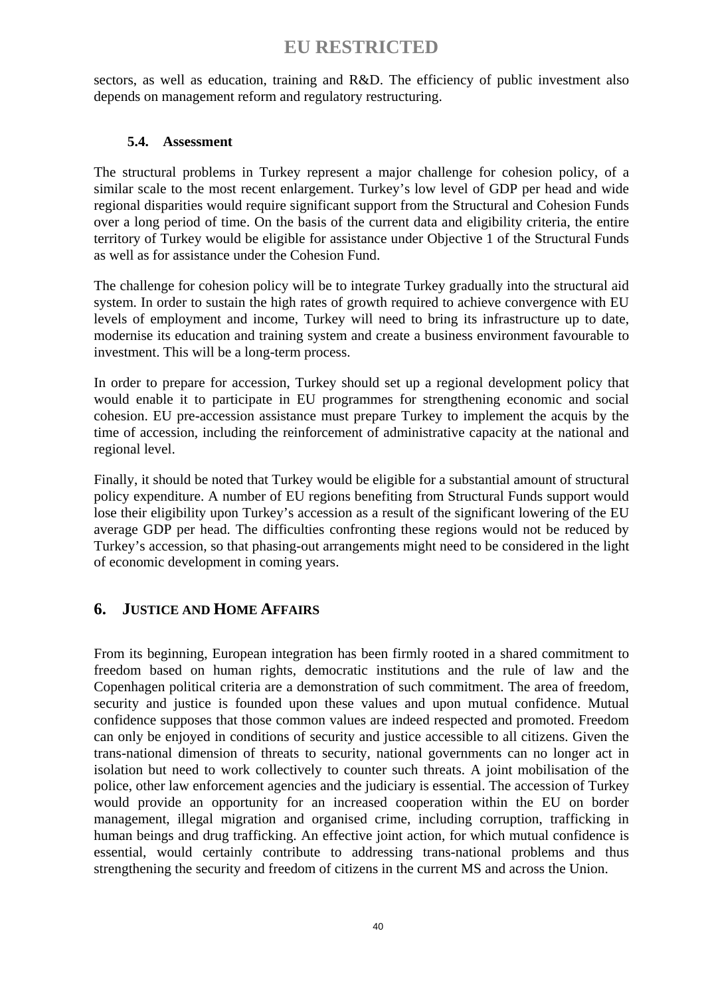sectors, as well as education, training and R&D. The efficiency of public investment also depends on management reform and regulatory restructuring.

### **5.4. Assessment**

The structural problems in Turkey represent a major challenge for cohesion policy, of a similar scale to the most recent enlargement. Turkey's low level of GDP per head and wide regional disparities would require significant support from the Structural and Cohesion Funds over a long period of time. On the basis of the current data and eligibility criteria, the entire territory of Turkey would be eligible for assistance under Objective 1 of the Structural Funds as well as for assistance under the Cohesion Fund.

The challenge for cohesion policy will be to integrate Turkey gradually into the structural aid system. In order to sustain the high rates of growth required to achieve convergence with EU levels of employment and income, Turkey will need to bring its infrastructure up to date, modernise its education and training system and create a business environment favourable to investment. This will be a long-term process.

In order to prepare for accession, Turkey should set up a regional development policy that would enable it to participate in EU programmes for strengthening economic and social cohesion. EU pre-accession assistance must prepare Turkey to implement the acquis by the time of accession, including the reinforcement of administrative capacity at the national and regional level.

Finally, it should be noted that Turkey would be eligible for a substantial amount of structural policy expenditure. A number of EU regions benefiting from Structural Funds support would lose their eligibility upon Turkey's accession as a result of the significant lowering of the EU average GDP per head. The difficulties confronting these regions would not be reduced by Turkey's accession, so that phasing-out arrangements might need to be considered in the light of economic development in coming years.

## **6. JUSTICE AND HOME AFFAIRS**

From its beginning, European integration has been firmly rooted in a shared commitment to freedom based on human rights, democratic institutions and the rule of law and the Copenhagen political criteria are a demonstration of such commitment. The area of freedom, security and justice is founded upon these values and upon mutual confidence. Mutual confidence supposes that those common values are indeed respected and promoted. Freedom can only be enjoyed in conditions of security and justice accessible to all citizens. Given the trans-national dimension of threats to security, national governments can no longer act in isolation but need to work collectively to counter such threats. A joint mobilisation of the police, other law enforcement agencies and the judiciary is essential. The accession of Turkey would provide an opportunity for an increased cooperation within the EU on border management, illegal migration and organised crime, including corruption, trafficking in human beings and drug trafficking. An effective joint action, for which mutual confidence is essential, would certainly contribute to addressing trans-national problems and thus strengthening the security and freedom of citizens in the current MS and across the Union.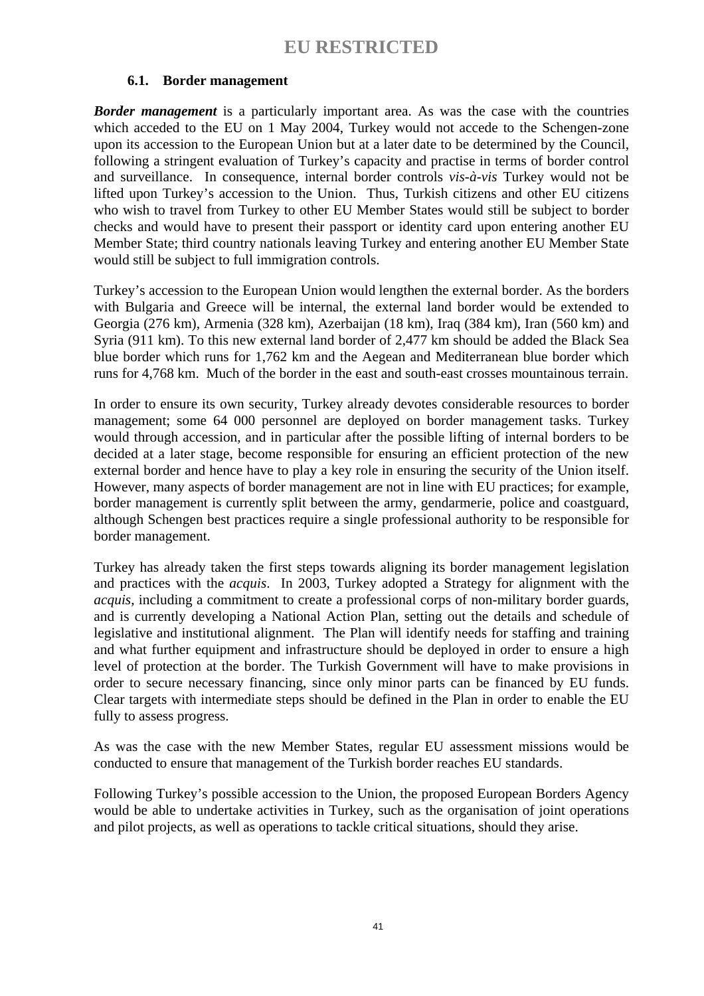### **6.1. Border management**

**Border management** is a particularly important area. As was the case with the countries which acceded to the EU on 1 May 2004, Turkey would not accede to the Schengen-zone upon its accession to the European Union but at a later date to be determined by the Council, following a stringent evaluation of Turkey's capacity and practise in terms of border control and surveillance. In consequence, internal border controls *vis-à-vis* Turkey would not be lifted upon Turkey's accession to the Union. Thus, Turkish citizens and other EU citizens who wish to travel from Turkey to other EU Member States would still be subject to border checks and would have to present their passport or identity card upon entering another EU Member State; third country nationals leaving Turkey and entering another EU Member State would still be subject to full immigration controls.

Turkey's accession to the European Union would lengthen the external border. As the borders with Bulgaria and Greece will be internal, the external land border would be extended to Georgia (276 km), Armenia (328 km), Azerbaijan (18 km), Iraq (384 km), Iran (560 km) and Syria (911 km). To this new external land border of 2,477 km should be added the Black Sea blue border which runs for 1,762 km and the Aegean and Mediterranean blue border which runs for 4,768 km. Much of the border in the east and south-east crosses mountainous terrain.

In order to ensure its own security, Turkey already devotes considerable resources to border management; some 64 000 personnel are deployed on border management tasks. Turkey would through accession, and in particular after the possible lifting of internal borders to be decided at a later stage, become responsible for ensuring an efficient protection of the new external border and hence have to play a key role in ensuring the security of the Union itself. However, many aspects of border management are not in line with EU practices; for example, border management is currently split between the army, gendarmerie, police and coastguard, although Schengen best practices require a single professional authority to be responsible for border management.

Turkey has already taken the first steps towards aligning its border management legislation and practices with the *acquis*. In 2003, Turkey adopted a Strategy for alignment with the *acquis*, including a commitment to create a professional corps of non-military border guards, and is currently developing a National Action Plan, setting out the details and schedule of legislative and institutional alignment. The Plan will identify needs for staffing and training and what further equipment and infrastructure should be deployed in order to ensure a high level of protection at the border. The Turkish Government will have to make provisions in order to secure necessary financing, since only minor parts can be financed by EU funds. Clear targets with intermediate steps should be defined in the Plan in order to enable the EU fully to assess progress.

As was the case with the new Member States, regular EU assessment missions would be conducted to ensure that management of the Turkish border reaches EU standards.

Following Turkey's possible accession to the Union, the proposed European Borders Agency would be able to undertake activities in Turkey, such as the organisation of joint operations and pilot projects, as well as operations to tackle critical situations, should they arise.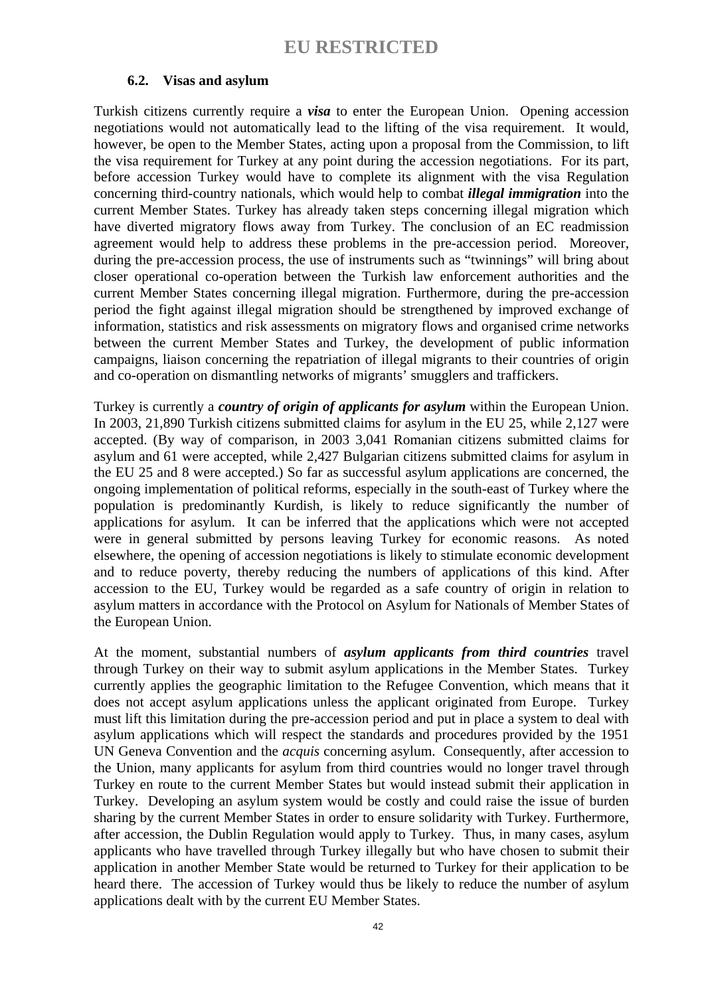#### **6.2. Visas and asylum**

Turkish citizens currently require a *visa* to enter the European Union. Opening accession negotiations would not automatically lead to the lifting of the visa requirement. It would, however, be open to the Member States, acting upon a proposal from the Commission, to lift the visa requirement for Turkey at any point during the accession negotiations. For its part, before accession Turkey would have to complete its alignment with the visa Regulation concerning third-country nationals, which would help to combat *illegal immigration* into the current Member States. Turkey has already taken steps concerning illegal migration which have diverted migratory flows away from Turkey. The conclusion of an EC readmission agreement would help to address these problems in the pre-accession period. Moreover, during the pre-accession process, the use of instruments such as "twinnings" will bring about closer operational co-operation between the Turkish law enforcement authorities and the current Member States concerning illegal migration. Furthermore, during the pre-accession period the fight against illegal migration should be strengthened by improved exchange of information, statistics and risk assessments on migratory flows and organised crime networks between the current Member States and Turkey, the development of public information campaigns, liaison concerning the repatriation of illegal migrants to their countries of origin and co-operation on dismantling networks of migrants' smugglers and traffickers.

Turkey is currently a *country of origin of applicants for asylum* within the European Union. In 2003, 21,890 Turkish citizens submitted claims for asylum in the EU 25, while 2,127 were accepted. (By way of comparison, in 2003 3,041 Romanian citizens submitted claims for asylum and 61 were accepted, while 2,427 Bulgarian citizens submitted claims for asylum in the EU 25 and 8 were accepted.) So far as successful asylum applications are concerned, the ongoing implementation of political reforms, especially in the south-east of Turkey where the population is predominantly Kurdish, is likely to reduce significantly the number of applications for asylum. It can be inferred that the applications which were not accepted were in general submitted by persons leaving Turkey for economic reasons. As noted elsewhere, the opening of accession negotiations is likely to stimulate economic development and to reduce poverty, thereby reducing the numbers of applications of this kind. After accession to the EU, Turkey would be regarded as a safe country of origin in relation to asylum matters in accordance with the Protocol on Asylum for Nationals of Member States of the European Union.

At the moment, substantial numbers of *asylum applicants from third countries* travel through Turkey on their way to submit asylum applications in the Member States. Turkey currently applies the geographic limitation to the Refugee Convention, which means that it does not accept asylum applications unless the applicant originated from Europe. Turkey must lift this limitation during the pre-accession period and put in place a system to deal with asylum applications which will respect the standards and procedures provided by the 1951 UN Geneva Convention and the *acquis* concerning asylum. Consequently, after accession to the Union, many applicants for asylum from third countries would no longer travel through Turkey en route to the current Member States but would instead submit their application in Turkey. Developing an asylum system would be costly and could raise the issue of burden sharing by the current Member States in order to ensure solidarity with Turkey. Furthermore, after accession, the Dublin Regulation would apply to Turkey. Thus, in many cases, asylum applicants who have travelled through Turkey illegally but who have chosen to submit their application in another Member State would be returned to Turkey for their application to be heard there. The accession of Turkey would thus be likely to reduce the number of asylum applications dealt with by the current EU Member States.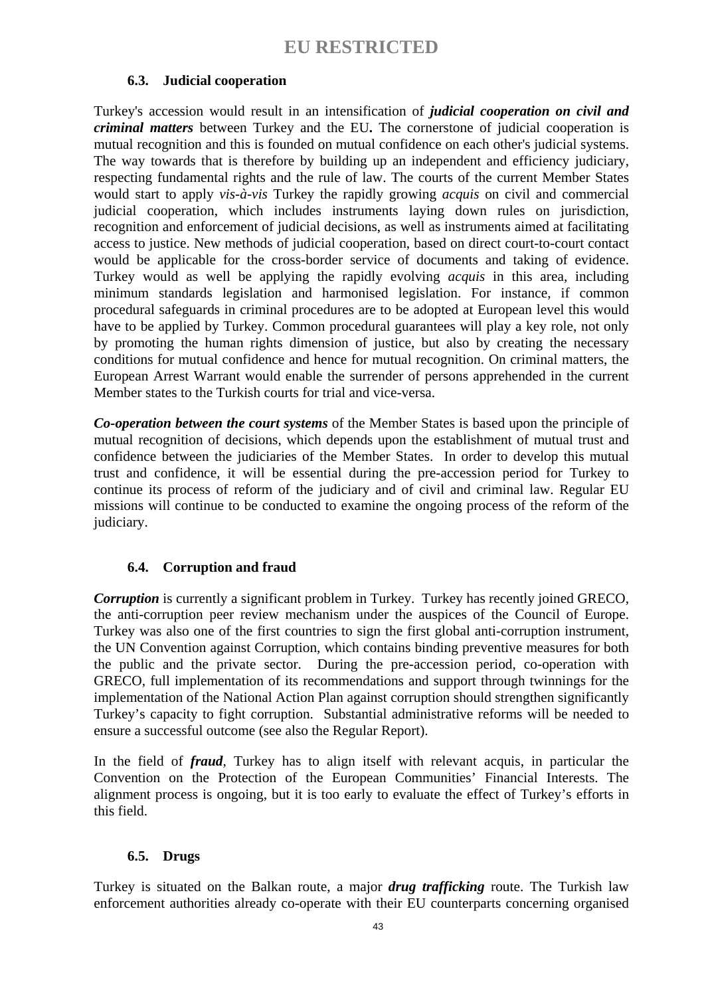## **6.3. Judicial cooperation**

Turkey's accession would result in an intensification of *judicial cooperation on civil and criminal matters* between Turkey and the EU**.** The cornerstone of judicial cooperation is mutual recognition and this is founded on mutual confidence on each other's judicial systems. The way towards that is therefore by building up an independent and efficiency judiciary, respecting fundamental rights and the rule of law. The courts of the current Member States would start to apply *vis-à-vis* Turkey the rapidly growing *acquis* on civil and commercial judicial cooperation, which includes instruments laying down rules on jurisdiction, recognition and enforcement of judicial decisions, as well as instruments aimed at facilitating access to justice. New methods of judicial cooperation, based on direct court-to-court contact would be applicable for the cross-border service of documents and taking of evidence. Turkey would as well be applying the rapidly evolving *acquis* in this area, including minimum standards legislation and harmonised legislation. For instance, if common procedural safeguards in criminal procedures are to be adopted at European level this would have to be applied by Turkey. Common procedural guarantees will play a key role, not only by promoting the human rights dimension of justice, but also by creating the necessary conditions for mutual confidence and hence for mutual recognition. On criminal matters, the European Arrest Warrant would enable the surrender of persons apprehended in the current Member states to the Turkish courts for trial and vice-versa.

*Co-operation between the court systems* of the Member States is based upon the principle of mutual recognition of decisions, which depends upon the establishment of mutual trust and confidence between the judiciaries of the Member States. In order to develop this mutual trust and confidence, it will be essential during the pre-accession period for Turkey to continue its process of reform of the judiciary and of civil and criminal law. Regular EU missions will continue to be conducted to examine the ongoing process of the reform of the judiciary.

## **6.4. Corruption and fraud**

*Corruption* is currently a significant problem in Turkey. Turkey has recently joined GRECO, the anti-corruption peer review mechanism under the auspices of the Council of Europe. Turkey was also one of the first countries to sign the first global anti-corruption instrument, the UN Convention against Corruption, which contains binding preventive measures for both the public and the private sector. During the pre-accession period, co-operation with GRECO, full implementation of its recommendations and support through twinnings for the implementation of the National Action Plan against corruption should strengthen significantly Turkey's capacity to fight corruption. Substantial administrative reforms will be needed to ensure a successful outcome (see also the Regular Report).

In the field of *fraud*, Turkey has to align itself with relevant acquis, in particular the Convention on the Protection of the European Communities' Financial Interests. The alignment process is ongoing, but it is too early to evaluate the effect of Turkey's efforts in this field.

## **6.5. Drugs**

Turkey is situated on the Balkan route, a major *drug trafficking* route. The Turkish law enforcement authorities already co-operate with their EU counterparts concerning organised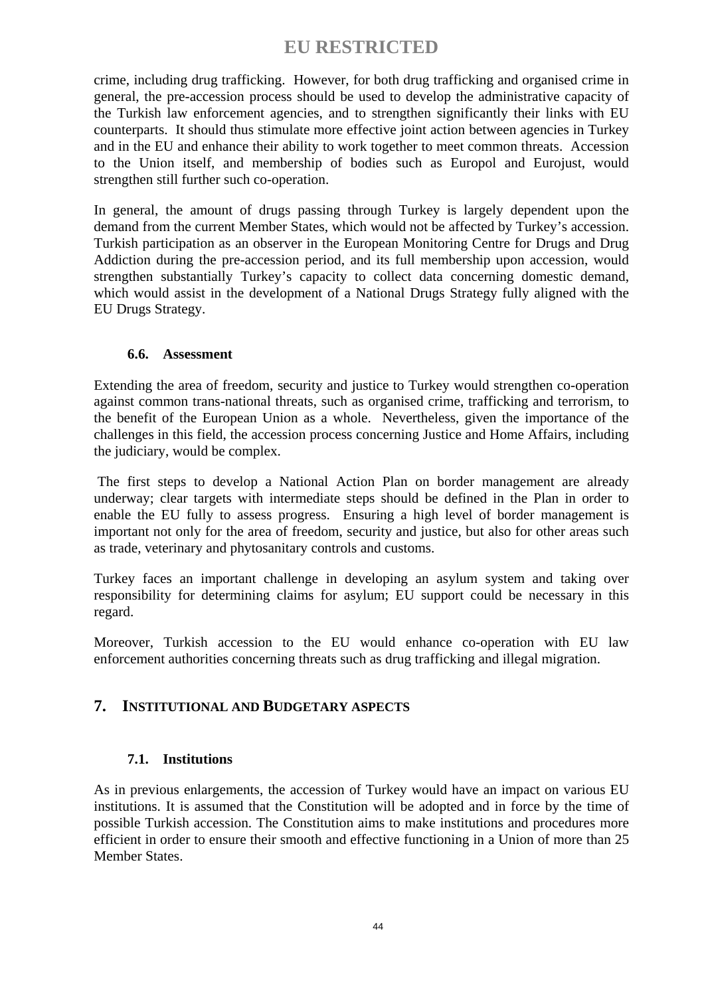crime, including drug trafficking. However, for both drug trafficking and organised crime in general, the pre-accession process should be used to develop the administrative capacity of the Turkish law enforcement agencies, and to strengthen significantly their links with EU counterparts. It should thus stimulate more effective joint action between agencies in Turkey and in the EU and enhance their ability to work together to meet common threats. Accession to the Union itself, and membership of bodies such as Europol and Eurojust, would strengthen still further such co-operation.

In general, the amount of drugs passing through Turkey is largely dependent upon the demand from the current Member States, which would not be affected by Turkey's accession. Turkish participation as an observer in the European Monitoring Centre for Drugs and Drug Addiction during the pre-accession period, and its full membership upon accession, would strengthen substantially Turkey's capacity to collect data concerning domestic demand, which would assist in the development of a National Drugs Strategy fully aligned with the EU Drugs Strategy.

#### **6.6. Assessment**

Extending the area of freedom, security and justice to Turkey would strengthen co-operation against common trans-national threats, such as organised crime, trafficking and terrorism, to the benefit of the European Union as a whole. Nevertheless, given the importance of the challenges in this field, the accession process concerning Justice and Home Affairs, including the judiciary, would be complex.

 The first steps to develop a National Action Plan on border management are already underway; clear targets with intermediate steps should be defined in the Plan in order to enable the EU fully to assess progress. Ensuring a high level of border management is important not only for the area of freedom, security and justice, but also for other areas such as trade, veterinary and phytosanitary controls and customs.

Turkey faces an important challenge in developing an asylum system and taking over responsibility for determining claims for asylum; EU support could be necessary in this regard.

Moreover, Turkish accession to the EU would enhance co-operation with EU law enforcement authorities concerning threats such as drug trafficking and illegal migration.

## **7. INSTITUTIONAL AND BUDGETARY ASPECTS**

## **7.1. Institutions**

As in previous enlargements, the accession of Turkey would have an impact on various EU institutions. It is assumed that the Constitution will be adopted and in force by the time of possible Turkish accession. The Constitution aims to make institutions and procedures more efficient in order to ensure their smooth and effective functioning in a Union of more than 25 Member States.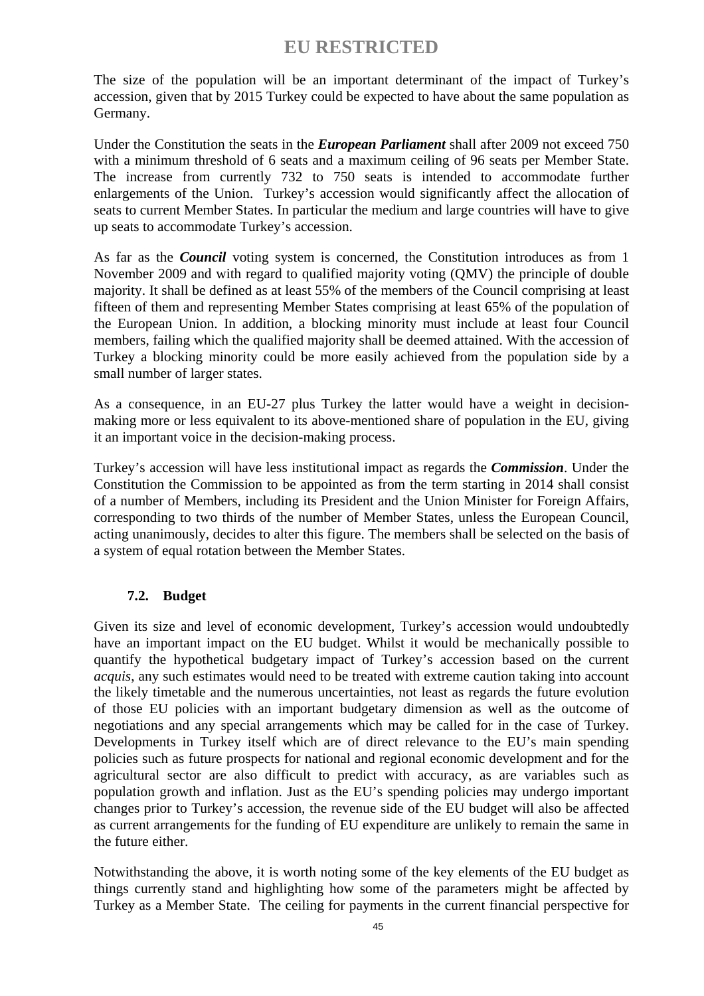The size of the population will be an important determinant of the impact of Turkey's accession, given that by 2015 Turkey could be expected to have about the same population as Germany.

Under the Constitution the seats in the *European Parliament* shall after 2009 not exceed 750 with a minimum threshold of 6 seats and a maximum ceiling of 96 seats per Member State. The increase from currently 732 to 750 seats is intended to accommodate further enlargements of the Union. Turkey's accession would significantly affect the allocation of seats to current Member States. In particular the medium and large countries will have to give up seats to accommodate Turkey's accession.

As far as the *Council* voting system is concerned, the Constitution introduces as from 1 November 2009 and with regard to qualified majority voting (QMV) the principle of double majority. It shall be defined as at least 55% of the members of the Council comprising at least fifteen of them and representing Member States comprising at least 65% of the population of the European Union. In addition, a blocking minority must include at least four Council members, failing which the qualified majority shall be deemed attained. With the accession of Turkey a blocking minority could be more easily achieved from the population side by a small number of larger states.

As a consequence, in an EU-27 plus Turkey the latter would have a weight in decisionmaking more or less equivalent to its above-mentioned share of population in the EU, giving it an important voice in the decision-making process.

Turkey's accession will have less institutional impact as regards the *Commission*. Under the Constitution the Commission to be appointed as from the term starting in 2014 shall consist of a number of Members, including its President and the Union Minister for Foreign Affairs, corresponding to two thirds of the number of Member States, unless the European Council, acting unanimously, decides to alter this figure. The members shall be selected on the basis of a system of equal rotation between the Member States.

## **7.2. Budget**

Given its size and level of economic development, Turkey's accession would undoubtedly have an important impact on the EU budget. Whilst it would be mechanically possible to quantify the hypothetical budgetary impact of Turkey's accession based on the current *acquis*, any such estimates would need to be treated with extreme caution taking into account the likely timetable and the numerous uncertainties, not least as regards the future evolution of those EU policies with an important budgetary dimension as well as the outcome of negotiations and any special arrangements which may be called for in the case of Turkey. Developments in Turkey itself which are of direct relevance to the EU's main spending policies such as future prospects for national and regional economic development and for the agricultural sector are also difficult to predict with accuracy, as are variables such as population growth and inflation. Just as the EU's spending policies may undergo important changes prior to Turkey's accession, the revenue side of the EU budget will also be affected as current arrangements for the funding of EU expenditure are unlikely to remain the same in the future either.

Notwithstanding the above, it is worth noting some of the key elements of the EU budget as things currently stand and highlighting how some of the parameters might be affected by Turkey as a Member State. The ceiling for payments in the current financial perspective for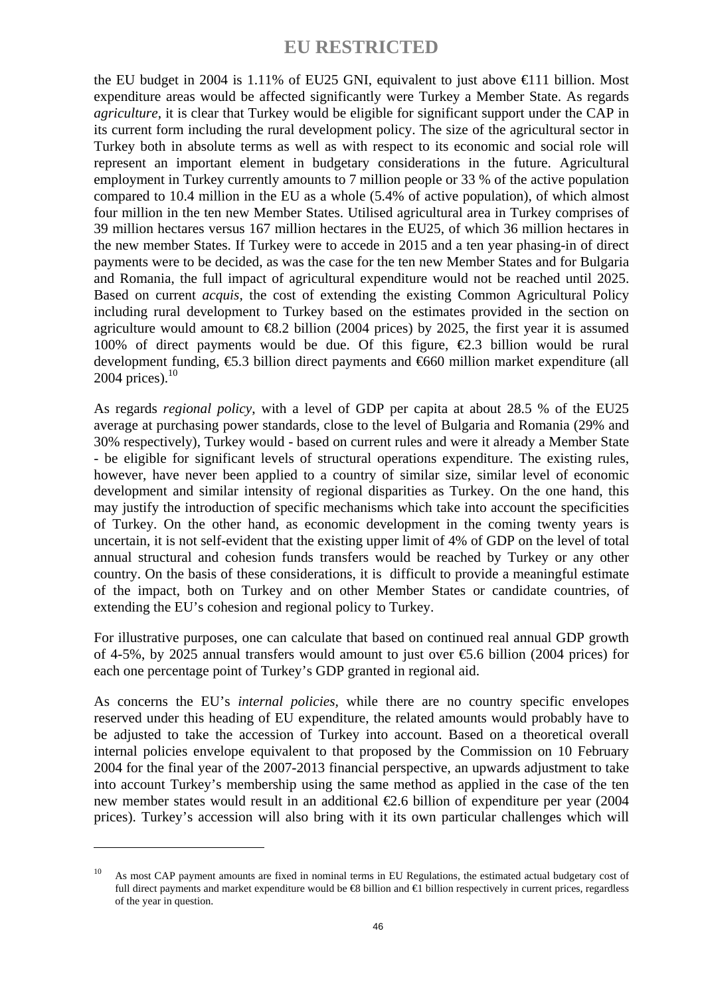the EU budget in 2004 is 1.11% of EU25 GNI, equivalent to just above  $\in$  11 billion. Most expenditure areas would be affected significantly were Turkey a Member State. As regards *agriculture*, it is clear that Turkey would be eligible for significant support under the CAP in its current form including the rural development policy. The size of the agricultural sector in Turkey both in absolute terms as well as with respect to its economic and social role will represent an important element in budgetary considerations in the future. Agricultural employment in Turkey currently amounts to 7 million people or 33 % of the active population compared to 10.4 million in the EU as a whole (5.4% of active population), of which almost four million in the ten new Member States. Utilised agricultural area in Turkey comprises of 39 million hectares versus 167 million hectares in the EU25, of which 36 million hectares in the new member States. If Turkey were to accede in 2015 and a ten year phasing-in of direct payments were to be decided, as was the case for the ten new Member States and for Bulgaria and Romania, the full impact of agricultural expenditure would not be reached until 2025. Based on current *acquis*, the cost of extending the existing Common Agricultural Policy including rural development to Turkey based on the estimates provided in the section on agriculture would amount to  $\epsilon 8.2$  billion (2004 prices) by 2025, the first year it is assumed 100% of direct payments would be due. Of this figure,  $\epsilon$ 2.3 billion would be rural development funding, €5.3 billion direct payments and €660 million market expenditure (all 2004 prices). $10$ 

As regards *regional policy*, with a level of GDP per capita at about 28.5 % of the EU25 average at purchasing power standards, close to the level of Bulgaria and Romania (29% and 30% respectively), Turkey would - based on current rules and were it already a Member State - be eligible for significant levels of structural operations expenditure. The existing rules, however, have never been applied to a country of similar size, similar level of economic development and similar intensity of regional disparities as Turkey. On the one hand, this may justify the introduction of specific mechanisms which take into account the specificities of Turkey. On the other hand, as economic development in the coming twenty years is uncertain, it is not self-evident that the existing upper limit of 4% of GDP on the level of total annual structural and cohesion funds transfers would be reached by Turkey or any other country. On the basis of these considerations, it is difficult to provide a meaningful estimate of the impact, both on Turkey and on other Member States or candidate countries, of extending the EU's cohesion and regional policy to Turkey.

For illustrative purposes, one can calculate that based on continued real annual GDP growth of 4-5%, by 2025 annual transfers would amount to just over  $\epsilon$ 5.6 billion (2004 prices) for each one percentage point of Turkey's GDP granted in regional aid.

As concerns the EU's *internal policies,* while there are no country specific envelopes reserved under this heading of EU expenditure, the related amounts would probably have to be adjusted to take the accession of Turkey into account. Based on a theoretical overall internal policies envelope equivalent to that proposed by the Commission on 10 February 2004 for the final year of the 2007-2013 financial perspective, an upwards adjustment to take into account Turkey's membership using the same method as applied in the case of the ten new member states would result in an additional  $\epsilon$ 2.6 billion of expenditure per year (2004) prices). Turkey's accession will also bring with it its own particular challenges which will

 $\overline{a}$ 

<sup>&</sup>lt;sup>10</sup> As most CAP payment amounts are fixed in nominal terms in EU Regulations, the estimated actual budgetary cost of full direct payments and market expenditure would be €8 billion and €1 billion respectively in current prices, regardless of the year in question.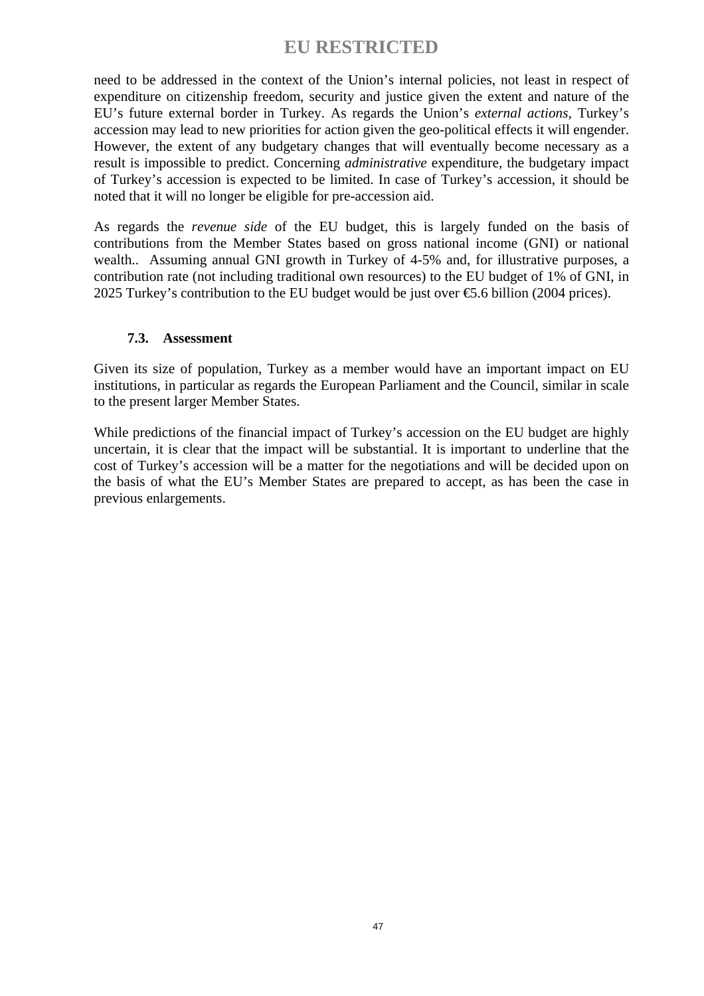need to be addressed in the context of the Union's internal policies, not least in respect of expenditure on citizenship freedom, security and justice given the extent and nature of the EU's future external border in Turkey. As regards the Union's *external actions*, Turkey's accession may lead to new priorities for action given the geo-political effects it will engender. However, the extent of any budgetary changes that will eventually become necessary as a result is impossible to predict. Concerning *administrative* expenditure, the budgetary impact of Turkey's accession is expected to be limited. In case of Turkey's accession, it should be noted that it will no longer be eligible for pre-accession aid.

As regards the *revenue side* of the EU budget, this is largely funded on the basis of contributions from the Member States based on gross national income (GNI) or national wealth.. Assuming annual GNI growth in Turkey of 4-5% and, for illustrative purposes, a contribution rate (not including traditional own resources) to the EU budget of 1% of GNI, in 2025 Turkey's contribution to the EU budget would be just over  $\epsilon$ 5.6 billion (2004 prices).

### **7.3. Assessment**

Given its size of population, Turkey as a member would have an important impact on EU institutions, in particular as regards the European Parliament and the Council, similar in scale to the present larger Member States.

While predictions of the financial impact of Turkey's accession on the EU budget are highly uncertain, it is clear that the impact will be substantial. It is important to underline that the cost of Turkey's accession will be a matter for the negotiations and will be decided upon on the basis of what the EU's Member States are prepared to accept, as has been the case in previous enlargements.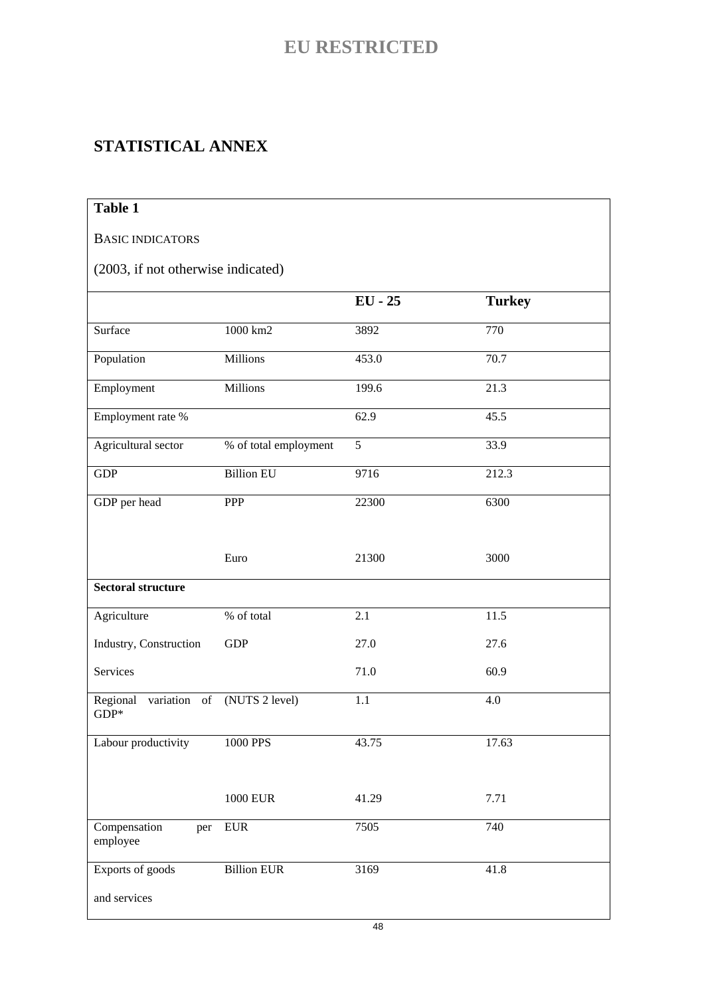# **STATISTICAL ANNEX**

| (2003, if not otherwise indicated) |                |               |
|------------------------------------|----------------|---------------|
|                                    | $EU - 25$      | <b>Turkey</b> |
| 1000 km2                           | 3892           | 770           |
| Millions                           | 453.0          | 70.7          |
| Millions                           | 199.6          | 21.3          |
|                                    | 62.9           | 45.5          |
| % of total employment              | $\overline{5}$ | 33.9          |
| <b>Billion EU</b>                  | 9716           | 212.3         |
|                                    | 22300          | 6300          |
|                                    | 21300          | 3000          |
|                                    |                |               |
| % of total                         | 2.1            | 11.5          |
|                                    | 27.0           | 27.6          |
|                                    | 71.0           | 60.9          |
| (NUTS 2 level)                     | 1.1            | 4.0           |
| 1000 PPS                           | 43.75          | 17.63         |
| <b>1000 EUR</b>                    | 41.29          | 7.71          |
|                                    | 7505           | 740           |
| <b>Billion EUR</b>                 | 3169           | 41.8          |
|                                    |                |               |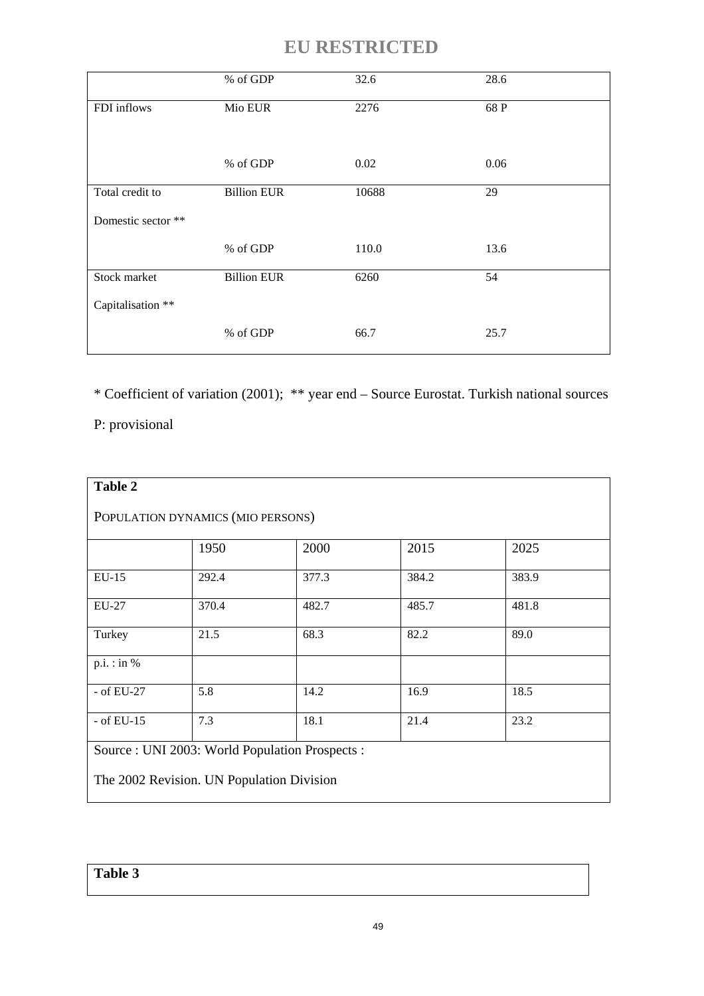|                    | % of GDP           | 32.6  | 28.6 |
|--------------------|--------------------|-------|------|
| FDI inflows        | Mio EUR            | 2276  | 68 P |
|                    | % of GDP           | 0.02  | 0.06 |
| Total credit to    | <b>Billion EUR</b> | 10688 | 29   |
| Domestic sector ** |                    |       |      |
|                    | % of GDP           | 110.0 | 13.6 |
| Stock market       | <b>Billion EUR</b> | 6260  | 54   |
| Capitalisation **  |                    |       |      |
|                    | % of GDP           | 66.7  | 25.7 |

\* Coefficient of variation (2001); \*\* year end – Source Eurostat. Turkish national sources

P: provisional

| <b>Table 2</b>                                  |       |       |       |       |  |  |  |
|-------------------------------------------------|-------|-------|-------|-------|--|--|--|
| POPULATION DYNAMICS (MIO PERSONS)               |       |       |       |       |  |  |  |
|                                                 | 1950  | 2000  | 2015  | 2025  |  |  |  |
| $EU-15$                                         | 292.4 | 377.3 | 384.2 | 383.9 |  |  |  |
| EU-27                                           | 370.4 | 482.7 | 485.7 | 481.8 |  |  |  |
| Turkey                                          | 21.5  | 68.3  | 82.2  | 89.0  |  |  |  |
| p.i. : in %                                     |       |       |       |       |  |  |  |
| - of EU-27                                      | 5.8   | 14.2  | 16.9  | 18.5  |  |  |  |
| $-$ of EU-15                                    | 7.3   | 18.1  | 21.4  | 23.2  |  |  |  |
| Source : UNI 2003: World Population Prospects : |       |       |       |       |  |  |  |
| The 2002 Revision. UN Population Division       |       |       |       |       |  |  |  |

**Table 3**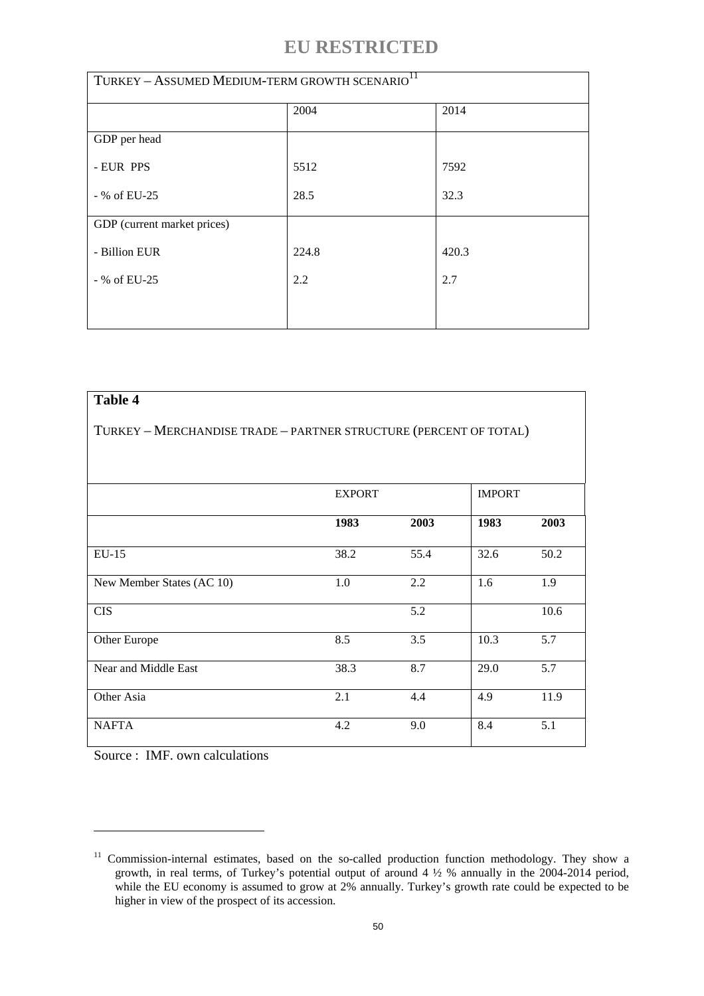| TURKEY - ASSUMED MEDIUM-TERM GROWTH SCENARIO <sup>11</sup> |       |       |  |  |  |
|------------------------------------------------------------|-------|-------|--|--|--|
|                                                            | 2004  | 2014  |  |  |  |
| GDP per head                                               |       |       |  |  |  |
| - EUR PPS                                                  | 5512  | 7592  |  |  |  |
| - % of EU-25                                               | 28.5  | 32.3  |  |  |  |
| GDP (current market prices)                                |       |       |  |  |  |
| - Billion EUR                                              | 224.8 | 420.3 |  |  |  |
| - % of EU-25                                               | 2.2   | 2.7   |  |  |  |
|                                                            |       |       |  |  |  |

| <b>Table 4</b>                                                    |               |      |               |      |
|-------------------------------------------------------------------|---------------|------|---------------|------|
| TURKEY - MERCHANDISE TRADE - PARTNER STRUCTURE (PERCENT OF TOTAL) |               |      |               |      |
|                                                                   |               |      |               |      |
|                                                                   | <b>EXPORT</b> |      | <b>IMPORT</b> |      |
|                                                                   | 1983          | 2003 | 1983          | 2003 |
| EU-15                                                             | 38.2          | 55.4 | 32.6          | 50.2 |
| New Member States (AC 10)                                         | 1.0           | 2.2  | 1.6           | 1.9  |
| <b>CIS</b>                                                        |               | 5.2  |               | 10.6 |
| Other Europe                                                      | 8.5           | 3.5  | 10.3          | 5.7  |
| Near and Middle East                                              | 38.3          | 8.7  | 29.0          | 5.7  |
| Other Asia                                                        | 2.1           | 4.4  | 4.9           | 11.9 |
| <b>NAFTA</b>                                                      | 4.2           | 9.0  | 8.4           | 5.1  |

Source : IMF. own calculations

 $\overline{a}$ 

<sup>&</sup>lt;sup>11</sup> Commission-internal estimates, based on the so-called production function methodology. They show a growth, in real terms, of Turkey's potential output of around 4  $\frac{1}{2}$  % annually in the 2004-2014 period, while the EU economy is assumed to grow at 2% annually. Turkey's growth rate could be expected to be higher in view of the prospect of its accession.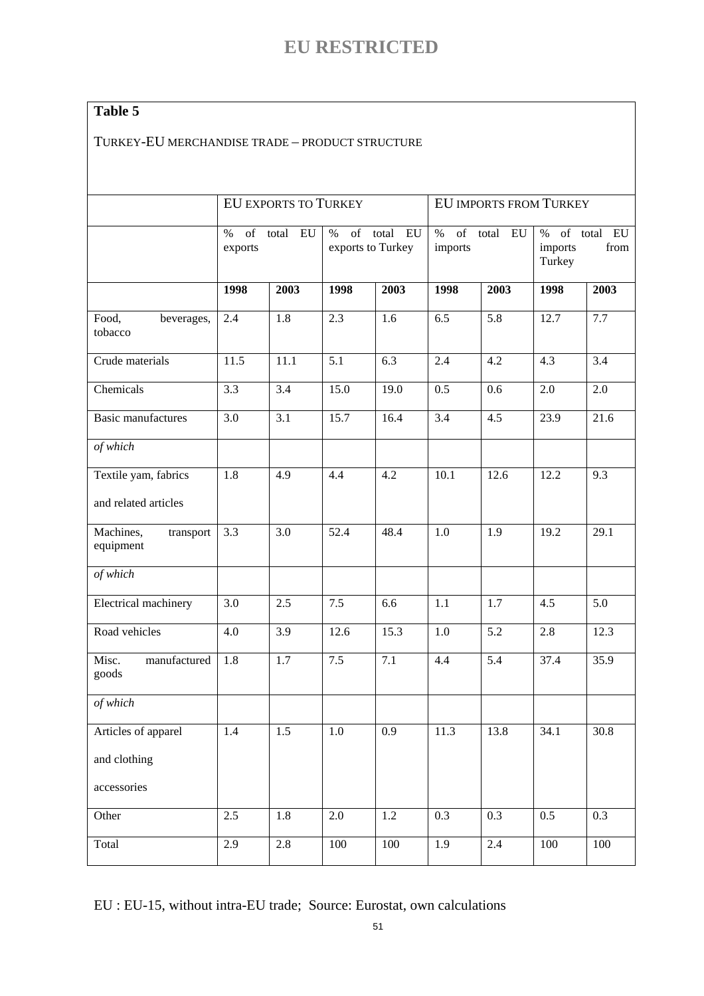## **Table 5**

## TURKEY-EU MERCHANDISE TRADE – PRODUCT STRUCTURE

|                                     | <b>EU EXPORTS TO TURKEY</b> |             |                           | <b>EU IMPORTS FROM TURKEY</b> |                 |             |                                    |                   |
|-------------------------------------|-----------------------------|-------------|---------------------------|-------------------------------|-----------------|-------------|------------------------------------|-------------------|
|                                     | %<br>exports                | of total EU | $\%$<br>exports to Turkey | of total EU                   | $\%$<br>imports | of total EU | % of total EU<br>imports<br>Turkey | from              |
|                                     | 1998                        | 2003        | 1998                      | 2003                          | 1998            | 2003        | 1998                               | 2003              |
| Food,<br>beverages,<br>tobacco      | 2.4                         | 1.8         | 2.3                       | 1.6                           | 6.5             | 5.8         | 12.7                               | 7.7               |
| Crude materials                     | 11.5                        | 11.1        | 5.1                       | 6.3                           | 2.4             | 4.2         | 4.3                                | 3.4               |
| Chemicals                           | 3.3                         | 3.4         | 15.0                      | 19.0                          | 0.5             | 0.6         | 2.0                                | 2.0               |
| <b>Basic manufactures</b>           | $3.0\,$                     | 3.1         | 15.7                      | 16.4                          | 3.4             | 4.5         | 23.9                               | 21.6              |
| of which                            |                             |             |                           |                               |                 |             |                                    |                   |
| Textile yam, fabrics                | 1.8                         | 4.9         | 4.4                       | 4.2                           | 10.1            | 12.6        | 12.2                               | 9.3               |
| and related articles                |                             |             |                           |                               |                 |             |                                    |                   |
| Machines,<br>transport<br>equipment | 3.3                         | 3.0         | 52.4                      | 48.4                          | 1.0             | 1.9         | 19.2                               | 29.1              |
| of which                            |                             |             |                           |                               |                 |             |                                    |                   |
| Electrical machinery                | 3.0                         | 2.5         | 7.5                       | 6.6                           | 1.1             | 1.7         | 4.5                                | 5.0               |
| Road vehicles                       | 4.0                         | 3.9         | 12.6                      | 15.3                          | 1.0             | 5.2         | 2.8                                | 12.3              |
| Misc.<br>manufactured<br>goods      | 1.8                         | 1.7         | 7.5                       | 7.1                           | 4.4             | 5.4         | 37.4                               | 35.9              |
| of which                            |                             |             |                           |                               |                 |             |                                    |                   |
| Articles of apparel                 | 1.4                         | 1.5         | $1.0\,$                   | 0.9                           | 11.3            | 13.8        | $\overline{34.1}$                  | $30.\overline{8}$ |
| and clothing                        |                             |             |                           |                               |                 |             |                                    |                   |
| accessories                         |                             |             |                           |                               |                 |             |                                    |                   |
| Other                               | 2.5                         | 1.8         | 2.0                       | 1.2                           | 0.3             | 0.3         | 0.5                                | 0.3               |
| Total                               | 2.9                         | $2.8\,$     | $100\,$                   | 100                           | 1.9             | 2.4         | 100                                | $100\,$           |

## EU : EU-15, without intra-EU trade; Source: Eurostat, own calculations